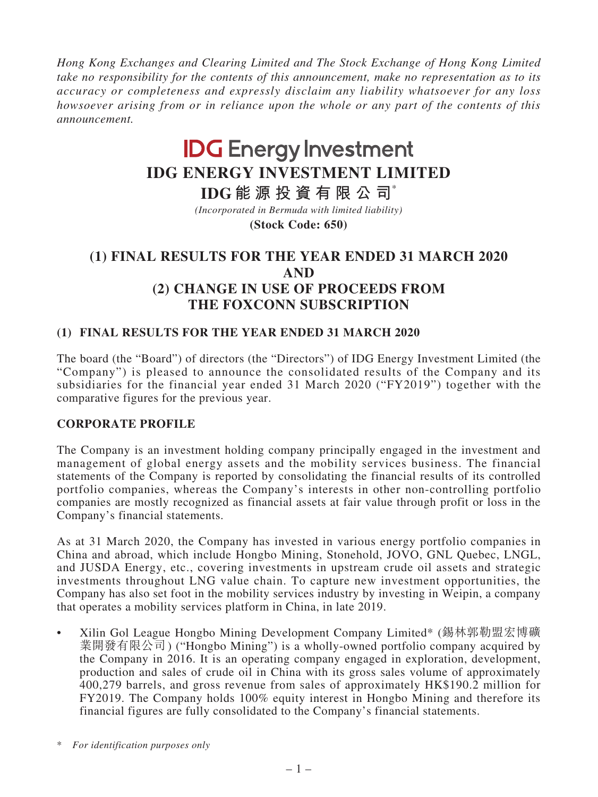*Hong Kong Exchanges and Clearing Limited and The Stock Exchange of Hong Kong Limited take no responsibility for the contents of this announcement, make no representation as to its accuracy or completeness and expressly disclaim any liability whatsoever for any loss howsoever arising from or in reliance upon the whole or any part of the contents of this announcement.*

# **IDG Energy Investment IDG ENERGY INVESTMENT LIMITED**

**IDG 能源投資有限公司**\*

**(Stock Code: 650)** *(Incorporated in Bermuda with limited liability)*

# **(1) FINAL RESULTS FOR THE YEAR ENDED 31 MARCH 2020 AND (2) CHANGE IN USE OF PROCEEDS FROM THE FOXCONN SUBSCRIPTION**

# **(1) FINAL RESULTS FOR THE YEAR ENDED 31 MARCH 2020**

The board (the "Board") of directors (the "Directors") of IDG Energy Investment Limited (the "Company") is pleased to announce the consolidated results of the Company and its subsidiaries for the financial year ended 31 March 2020 ("FY2019") together with the comparative figures for the previous year.

# **CORPORATE PROFILE**

The Company is an investment holding company principally engaged in the investment and management of global energy assets and the mobility services business. The financial statements of the Company is reported by consolidating the financial results of its controlled portfolio companies, whereas the Company's interests in other non-controlling portfolio companies are mostly recognized as financial assets at fair value through profit or loss in the Company's financial statements.

As at 31 March 2020, the Company has invested in various energy portfolio companies in China and abroad, which include Hongbo Mining, Stonehold, JOVO, GNL Quebec, LNGL, and JUSDA Energy, etc., covering investments in upstream crude oil assets and strategic investments throughout LNG value chain. To capture new investment opportunities, the Company has also set foot in the mobility services industry by investing in Weipin, a company that operates a mobility services platform in China, in late 2019.

Xilin Gol League Hongbo Mining Development Company Limited\* (錫林郭勒盟宏博礦 業開發有限公司) ("Hongbo Mining") is a wholly-owned portfolio company acquired by the Company in 2016. It is an operating company engaged in exploration, development, production and sales of crude oil in China with its gross sales volume of approximately 400,279 barrels, and gross revenue from sales of approximately HK\$190.2 million for FY2019. The Company holds 100% equity interest in Hongbo Mining and therefore its financial figures are fully consolidated to the Company's financial statements.

<sup>\*</sup> *For identification purposes only*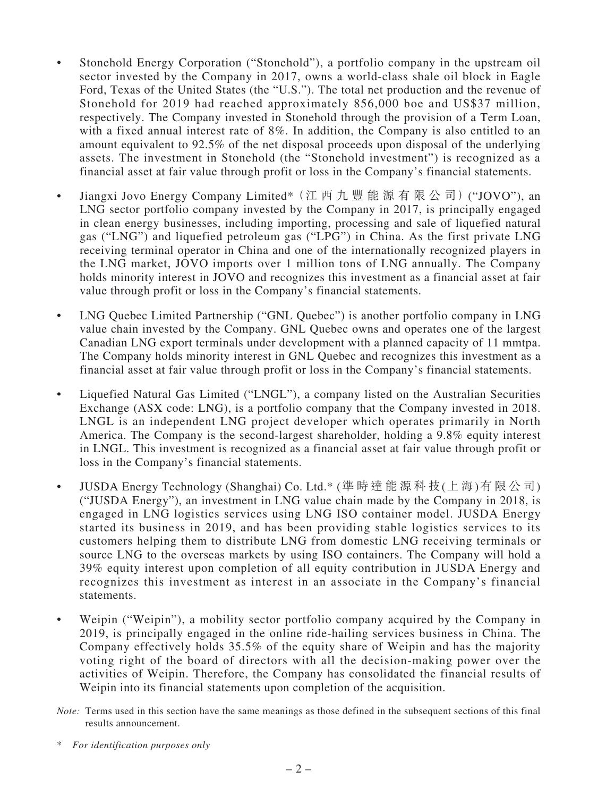- Stonehold Energy Corporation ("Stonehold"), a portfolio company in the upstream oil sector invested by the Company in 2017, owns a world-class shale oil block in Eagle Ford, Texas of the United States (the "U.S."). The total net production and the revenue of Stonehold for 2019 had reached approximately 856,000 boe and US\$37 million, respectively. The Company invested in Stonehold through the provision of a Term Loan, with a fixed annual interest rate of 8%. In addition, the Company is also entitled to an amount equivalent to 92.5% of the net disposal proceeds upon disposal of the underlying assets. The investment in Stonehold (the "Stonehold investment") is recognized as a financial asset at fair value through profit or loss in the Company's financial statements.
- Jiangxi Jovo Energy Company Limited\*(江西九豐能源有限公司)("JOVO"), an LNG sector portfolio company invested by the Company in 2017, is principally engaged in clean energy businesses, including importing, processing and sale of liquefied natural gas ("LNG") and liquefied petroleum gas ("LPG") in China. As the first private LNG receiving terminal operator in China and one of the internationally recognized players in the LNG market, JOVO imports over 1 million tons of LNG annually. The Company holds minority interest in JOVO and recognizes this investment as a financial asset at fair value through profit or loss in the Company's financial statements.
- LNG Quebec Limited Partnership ("GNL Quebec") is another portfolio company in LNG value chain invested by the Company. GNL Quebec owns and operates one of the largest Canadian LNG export terminals under development with a planned capacity of 11 mmtpa. The Company holds minority interest in GNL Quebec and recognizes this investment as a financial asset at fair value through profit or loss in the Company's financial statements.
- Liquefied Natural Gas Limited ("LNGL"), a company listed on the Australian Securities Exchange (ASX code: LNG), is a portfolio company that the Company invested in 2018. LNGL is an independent LNG project developer which operates primarily in North America. The Company is the second-largest shareholder, holding a 9.8% equity interest in LNGL. This investment is recognized as a financial asset at fair value through profit or loss in the Company's financial statements.
- JUSDA Energy Technology (Shanghai) Co. Ltd.\* (準 時 達 能 源 科 技 (上 海 )有 限 公 司) ("JUSDA Energy"), an investment in LNG value chain made by the Company in 2018, is engaged in LNG logistics services using LNG ISO container model. JUSDA Energy started its business in 2019, and has been providing stable logistics services to its customers helping them to distribute LNG from domestic LNG receiving terminals or source LNG to the overseas markets by using ISO containers. The Company will hold a 39% equity interest upon completion of all equity contribution in JUSDA Energy and recognizes this investment as interest in an associate in the Company's financial statements.
- Weipin ("Weipin"), a mobility sector portfolio company acquired by the Company in 2019, is principally engaged in the online ride-hailing services business in China. The Company effectively holds 35.5% of the equity share of Weipin and has the majority voting right of the board of directors with all the decision-making power over the activities of Weipin. Therefore, the Company has consolidated the financial results of Weipin into its financial statements upon completion of the acquisition.
- *Note:* Terms used in this section have the same meanings as those defined in the subsequent sections of this final results announcement.
- \* *For identification purposes only*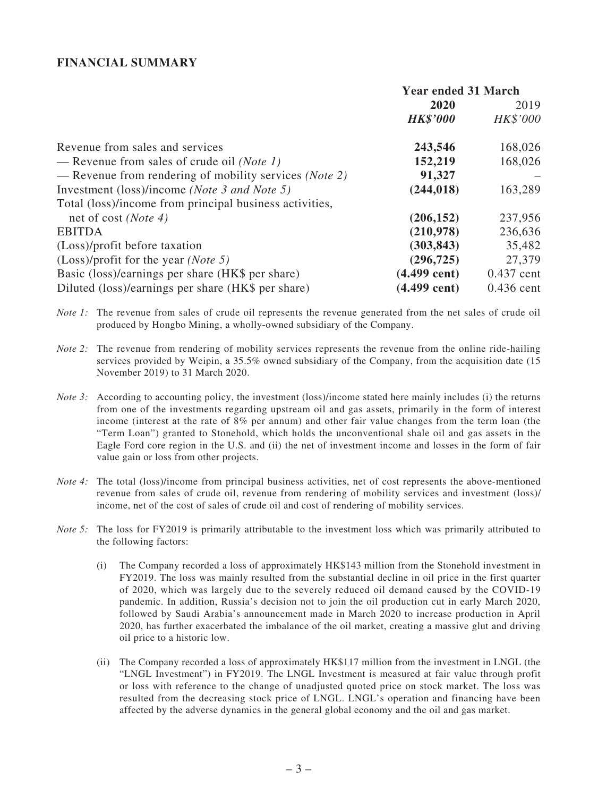#### **FINANCIAL SUMMARY**

|                                                                 | <b>Year ended 31 March</b> |              |
|-----------------------------------------------------------------|----------------------------|--------------|
|                                                                 | 2020                       | 2019         |
|                                                                 | <b>HK\$'000</b>            | HK\$'000     |
| Revenue from sales and services                                 | 243,546                    | 168,026      |
| — Revenue from sales of crude oil ( <i>Note 1</i> )             | 152,219                    | 168,026      |
| — Revenue from rendering of mobility services ( <i>Note 2</i> ) | 91,327                     |              |
| Investment (loss)/income ( <i>Note 3 and Note 5</i> )           | (244, 018)                 | 163,289      |
| Total (loss)/income from principal business activities,         |                            |              |
| net of cost ( <i>Note 4</i> )                                   | (206, 152)                 | 237,956      |
| <b>EBITDA</b>                                                   | (210,978)                  | 236,636      |
| (Loss)/profit before taxation                                   | (303, 843)                 | 35,482       |
| $(Loss)/profit$ for the year ( <i>Note</i> 5)                   | (296, 725)                 | 27,379       |
| Basic (loss)/earnings per share (HK\$ per share)                | $(4.499 \text{ cent})$     | $0.437$ cent |
| Diluted (loss)/earnings per share (HK\$ per share)              | $(4.499 \text{ cent})$     | $0.436$ cent |

*Note 1:* The revenue from sales of crude oil represents the revenue generated from the net sales of crude oil produced by Hongbo Mining, a wholly-owned subsidiary of the Company.

- *Note 2:* The revenue from rendering of mobility services represents the revenue from the online ride-hailing services provided by Weipin, a 35.5% owned subsidiary of the Company, from the acquisition date (15 November 2019) to 31 March 2020.
- *Note 3:* According to accounting policy, the investment (loss)/income stated here mainly includes (i) the returns from one of the investments regarding upstream oil and gas assets, primarily in the form of interest income (interest at the rate of 8% per annum) and other fair value changes from the term loan (the "Term Loan") granted to Stonehold, which holds the unconventional shale oil and gas assets in the Eagle Ford core region in the U.S. and (ii) the net of investment income and losses in the form of fair value gain or loss from other projects.
- *Note 4:* The total (loss)/income from principal business activities, net of cost represents the above-mentioned revenue from sales of crude oil, revenue from rendering of mobility services and investment (loss)/ income, net of the cost of sales of crude oil and cost of rendering of mobility services.
- *Note 5:* The loss for FY2019 is primarily attributable to the investment loss which was primarily attributed to the following factors:
	- (i) The Company recorded a loss of approximately HK\$143 million from the Stonehold investment in FY2019. The loss was mainly resulted from the substantial decline in oil price in the first quarter of 2020, which was largely due to the severely reduced oil demand caused by the COVID-19 pandemic. In addition, Russia's decision not to join the oil production cut in early March 2020, followed by Saudi Arabia's announcement made in March 2020 to increase production in April 2020, has further exacerbated the imbalance of the oil market, creating a massive glut and driving oil price to a historic low.
	- (ii) The Company recorded a loss of approximately HK\$117 million from the investment in LNGL (the "LNGL Investment") in FY2019. The LNGL Investment is measured at fair value through profit or loss with reference to the change of unadjusted quoted price on stock market. The loss was resulted from the decreasing stock price of LNGL. LNGL's operation and financing have been affected by the adverse dynamics in the general global economy and the oil and gas market.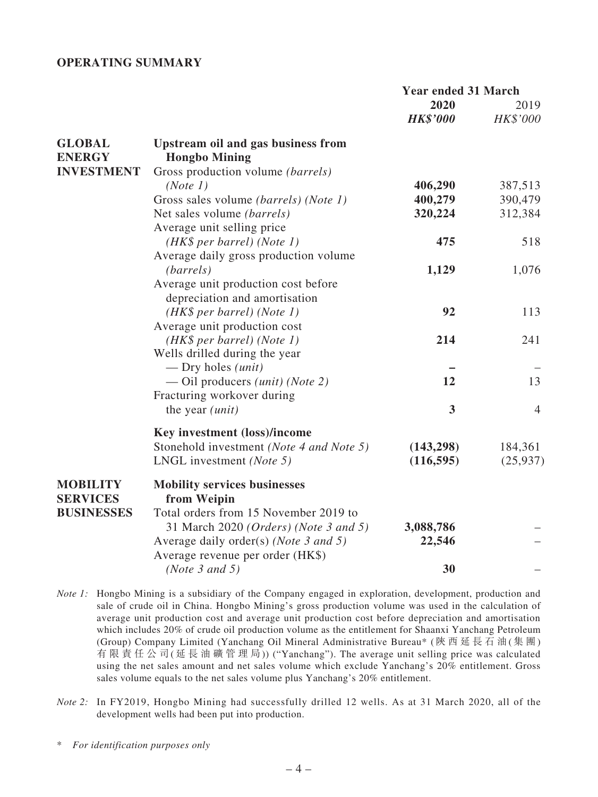#### **OPERATING SUMMARY**

|                                    |                                                            | <b>Year ended 31 March</b> |                  |
|------------------------------------|------------------------------------------------------------|----------------------------|------------------|
|                                    |                                                            | 2020<br><b>HK\$'000</b>    | 2019<br>HK\$'000 |
| <b>GLOBAL</b><br><b>ENERGY</b>     | Upstream oil and gas business from<br><b>Hongbo Mining</b> |                            |                  |
| <b>INVESTMENT</b>                  | Gross production volume (barrels)                          |                            |                  |
|                                    | (Note 1)                                                   | 406,290                    | 387,513          |
|                                    | Gross sales volume <i>(barrels)</i> ( <i>Note 1)</i>       | 400,279                    | 390,479          |
|                                    | Net sales volume (barrels)                                 | 320,224                    | 312,384          |
|                                    | Average unit selling price                                 |                            |                  |
|                                    | $(HK\$ per barrel) (Note 1)                                | 475                        | 518              |
|                                    | Average daily gross production volume                      |                            |                  |
|                                    | (barrels)                                                  | 1,129                      | 1,076            |
|                                    | Average unit production cost before                        |                            |                  |
|                                    | depreciation and amortisation                              |                            |                  |
|                                    | (HK\$ per barrel) (Note 1)                                 | 92                         | 113              |
|                                    | Average unit production cost                               |                            |                  |
|                                    | $(HK\$ per barrel) (Note 1)                                | 214                        | 241              |
|                                    | Wells drilled during the year                              |                            |                  |
|                                    | — Dry holes $(unit)$                                       |                            |                  |
|                                    | — Oil producers <i>(unit) (Note 2)</i>                     | 12                         | 13               |
|                                    | Fracturing workover during                                 |                            |                  |
|                                    | the year $(unit)$                                          | $\overline{\mathbf{3}}$    | $\overline{4}$   |
|                                    | Key investment (loss)/income                               |                            |                  |
|                                    | Stonehold investment (Note 4 and Note 5)                   | (143, 298)                 | 184,361          |
|                                    | LNGL investment ( <i>Note</i> 5)                           | (116, 595)                 | (25, 937)        |
| <b>MOBILITY</b><br><b>SERVICES</b> | <b>Mobility services businesses</b><br>from Weipin         |                            |                  |
| <b>BUSINESSES</b>                  | Total orders from 15 November 2019 to                      |                            |                  |
|                                    | 31 March 2020 (Orders) (Note 3 and 5)                      | 3,088,786                  |                  |
|                                    | Average daily order(s) ( <i>Note 3 and 5</i> )             | 22,546                     |                  |
|                                    | Average revenue per order (HK\$)                           |                            |                  |
|                                    | (Note $3$ and $5$ )                                        | 30                         |                  |

*Note 1:* Hongbo Mining is a subsidiary of the Company engaged in exploration, development, production and sale of crude oil in China. Hongbo Mining's gross production volume was used in the calculation of average unit production cost and average unit production cost before depreciation and amortisation which includes 20% of crude oil production volume as the entitlement for Shaanxi Yanchang Petroleum (Group) Company Limited (Yanchang Oil Mineral Administrative Bureau\* (陝 西 延 長 石 油(集 團) 有 限 責 任 公 司(延 長 油 礦 管 理 局)) ("Yanchang"). The average unit selling price was calculated using the net sales amount and net sales volume which exclude Yanchang's 20% entitlement. Gross sales volume equals to the net sales volume plus Yanchang's 20% entitlement.

*Note 2:* In FY2019, Hongbo Mining had successfully drilled 12 wells. As at 31 March 2020, all of the development wells had been put into production.

<sup>\*</sup> *For identification purposes only*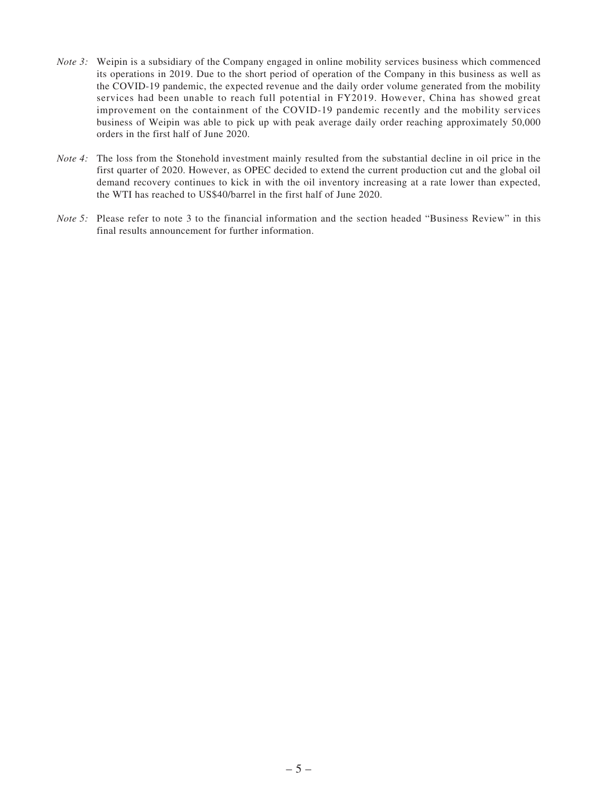- *Note 3:* Weipin is a subsidiary of the Company engaged in online mobility services business which commenced its operations in 2019. Due to the short period of operation of the Company in this business as well as the COVID-19 pandemic, the expected revenue and the daily order volume generated from the mobility services had been unable to reach full potential in FY2019. However, China has showed great improvement on the containment of the COVID-19 pandemic recently and the mobility services business of Weipin was able to pick up with peak average daily order reaching approximately 50,000 orders in the first half of June 2020.
- *Note 4*: The loss from the Stonehold investment mainly resulted from the substantial decline in oil price in the first quarter of 2020. However, as OPEC decided to extend the current production cut and the global oil demand recovery continues to kick in with the oil inventory increasing at a rate lower than expected, the WTI has reached to US\$40/barrel in the first half of June 2020.
- *Note 5:* Please refer to note 3 to the financial information and the section headed "Business Review" in this final results announcement for further information.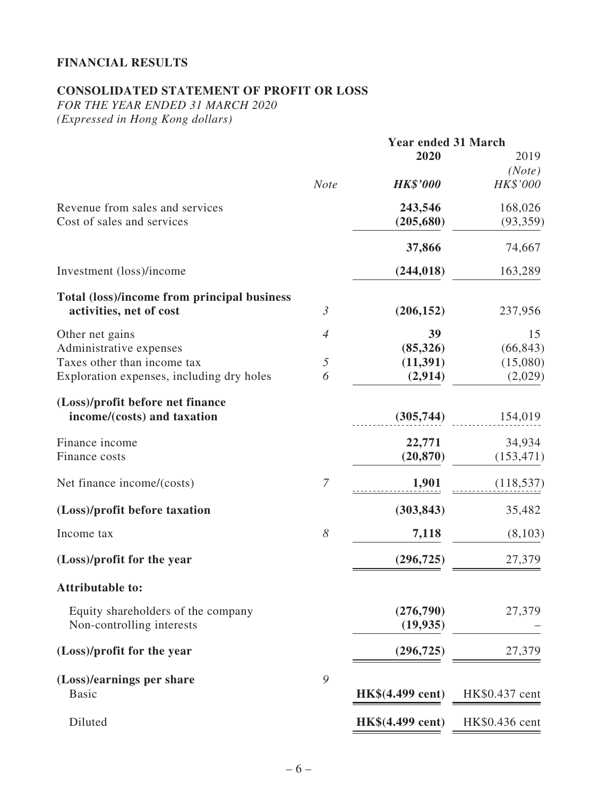# **FINANCIAL RESULTS**

# **CONSOLIDATED STATEMENT OF PROFIT OR LOSS**

*FOR THE YEAR ENDED 31 MARCH 2020 (Expressed in Hong Kong dollars)*

|                                             |                                                                         | <b>Year ended 31 March</b> |                |
|---------------------------------------------|-------------------------------------------------------------------------|----------------------------|----------------|
|                                             |                                                                         | 2020                       | 2019           |
|                                             |                                                                         |                            | (Note)         |
|                                             | <b>Note</b>                                                             | <b>HK\$'000</b>            | HK\$'000       |
| Revenue from sales and services             |                                                                         | 243,546                    | 168,026        |
| Cost of sales and services                  |                                                                         | (205, 680)                 | (93, 359)      |
|                                             |                                                                         | 37,866                     | 74,667         |
| Investment (loss)/income                    |                                                                         | (244, 018)                 | 163,289        |
| Total (loss)/income from principal business |                                                                         |                            |                |
| activities, net of cost                     | $\mathfrak{Z}$                                                          | (206, 152)                 | 237,956        |
| Other net gains                             | $\overline{4}$                                                          | 39                         | 15             |
| Administrative expenses                     |                                                                         | (85, 326)                  | (66, 843)      |
| Taxes other than income tax                 | $\mathfrak{H}% _{F}=\mathfrak{H}_{F}\!\left( \mathfrak{H}_{F}\right) ,$ | (11, 391)                  | (15,080)       |
| Exploration expenses, including dry holes   | 6                                                                       | (2,914)                    | (2,029)        |
| (Loss)/profit before net finance            |                                                                         |                            |                |
| income/(costs) and taxation                 |                                                                         | (305,744)                  | 154,019        |
| Finance income                              |                                                                         | 22,771                     | 34,934         |
| Finance costs                               |                                                                         | (20, 870)                  | (153, 471)     |
| Net finance income/(costs)                  | 7                                                                       | 1,901                      | (118, 537)     |
| (Loss)/profit before taxation               |                                                                         | (303, 843)                 | 35,482         |
| Income tax                                  | 8                                                                       | 7,118                      | (8,103)        |
| (Loss)/profit for the year                  |                                                                         | (296, 725)                 | 27,379         |
| <b>Attributable to:</b>                     |                                                                         |                            |                |
| Equity shareholders of the company          |                                                                         | (276, 790)                 | 27,379         |
| Non-controlling interests                   |                                                                         | (19, 935)                  |                |
| (Loss)/profit for the year                  |                                                                         | (296, 725)                 | 27,379         |
| (Loss)/earnings per share                   | 9                                                                       |                            |                |
| <b>Basic</b>                                |                                                                         | HK\$(4.499 cent)           | HK\$0.437 cent |
| Diluted                                     |                                                                         | HK\$(4.499 cent)           | HK\$0.436 cent |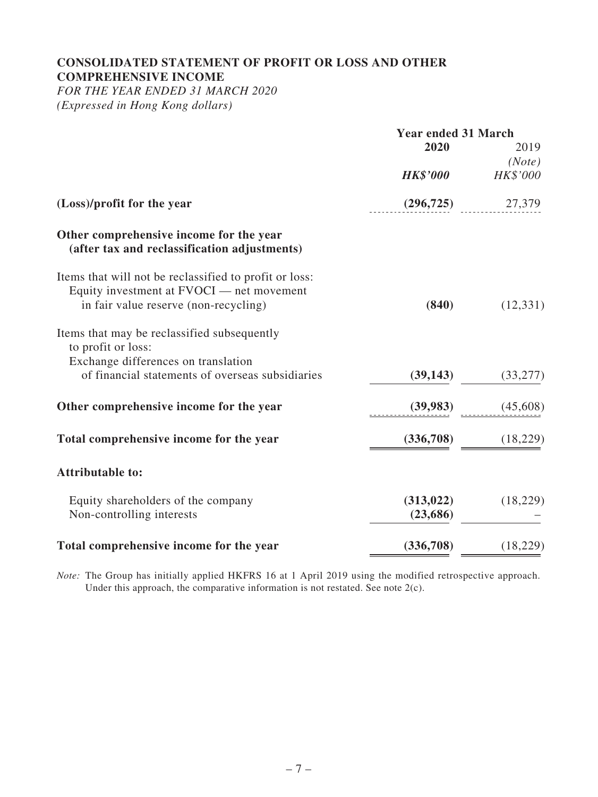#### **CONSOLIDATED STATEMENT OF PROFIT OR LOSS AND OTHER COMPREHENSIVE INCOME**

*FOR THE YEAR ENDED 31 MARCH 2020 (Expressed in Hong Kong dollars)*

|                                                                                                                                              | <b>Year ended 31 March</b> |           |
|----------------------------------------------------------------------------------------------------------------------------------------------|----------------------------|-----------|
|                                                                                                                                              | 2020                       | 2019      |
|                                                                                                                                              |                            | (Note)    |
|                                                                                                                                              | <b>HK\$'000</b>            | HK\$'000  |
| (Loss)/profit for the year                                                                                                                   | (296, 725)                 | 27,379    |
| Other comprehensive income for the year<br>(after tax and reclassification adjustments)                                                      |                            |           |
| Items that will not be reclassified to profit or loss:<br>Equity investment at FVOCI - net movement<br>in fair value reserve (non-recycling) | (840)                      | (12, 331) |
| Items that may be reclassified subsequently<br>to profit or loss:<br>Exchange differences on translation                                     |                            |           |
| of financial statements of overseas subsidiaries                                                                                             | (39, 143)                  | (33, 277) |
| Other comprehensive income for the year                                                                                                      | (39, 983)                  | (45,608)  |
| Total comprehensive income for the year                                                                                                      | (336,708)                  | (18,229)  |
| <b>Attributable to:</b>                                                                                                                      |                            |           |
| Equity shareholders of the company<br>Non-controlling interests                                                                              | (313, 022)<br>(23, 686)    | (18,229)  |
| Total comprehensive income for the year                                                                                                      | (336,708)                  | (18, 229) |

*Note:* The Group has initially applied HKFRS 16 at 1 April 2019 using the modified retrospective approach. Under this approach, the comparative information is not restated. See note  $2(c)$ .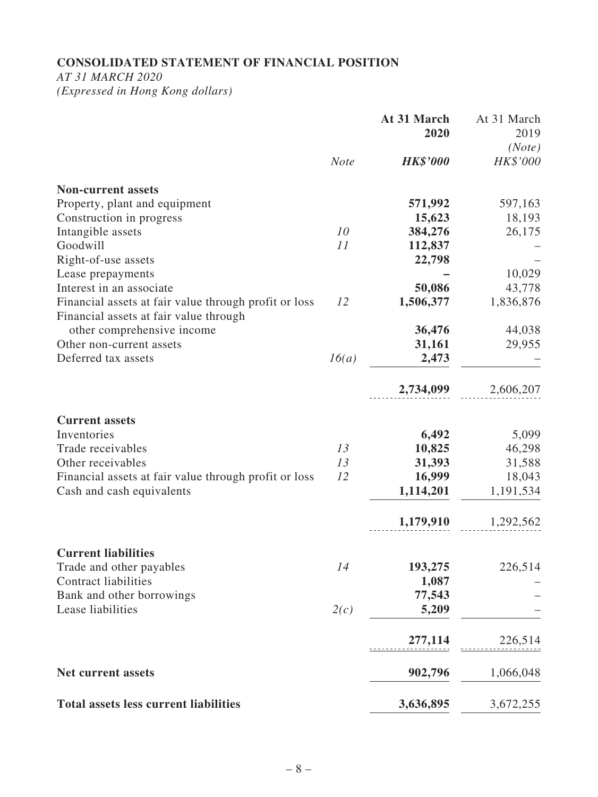# **CONSOLIDATED STATEMENT OF FINANCIAL POSITION**

*AT 31 MARCH 2020*

*(Expressed in Hong Kong dollars)*

|                                                                                                 |             | At 31 March<br>2020 | At 31 March<br>2019 |
|-------------------------------------------------------------------------------------------------|-------------|---------------------|---------------------|
|                                                                                                 |             |                     | (Note)              |
|                                                                                                 | <b>Note</b> | <b>HK\$'000</b>     | HK\$'000            |
| <b>Non-current assets</b>                                                                       |             |                     |                     |
| Property, plant and equipment                                                                   |             | 571,992             | 597,163             |
| Construction in progress                                                                        |             | 15,623              | 18,193              |
| Intangible assets                                                                               | 10          | 384,276             | 26,175              |
| Goodwill                                                                                        | 11          | 112,837             |                     |
| Right-of-use assets                                                                             |             | 22,798              |                     |
| Lease prepayments                                                                               |             |                     | 10,029              |
| Interest in an associate                                                                        |             | 50,086              | 43,778              |
| Financial assets at fair value through profit or loss<br>Financial assets at fair value through | 12          | 1,506,377           | 1,836,876           |
| other comprehensive income                                                                      |             | 36,476              | 44,038              |
| Other non-current assets                                                                        |             | 31,161              | 29,955              |
| Deferred tax assets                                                                             | 16(a)       | 2,473               |                     |
|                                                                                                 |             | 2,734,099           | 2,606,207           |
| <b>Current assets</b>                                                                           |             |                     |                     |
| Inventories                                                                                     |             | 6,492               | 5,099               |
| Trade receivables                                                                               | 13          | 10,825              | 46,298              |
| Other receivables                                                                               | 13          | 31,393              | 31,588              |
| Financial assets at fair value through profit or loss                                           | 12          | 16,999              | 18,043              |
| Cash and cash equivalents                                                                       |             | 1,114,201           | 1,191,534           |
|                                                                                                 |             | 1,179,910           | 1,292,562           |
| <b>Current liabilities</b>                                                                      |             |                     |                     |
| Trade and other payables                                                                        | 14          | 193,275             | 226,514             |
| <b>Contract liabilities</b>                                                                     |             | 1,087               |                     |
| Bank and other borrowings                                                                       |             | 77,543              |                     |
| Lease liabilities                                                                               | 2(c)        | 5,209               |                     |
|                                                                                                 |             | 277,114             | 226,514             |
| <b>Net current assets</b>                                                                       |             | 902,796             | 1,066,048           |
| <b>Total assets less current liabilities</b>                                                    |             | 3,636,895           | 3,672,255           |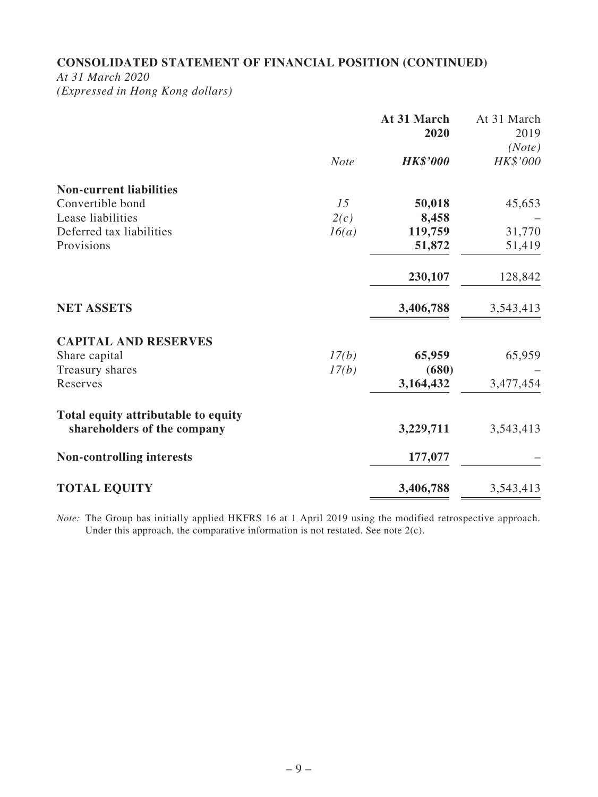# **CONSOLIDATED STATEMENT OF FINANCIAL POSITION (CONTINUED)**

*At 31 March 2020 (Expressed in Hong Kong dollars)*

|                                     |             | At 31 March<br>2020 | At 31 March<br>2019 |
|-------------------------------------|-------------|---------------------|---------------------|
|                                     | <b>Note</b> | <b>HK\$'000</b>     | (Note)<br>HK\$'000  |
| <b>Non-current liabilities</b>      |             |                     |                     |
| Convertible bond                    | 15          | 50,018              | 45,653              |
| Lease liabilities                   | 2(c)        | 8,458               |                     |
| Deferred tax liabilities            | 16(a)       | 119,759             | 31,770              |
| Provisions                          |             | 51,872              | 51,419              |
|                                     |             | 230,107             | 128,842             |
| <b>NET ASSETS</b>                   |             | 3,406,788           | 3,543,413           |
| <b>CAPITAL AND RESERVES</b>         |             |                     |                     |
| Share capital                       | 17(b)       | 65,959              | 65,959              |
| Treasury shares                     | 17(b)       | (680)               |                     |
| Reserves                            |             | 3,164,432           | 3,477,454           |
| Total equity attributable to equity |             |                     |                     |
| shareholders of the company         |             | 3,229,711           | 3,543,413           |
| <b>Non-controlling interests</b>    |             | 177,077             |                     |
| <b>TOTAL EQUITY</b>                 |             | 3,406,788           | 3,543,413           |

*Note:* The Group has initially applied HKFRS 16 at 1 April 2019 using the modified retrospective approach. Under this approach, the comparative information is not restated. See note 2(c).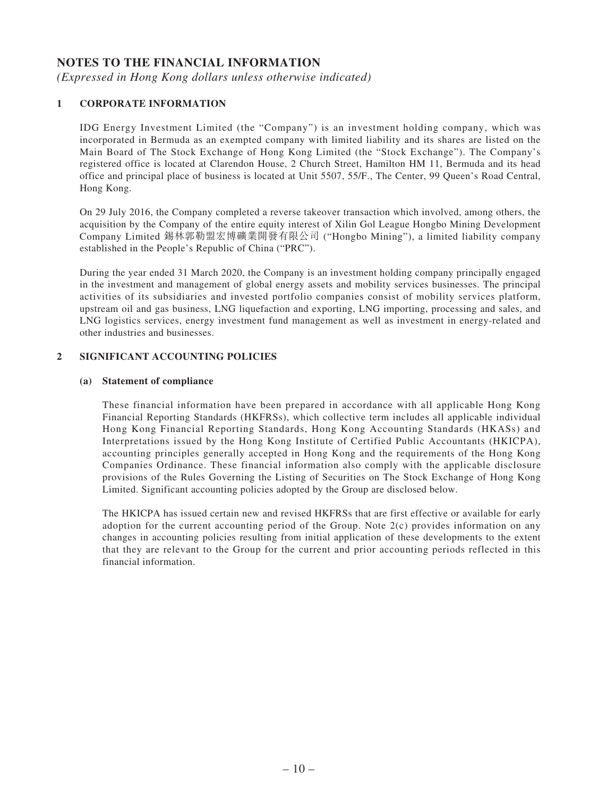#### **NOTES TO THE FINANCIAL INFORMATION**

*(Expressed in Hong Kong dollars unless otherwise indicated)*

#### **1 CORPORATE INFORMATION**

IDG Energy Investment Limited (the "Company") is an investment holding company, which was incorporated in Bermuda as an exempted company with limited liability and its shares are listed on the Main Board of The Stock Exchange of Hong Kong Limited (the "Stock Exchange"). The Company's registered office is located at Clarendon House, 2 Church Street, Hamilton HM 11, Bermuda and its head office and principal place of business is located at Unit 5507, 55/F., The Center, 99 Queen's Road Central, Hong Kong.

On 29 July 2016, the Company completed a reverse takeover transaction which involved, among others, the acquisition by the Company of the entire equity interest of Xilin Gol League Hongbo Mining Development Company Limited 錫林郭勒盟宏博礦業開發有限公司 ("Hongbo Mining"), a limited liability company established in the People's Republic of China ("PRC").

During the year ended 31 March 2020, the Company is an investment holding company principally engaged in the investment and management of global energy assets and mobility services businesses. The principal activities of its subsidiaries and invested portfolio companies consist of mobility services platform, upstream oil and gas business, LNG liquefaction and exporting, LNG importing, processing and sales, and LNG logistics services, energy investment fund management as well as investment in energy-related and other industries and businesses.

#### **2 SIGNIFICANT ACCOUNTING POLICIES**

#### **(a) Statement of compliance**

These financial information have been prepared in accordance with all applicable Hong Kong Financial Reporting Standards (HKFRSs), which collective term includes all applicable individual Hong Kong Financial Reporting Standards, Hong Kong Accounting Standards (HKASs) and Interpretations issued by the Hong Kong Institute of Certified Public Accountants (HKICPA), accounting principles generally accepted in Hong Kong and the requirements of the Hong Kong Companies Ordinance. These financial information also comply with the applicable disclosure provisions of the Rules Governing the Listing of Securities on The Stock Exchange of Hong Kong Limited. Significant accounting policies adopted by the Group are disclosed below.

The HKICPA has issued certain new and revised HKFRSs that are first effective or available for early adoption for the current accounting period of the Group. Note 2(c) provides information on any changes in accounting policies resulting from initial application of these developments to the extent that they are relevant to the Group for the current and prior accounting periods reflected in this financial information.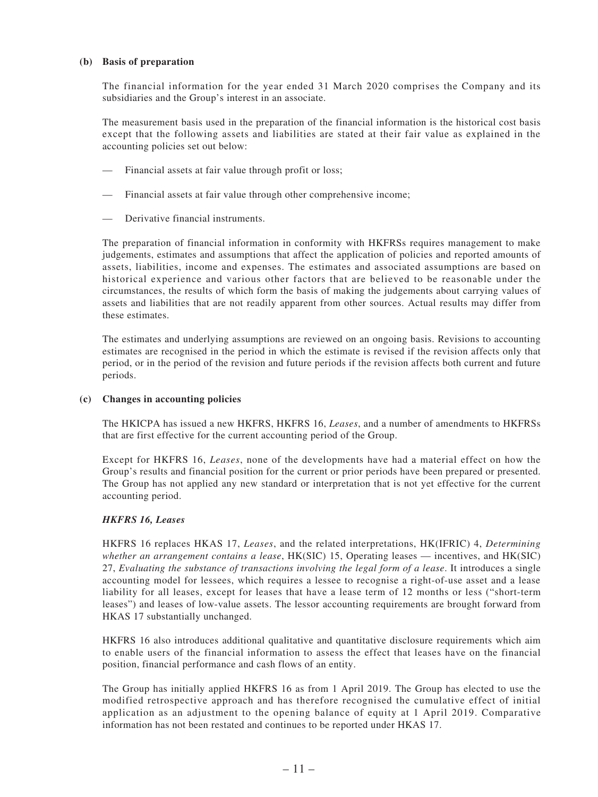#### **(b) Basis of preparation**

The financial information for the year ended 31 March 2020 comprises the Company and its subsidiaries and the Group's interest in an associate.

The measurement basis used in the preparation of the financial information is the historical cost basis except that the following assets and liabilities are stated at their fair value as explained in the accounting policies set out below:

- Financial assets at fair value through profit or loss;
- Financial assets at fair value through other comprehensive income;
- Derivative financial instruments.

The preparation of financial information in conformity with HKFRSs requires management to make judgements, estimates and assumptions that affect the application of policies and reported amounts of assets, liabilities, income and expenses. The estimates and associated assumptions are based on historical experience and various other factors that are believed to be reasonable under the circumstances, the results of which form the basis of making the judgements about carrying values of assets and liabilities that are not readily apparent from other sources. Actual results may differ from these estimates.

The estimates and underlying assumptions are reviewed on an ongoing basis. Revisions to accounting estimates are recognised in the period in which the estimate is revised if the revision affects only that period, or in the period of the revision and future periods if the revision affects both current and future periods.

#### **(c) Changes in accounting policies**

The HKICPA has issued a new HKFRS, HKFRS 16, *Leases*, and a number of amendments to HKFRSs that are first effective for the current accounting period of the Group.

Except for HKFRS 16, *Leases*, none of the developments have had a material effect on how the Group's results and financial position for the current or prior periods have been prepared or presented. The Group has not applied any new standard or interpretation that is not yet effective for the current accounting period.

#### *HKFRS 16, Leases*

HKFRS 16 replaces HKAS 17, *Leases*, and the related interpretations, HK(IFRIC) 4, *Determining whether an arrangement contains a lease*, HK(SIC) 15, Operating leases — incentives, and HK(SIC) 27, *Evaluating the substance of transactions involving the legal form of a lease*. It introduces a single accounting model for lessees, which requires a lessee to recognise a right-of-use asset and a lease liability for all leases, except for leases that have a lease term of 12 months or less ("short-term leases") and leases of low-value assets. The lessor accounting requirements are brought forward from HKAS 17 substantially unchanged.

HKFRS 16 also introduces additional qualitative and quantitative disclosure requirements which aim to enable users of the financial information to assess the effect that leases have on the financial position, financial performance and cash flows of an entity.

The Group has initially applied HKFRS 16 as from 1 April 2019. The Group has elected to use the modified retrospective approach and has therefore recognised the cumulative effect of initial application as an adjustment to the opening balance of equity at 1 April 2019. Comparative information has not been restated and continues to be reported under HKAS 17.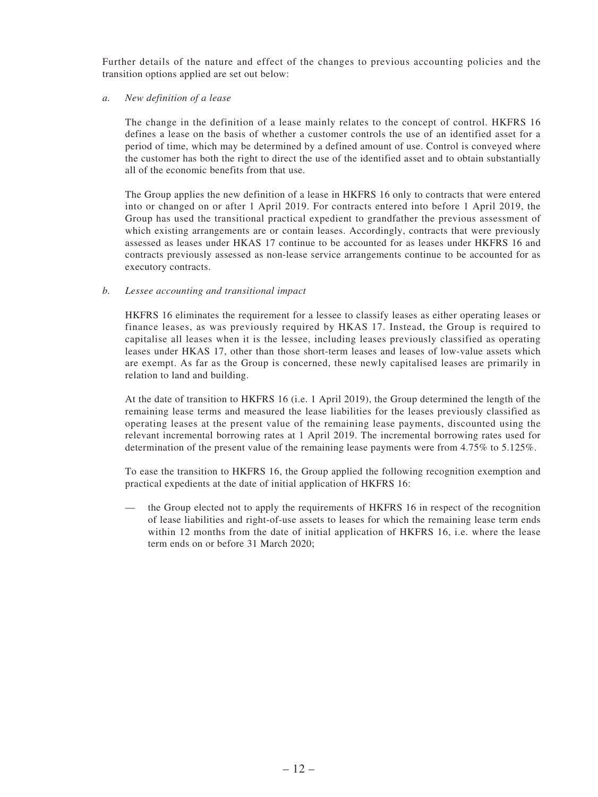Further details of the nature and effect of the changes to previous accounting policies and the transition options applied are set out below:

*a. New definition of a lease*

The change in the definition of a lease mainly relates to the concept of control. HKFRS 16 defines a lease on the basis of whether a customer controls the use of an identified asset for a period of time, which may be determined by a defined amount of use. Control is conveyed where the customer has both the right to direct the use of the identified asset and to obtain substantially all of the economic benefits from that use.

The Group applies the new definition of a lease in HKFRS 16 only to contracts that were entered into or changed on or after 1 April 2019. For contracts entered into before 1 April 2019, the Group has used the transitional practical expedient to grandfather the previous assessment of which existing arrangements are or contain leases. Accordingly, contracts that were previously assessed as leases under HKAS 17 continue to be accounted for as leases under HKFRS 16 and contracts previously assessed as non-lease service arrangements continue to be accounted for as executory contracts.

#### *b. Lessee accounting and transitional impact*

HKFRS 16 eliminates the requirement for a lessee to classify leases as either operating leases or finance leases, as was previously required by HKAS 17. Instead, the Group is required to capitalise all leases when it is the lessee, including leases previously classified as operating leases under HKAS 17, other than those short-term leases and leases of low-value assets which are exempt. As far as the Group is concerned, these newly capitalised leases are primarily in relation to land and building.

At the date of transition to HKFRS 16 (i.e. 1 April 2019), the Group determined the length of the remaining lease terms and measured the lease liabilities for the leases previously classified as operating leases at the present value of the remaining lease payments, discounted using the relevant incremental borrowing rates at 1 April 2019. The incremental borrowing rates used for determination of the present value of the remaining lease payments were from 4.75% to 5.125%.

To ease the transition to HKFRS 16, the Group applied the following recognition exemption and practical expedients at the date of initial application of HKFRS 16:

— the Group elected not to apply the requirements of HKFRS 16 in respect of the recognition of lease liabilities and right-of-use assets to leases for which the remaining lease term ends within 12 months from the date of initial application of HKFRS 16, i.e. where the lease term ends on or before 31 March 2020;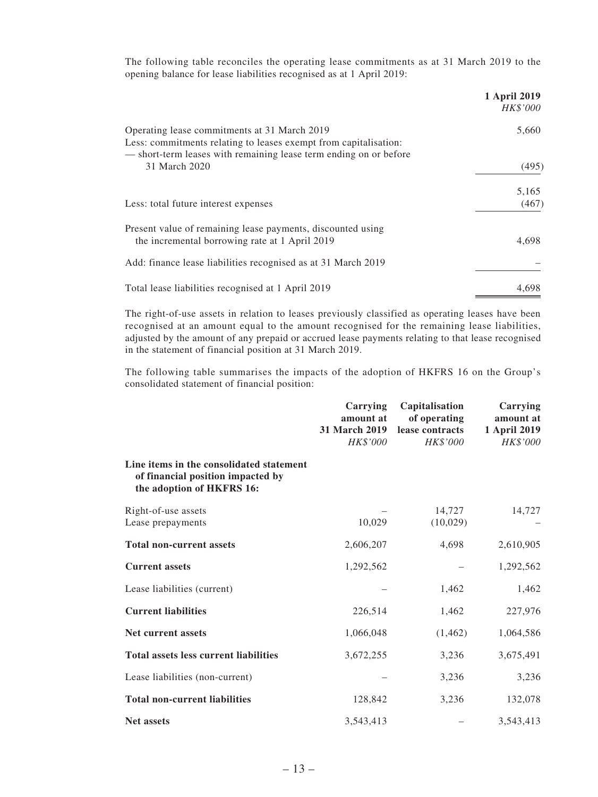The following table reconciles the operating lease commitments as at 31 March 2019 to the opening balance for lease liabilities recognised as at 1 April 2019:

|                                                                                                                                                                                       | 1 April 2019<br>HK\$'000 |
|---------------------------------------------------------------------------------------------------------------------------------------------------------------------------------------|--------------------------|
| Operating lease commitments at 31 March 2019<br>Less: commitments relating to leases exempt from capitalisation:<br>- short-term leases with remaining lease term ending on or before | 5,660                    |
| 31 March 2020                                                                                                                                                                         | (495)                    |
| Less: total future interest expenses                                                                                                                                                  | 5,165<br>(467)           |
| Present value of remaining lease payments, discounted using<br>the incremental borrowing rate at 1 April 2019                                                                         | 4,698                    |
| Add: finance lease liabilities recognised as at 31 March 2019                                                                                                                         |                          |
| Total lease liabilities recognised at 1 April 2019                                                                                                                                    | 4,698                    |

The right-of-use assets in relation to leases previously classified as operating leases have been recognised at an amount equal to the amount recognised for the remaining lease liabilities, adjusted by the amount of any prepaid or accrued lease payments relating to that lease recognised in the statement of financial position at 31 March 2019.

The following table summarises the impacts of the adoption of HKFRS 16 on the Group's consolidated statement of financial position:

|                                                                                                            | Carrying<br>amount at<br>31 March 2019<br>HK\$'000 | Capitalisation<br>of operating<br>lease contracts<br>HK\$'000 | Carrying<br>amount at<br>1 April 2019<br>HK\$'000 |
|------------------------------------------------------------------------------------------------------------|----------------------------------------------------|---------------------------------------------------------------|---------------------------------------------------|
| Line items in the consolidated statement<br>of financial position impacted by<br>the adoption of HKFRS 16: |                                                    |                                                               |                                                   |
| Right-of-use assets                                                                                        |                                                    | 14,727                                                        | 14,727                                            |
| Lease prepayments                                                                                          | 10,029                                             | (10,029)                                                      |                                                   |
| <b>Total non-current assets</b>                                                                            | 2,606,207                                          | 4,698                                                         | 2,610,905                                         |
| <b>Current assets</b>                                                                                      | 1,292,562                                          |                                                               | 1,292,562                                         |
| Lease liabilities (current)                                                                                |                                                    | 1,462                                                         | 1,462                                             |
| <b>Current liabilities</b>                                                                                 | 226,514                                            | 1,462                                                         | 227,976                                           |
| <b>Net current assets</b>                                                                                  | 1,066,048                                          | (1, 462)                                                      | 1,064,586                                         |
| <b>Total assets less current liabilities</b>                                                               | 3,672,255                                          | 3,236                                                         | 3,675,491                                         |
| Lease liabilities (non-current)                                                                            |                                                    | 3,236                                                         | 3,236                                             |
| <b>Total non-current liabilities</b>                                                                       | 128,842                                            | 3,236                                                         | 132,078                                           |
| <b>Net assets</b>                                                                                          | 3,543,413                                          |                                                               | 3,543,413                                         |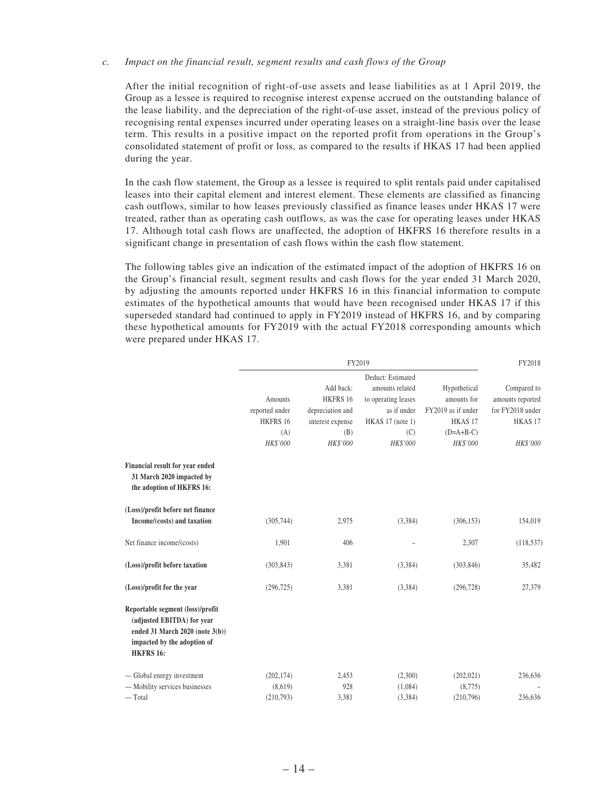#### *c. Impact on the financial result, segment results and cash flows of the Group*

After the initial recognition of right-of-use assets and lease liabilities as at 1 April 2019, the Group as a lessee is required to recognise interest expense accrued on the outstanding balance of the lease liability, and the depreciation of the right-of-use asset, instead of the previous policy of recognising rental expenses incurred under operating leases on a straight-line basis over the lease term. This results in a positive impact on the reported profit from operations in the Group's consolidated statement of profit or loss, as compared to the results if HKAS 17 had been applied during the year.

In the cash flow statement, the Group as a lessee is required to split rentals paid under capitalised leases into their capital element and interest element. These elements are classified as financing cash outflows, similar to how leases previously classified as finance leases under HKAS 17 were treated, rather than as operating cash outflows, as was the case for operating leases under HKAS 17. Although total cash flows are unaffected, the adoption of HKFRS 16 therefore results in a significant change in presentation of cash flows within the cash flow statement.

The following tables give an indication of the estimated impact of the adoption of HKFRS 16 on the Group's financial result, segment results and cash flows for the year ended 31 March 2020, by adjusting the amounts reported under HKFRS 16 in this financial information to compute estimates of the hypothetical amounts that would have been recognised under HKAS 17 if this superseded standard had continued to apply in FY2019 instead of HKFRS 16, and by comparing these hypothetical amounts for FY2019 with the actual FY2018 corresponding amounts which were prepared under HKAS 17.

|                                                                                                                                                      | FY2019         |                  |                     |                    | FY2018             |
|------------------------------------------------------------------------------------------------------------------------------------------------------|----------------|------------------|---------------------|--------------------|--------------------|
|                                                                                                                                                      |                |                  | Deduct: Estimated   |                    |                    |
|                                                                                                                                                      |                | Add back:        | amounts related     | Hypothetical       | Compared to        |
|                                                                                                                                                      | Amounts        | HKFRS 16         | to operating leases | amounts for        | amounts reported   |
|                                                                                                                                                      | reported under | depreciation and | as if under         | FY2019 as if under | for FY2018 under   |
|                                                                                                                                                      | HKFRS 16       | interest expense | HKAS 17 (note 1)    | HKAS <sub>17</sub> | HKAS <sub>17</sub> |
|                                                                                                                                                      | (A)            | (B)              | (C)                 | $(D=A+B-C)$        |                    |
|                                                                                                                                                      | HK\$'000       | HK\$'000         | HK\$'000            | HK\$'000           | HK\$'000           |
| Financial result for year ended<br>31 March 2020 impacted by<br>the adoption of HKFRS 16:                                                            |                |                  |                     |                    |                    |
| (Loss)/profit before net finance                                                                                                                     |                |                  |                     |                    |                    |
| Income/(costs) and taxation                                                                                                                          | (305,744)      | 2,975            | (3,384)             | (306, 153)         | 154,019            |
| Net finance income/(costs)                                                                                                                           | 1,901          | 406              |                     | 2,307              | (118, 537)         |
| (Loss)/profit before taxation                                                                                                                        | (303, 843)     | 3,381            | (3,384)             | (303, 846)         | 35,482             |
| (Loss)/profit for the year                                                                                                                           | (296, 725)     | 3,381            | (3,384)             | (296, 728)         | 27,379             |
| Reportable segment (loss)/profit<br>(adjusted EBITDA) for year<br>ended 31 March 2020 (note 3(b))<br>impacted by the adoption of<br><b>HKFRS 16:</b> |                |                  |                     |                    |                    |
| — Global energy investment                                                                                                                           | (202, 174)     | 2,453            | (2,300)             | (202, 021)         | 236,636            |
| - Mobility services businesses                                                                                                                       | (8,619)        | 928              | (1,084)             | (8,775)            |                    |
| $-$ Total                                                                                                                                            | (210,793)      | 3,381            | (3,384)             | (210,796)          | 236,636            |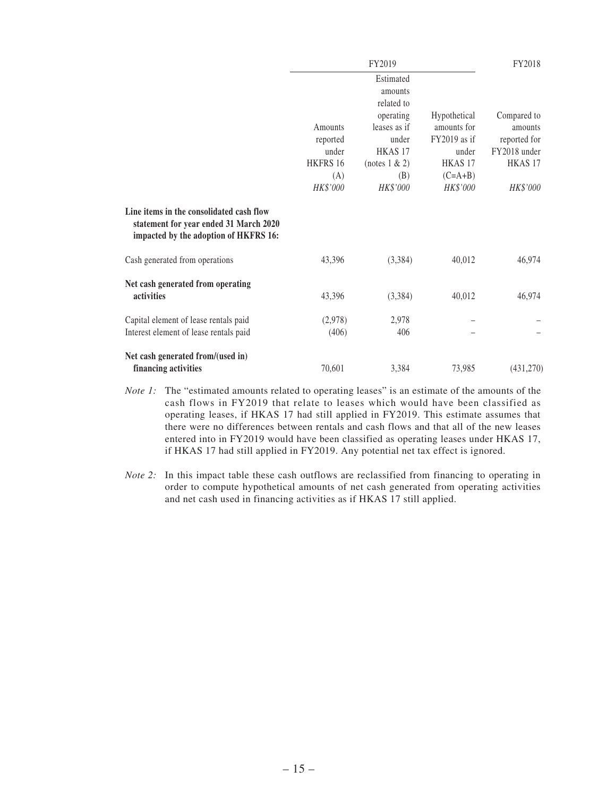| Hypothetical | Compared to                                 |
|--------------|---------------------------------------------|
|              |                                             |
|              |                                             |
|              |                                             |
|              |                                             |
|              | amounts                                     |
| FY2019 as if | reported for                                |
| under        | FY2018 under                                |
|              | HKAS <sub>17</sub>                          |
| $(C=A+B)$    |                                             |
| HK\$'000     | HK\$'000                                    |
|              |                                             |
| 40,012       | 46,974                                      |
| 40,012       | 46,974                                      |
|              |                                             |
|              |                                             |
|              | (431,270)                                   |
|              | amounts for<br>HKAS <sub>17</sub><br>73,985 |

- *Note 1*: The "estimated amounts related to operating leases" is an estimate of the amounts of the cash flows in FY2019 that relate to leases which would have been classified as operating leases, if HKAS 17 had still applied in FY2019. This estimate assumes that there were no differences between rentals and cash flows and that all of the new leases entered into in FY2019 would have been classified as operating leases under HKAS 17, if HKAS 17 had still applied in FY2019. Any potential net tax effect is ignored.
- *Note 2:* In this impact table these cash outflows are reclassified from financing to operating in order to compute hypothetical amounts of net cash generated from operating activities and net cash used in financing activities as if HKAS 17 still applied.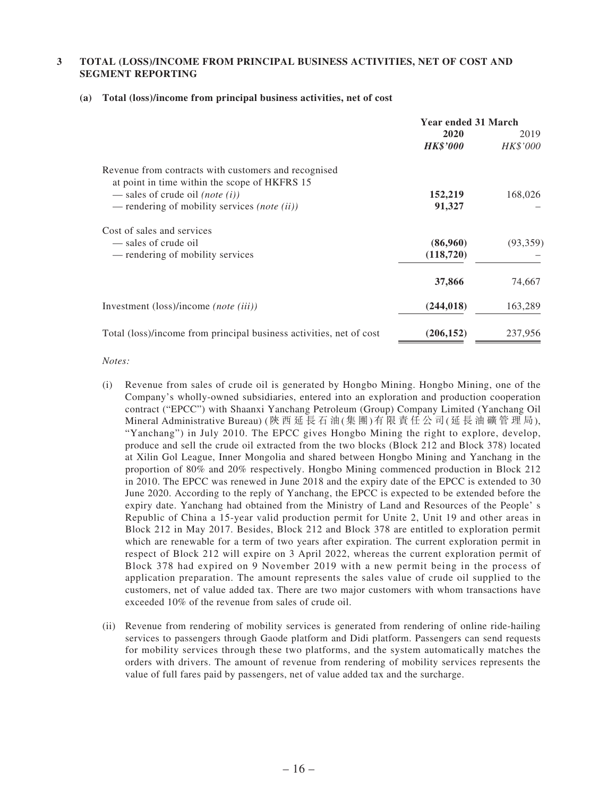#### **3 TOTAL (LOSS)/INCOME FROM PRINCIPAL BUSINESS ACTIVITIES, NET OF COST AND SEGMENT REPORTING**

|                                                                                                       | <b>Year ended 31 March</b> |                  |
|-------------------------------------------------------------------------------------------------------|----------------------------|------------------|
|                                                                                                       | 2020<br><b>HK\$'000</b>    | 2019<br>HK\$'000 |
| Revenue from contracts with customers and recognised<br>at point in time within the scope of HKFRS 15 |                            |                  |
| — sales of crude oil ( <i>note</i> ( <i>i</i> ))                                                      | 152,219                    | 168,026          |
| — rendering of mobility services <i>(note (ii))</i>                                                   | 91,327                     |                  |
| Cost of sales and services                                                                            |                            |                  |
| — sales of crude oil                                                                                  | (86,960)                   | (93,359)         |
| — rendering of mobility services                                                                      | (118, 720)                 |                  |
|                                                                                                       | 37,866                     | 74,667           |
| Investment (loss)/income (note (iii))                                                                 | (244, 018)                 | 163,289          |
| Total (loss)/income from principal business activities, net of cost                                   | (206, 152)                 | 237,956          |

#### **(a) Total (loss)/income from principal business activities, net of cost**

#### *Notes:*

- (i) Revenue from sales of crude oil is generated by Hongbo Mining. Hongbo Mining, one of the Company's wholly-owned subsidiaries, entered into an exploration and production cooperation contract ("EPCC") with Shaanxi Yanchang Petroleum (Group) Company Limited (Yanchang Oil Mineral Administrative Bureau) (陝 西 延 長 石 油(集 團)有 限 責 任 公 司(延 長 油 礦 管 理 局), "Yanchang") in July 2010. The EPCC gives Hongbo Mining the right to explore, develop, produce and sell the crude oil extracted from the two blocks (Block 212 and Block 378) located at Xilin Gol League, Inner Mongolia and shared between Hongbo Mining and Yanchang in the proportion of 80% and 20% respectively. Hongbo Mining commenced production in Block 212 in 2010. The EPCC was renewed in June 2018 and the expiry date of the EPCC is extended to 30 June 2020. According to the reply of Yanchang, the EPCC is expected to be extended before the expiry date. Yanchang had obtained from the Ministry of Land and Resources of the People' s Republic of China a 15-year valid production permit for Unite 2, Unit 19 and other areas in Block 212 in May 2017. Besides, Block 212 and Block 378 are entitled to exploration permit which are renewable for a term of two years after expiration. The current exploration permit in respect of Block 212 will expire on 3 April 2022, whereas the current exploration permit of Block 378 had expired on 9 November 2019 with a new permit being in the process of application preparation. The amount represents the sales value of crude oil supplied to the customers, net of value added tax. There are two major customers with whom transactions have exceeded 10% of the revenue from sales of crude oil.
- (ii) Revenue from rendering of mobility services is generated from rendering of online ride-hailing services to passengers through Gaode platform and Didi platform. Passengers can send requests for mobility services through these two platforms, and the system automatically matches the orders with drivers. The amount of revenue from rendering of mobility services represents the value of full fares paid by passengers, net of value added tax and the surcharge.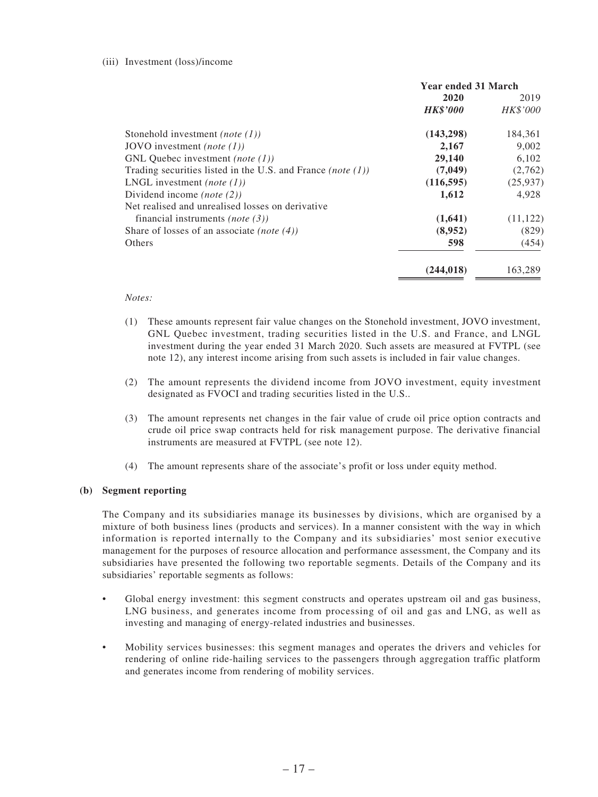#### (iii) Investment (loss)/income

|                                                                | <b>Year ended 31 March</b> |           |
|----------------------------------------------------------------|----------------------------|-----------|
|                                                                | 2020                       | 2019      |
|                                                                | <b>HK\$'000</b>            | HK\$'000  |
| Stonehold investment ( <i>note</i> $(1)$ )                     | (143, 298)                 | 184,361   |
| JOVO investment <i>(note (1))</i>                              | 2,167                      | 9,002     |
| GNL Ouebec investment <i>(note (1))</i>                        | 29,140                     | 6,102     |
| Trading securities listed in the U.S. and France (note $(1)$ ) | (7,049)                    | (2,762)   |
| LNGL investment (note $(1)$ )                                  | (116, 595)                 | (25, 937) |
| Dividend income ( <i>note</i> $(2)$ )                          | 1,612                      | 4,928     |
| Net realised and unrealised losses on derivative               |                            |           |
| financial instruments <i>(note (3))</i>                        | (1,641)                    | (11, 122) |
| Share of losses of an associate <i>(note (4))</i>              | (8,952)                    | (829)     |
| Others                                                         | 598                        | (454)     |
|                                                                | (244.018)                  | 163.289   |

#### *Notes:*

- (1) These amounts represent fair value changes on the Stonehold investment, JOVO investment, GNL Quebec investment, trading securities listed in the U.S. and France, and LNGL investment during the year ended 31 March 2020. Such assets are measured at FVTPL (see note 12), any interest income arising from such assets is included in fair value changes.
- (2) The amount represents the dividend income from JOVO investment, equity investment designated as FVOCI and trading securities listed in the U.S..
- (3) The amount represents net changes in the fair value of crude oil price option contracts and crude oil price swap contracts held for risk management purpose. The derivative financial instruments are measured at FVTPL (see note 12).
- (4) The amount represents share of the associate's profit or loss under equity method.

#### **(b) Segment reporting**

The Company and its subsidiaries manage its businesses by divisions, which are organised by a mixture of both business lines (products and services). In a manner consistent with the way in which information is reported internally to the Company and its subsidiaries' most senior executive management for the purposes of resource allocation and performance assessment, the Company and its subsidiaries have presented the following two reportable segments. Details of the Company and its subsidiaries' reportable segments as follows:

- Global energy investment: this segment constructs and operates upstream oil and gas business, LNG business, and generates income from processing of oil and gas and LNG, as well as investing and managing of energy-related industries and businesses.
- Mobility services businesses: this segment manages and operates the drivers and vehicles for rendering of online ride-hailing services to the passengers through aggregation traffic platform and generates income from rendering of mobility services.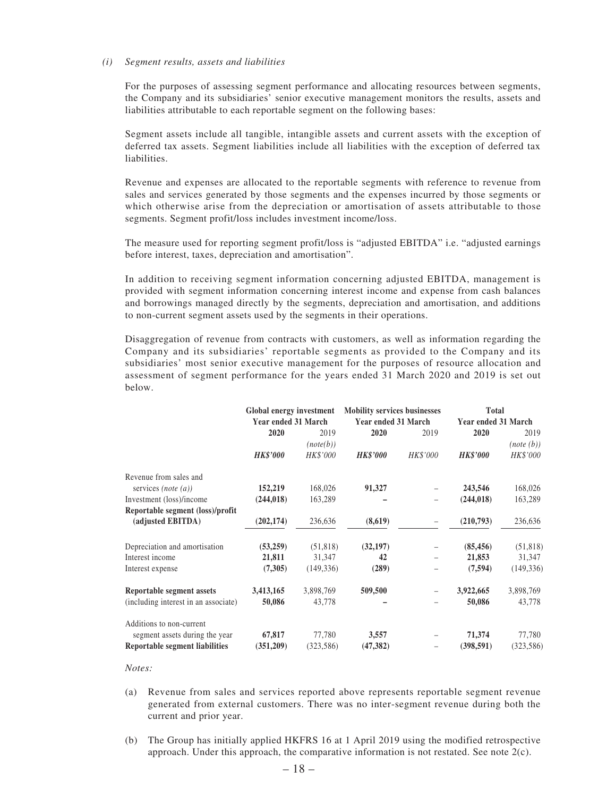#### *(i) Segment results, assets and liabilities*

For the purposes of assessing segment performance and allocating resources between segments, the Company and its subsidiaries' senior executive management monitors the results, assets and liabilities attributable to each reportable segment on the following bases:

Segment assets include all tangible, intangible assets and current assets with the exception of deferred tax assets. Segment liabilities include all liabilities with the exception of deferred tax liabilities.

Revenue and expenses are allocated to the reportable segments with reference to revenue from sales and services generated by those segments and the expenses incurred by those segments or which otherwise arise from the depreciation or amortisation of assets attributable to those segments. Segment profit/loss includes investment income/loss.

The measure used for reporting segment profit/loss is "adjusted EBITDA" i.e. "adjusted earnings before interest, taxes, depreciation and amortisation".

In addition to receiving segment information concerning adjusted EBITDA, management is provided with segment information concerning interest income and expense from cash balances and borrowings managed directly by the segments, depreciation and amortisation, and additions to non-current segment assets used by the segments in their operations.

Disaggregation of revenue from contracts with customers, as well as information regarding the Company and its subsidiaries' reportable segments as provided to the Company and its subsidiaries' most senior executive management for the purposes of resource allocation and assessment of segment performance for the years ended 31 March 2020 and 2019 is set out below.

|                                       | Global energy investment<br><b>Year ended 31 March</b> |            | <b>Mobility services businesses</b><br>Year ended 31 March |          | <b>Total</b><br><b>Year ended 31 March</b> |            |
|---------------------------------------|--------------------------------------------------------|------------|------------------------------------------------------------|----------|--------------------------------------------|------------|
|                                       | 2020                                                   | 2019       | 2020                                                       | 2019     | 2020                                       | 2019       |
|                                       |                                                        | (note(b))  |                                                            |          |                                            | (note(b))  |
|                                       | <b>HK\$'000</b>                                        | HK\$'000   | <b>HK\$'000</b>                                            | HK\$'000 | <b>HK\$'000</b>                            | HK\$'000   |
| Revenue from sales and                |                                                        |            |                                                            |          |                                            |            |
| services ( <i>note</i> $(a)$ )        | 152,219                                                | 168,026    | 91,327                                                     |          | 243,546                                    | 168,026    |
| Investment (loss)/income              | (244, 018)                                             | 163,289    |                                                            |          | (244, 018)                                 | 163,289    |
| Reportable segment (loss)/profit      |                                                        |            |                                                            |          |                                            |            |
| (adjusted EBITDA)                     | (202, 174)                                             | 236,636    | (8,619)                                                    | -        | (210,793)                                  | 236,636    |
| Depreciation and amortisation         | (53,259)                                               | (51, 818)  | (32, 197)                                                  |          | (85, 456)                                  | (51, 818)  |
| Interest income                       | 21,811                                                 | 31,347     | 42                                                         |          | 21,853                                     | 31,347     |
| Interest expense                      | (7,305)                                                | (149, 336) | (289)                                                      |          | (7, 594)                                   | (149, 336) |
| Reportable segment assets             | 3,413,165                                              | 3,898,769  | 509,500                                                    |          | 3,922,665                                  | 3,898,769  |
| (including interest in an associate)  | 50,086                                                 | 43,778     |                                                            |          | 50,086                                     | 43,778     |
| Additions to non-current              |                                                        |            |                                                            |          |                                            |            |
| segment assets during the year        | 67,817                                                 | 77,780     | 3,557                                                      |          | 71,374                                     | 77,780     |
| <b>Reportable segment liabilities</b> | (351,209)                                              | (323, 586) | (47, 382)                                                  |          | (398, 591)                                 | (323, 586) |

#### *Notes:*

- (a) Revenue from sales and services reported above represents reportable segment revenue generated from external customers. There was no inter-segment revenue during both the current and prior year.
- (b) The Group has initially applied HKFRS 16 at 1 April 2019 using the modified retrospective approach. Under this approach, the comparative information is not restated. See note  $2(c)$ .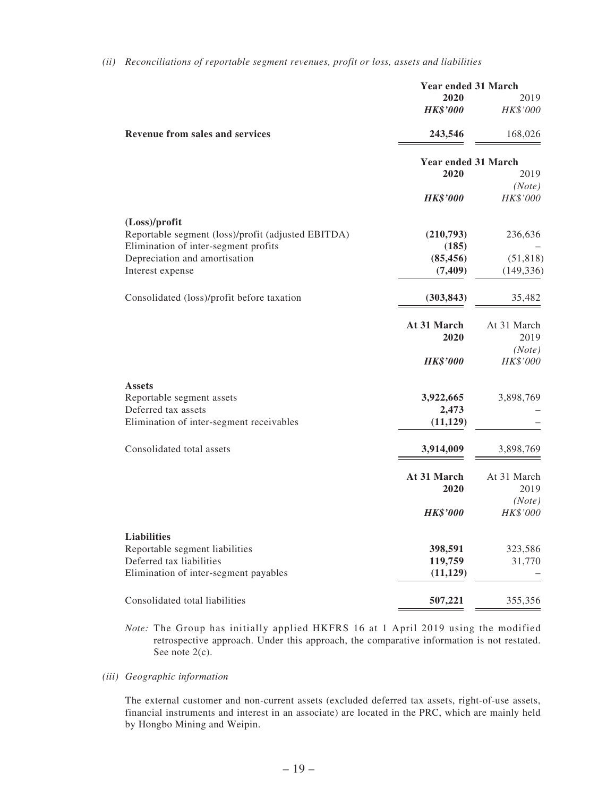|                                                                   | <b>Year ended 31 March</b> |                    |
|-------------------------------------------------------------------|----------------------------|--------------------|
|                                                                   | 2020<br><b>HK\$'000</b>    | 2019<br>HK\$'000   |
| <b>Revenue from sales and services</b>                            | 243,546                    | 168,026            |
|                                                                   | <b>Year ended 31 March</b> |                    |
|                                                                   | 2020                       | 2019               |
|                                                                   | <b>HK\$'000</b>            | (Note)<br>HK\$'000 |
| (Loss)/profit                                                     |                            |                    |
| Reportable segment (loss)/profit (adjusted EBITDA)                | (210,793)                  | 236,636            |
| Elimination of inter-segment profits                              | (185)                      |                    |
| Depreciation and amortisation                                     | (85, 456)                  | (51, 818)          |
| Interest expense                                                  | (7, 409)                   | (149, 336)         |
| Consolidated (loss)/profit before taxation                        | (303, 843)                 | 35,482             |
|                                                                   | At 31 March                | At 31 March        |
|                                                                   | 2020                       | 2019               |
|                                                                   |                            | (Note)             |
|                                                                   | <b>HK\$'000</b>            | HK\$'000           |
| <b>Assets</b>                                                     |                            |                    |
| Reportable segment assets                                         | 3,922,665                  | 3,898,769          |
| Deferred tax assets                                               | 2,473                      |                    |
| Elimination of inter-segment receivables                          | (11, 129)                  |                    |
| Consolidated total assets                                         | 3,914,009                  | 3,898,769          |
|                                                                   | At 31 March                | At 31 March        |
|                                                                   | 2020                       | 2019               |
|                                                                   |                            | (Note)             |
|                                                                   | <b>HK\$'000</b>            | HK\$'000           |
| <b>Liabilities</b>                                                |                            |                    |
| Reportable segment liabilities                                    | 398,591                    | 323,586            |
| Deferred tax liabilities<br>Elimination of inter-segment payables | 119,759<br>(11, 129)       | 31,770             |
|                                                                   |                            |                    |
| Consolidated total liabilities                                    | 507,221                    | 355,356            |
|                                                                   |                            |                    |

*(ii) Reconciliations of reportable segment revenues, profit or loss, assets and liabilities*

*Note:* The Group has initially applied HKFRS 16 at 1 April 2019 using the modified retrospective approach. Under this approach, the comparative information is not restated. See note 2(c).

*(iii) Geographic information*

The external customer and non-current assets (excluded deferred tax assets, right-of-use assets, financial instruments and interest in an associate) are located in the PRC, which are mainly held by Hongbo Mining and Weipin.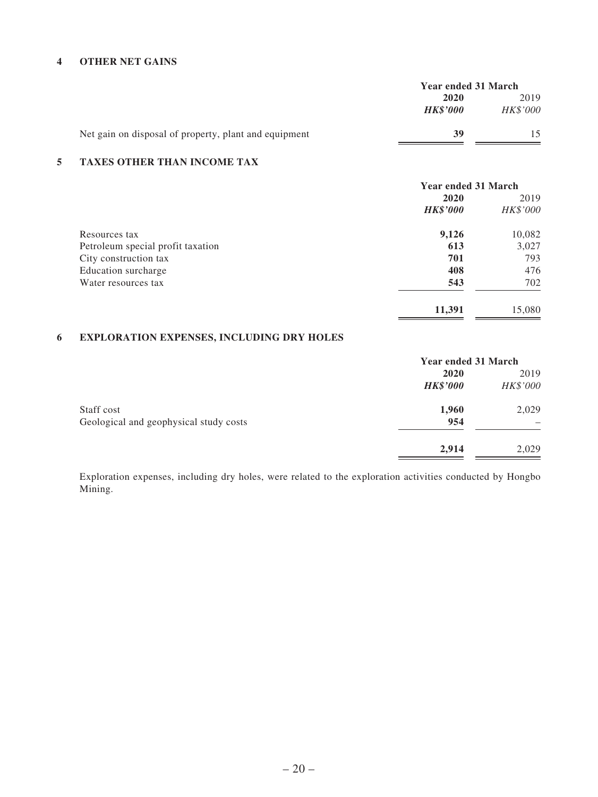#### **4 OTHER NET GAINS**

|                                                       | <b>Year ended 31 March</b> |                 |  |
|-------------------------------------------------------|----------------------------|-----------------|--|
|                                                       | 2019<br>2020               |                 |  |
|                                                       | <b>HK\$'000</b>            | <b>HK\$'000</b> |  |
| Net gain on disposal of property, plant and equipment | 39                         |                 |  |

#### **5 TAXES OTHER THAN INCOME TAX**

|                                   | <b>Year ended 31 March</b> |          |  |
|-----------------------------------|----------------------------|----------|--|
|                                   | 2020                       | 2019     |  |
|                                   | <b>HK\$'000</b>            | HK\$'000 |  |
| Resources tax                     | 9,126                      | 10,082   |  |
| Petroleum special profit taxation | 613                        | 3,027    |  |
| City construction tax             | 701                        | 793      |  |
| Education surcharge               | 408                        | 476      |  |
| Water resources tax               | 543                        | 702      |  |
|                                   | 11,391                     | 15,080   |  |

# **6 EXPLORATION EXPENSES, INCLUDING DRY HOLES**

|                                        | <b>Year ended 31 March</b> |          |  |
|----------------------------------------|----------------------------|----------|--|
|                                        | 2020                       | 2019     |  |
|                                        | <b>HK\$'000</b>            | HK\$'000 |  |
| Staff cost                             | 1,960                      | 2,029    |  |
| Geological and geophysical study costs | 954                        |          |  |
|                                        | 2,914                      | 2,029    |  |

Exploration expenses, including dry holes, were related to the exploration activities conducted by Hongbo Mining.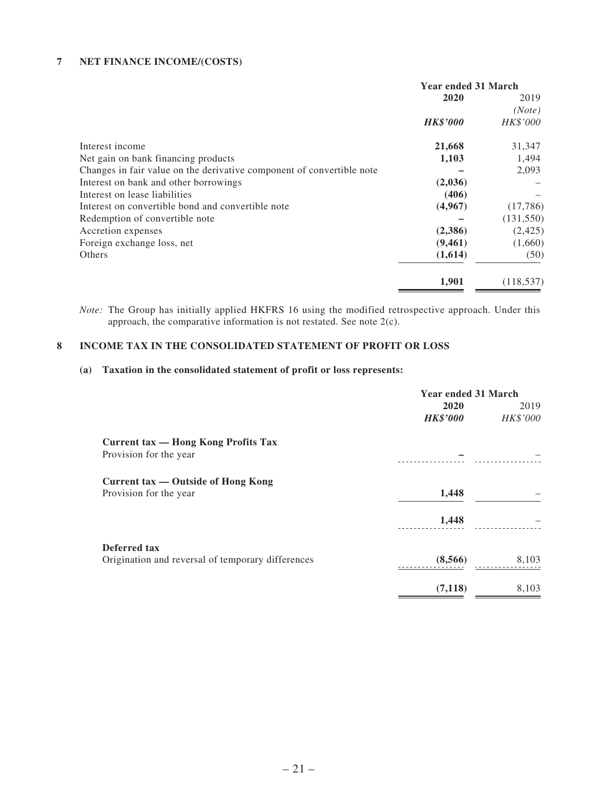#### **7 NET FINANCE INCOME/(COSTS)**

|                                                                       | <b>Year ended 31 March</b> |            |  |
|-----------------------------------------------------------------------|----------------------------|------------|--|
|                                                                       | 2020                       | 2019       |  |
|                                                                       |                            | (Note)     |  |
|                                                                       | <b>HK\$'000</b>            | HK\$'000   |  |
| Interest income                                                       | 21,668                     | 31,347     |  |
| Net gain on bank financing products                                   | 1,103                      | 1,494      |  |
| Changes in fair value on the derivative component of convertible note |                            | 2,093      |  |
| Interest on bank and other borrowings                                 | (2,036)                    |            |  |
| Interest on lease liabilities                                         | (406)                      |            |  |
| Interest on convertible bond and convertible note                     | (4,967)                    | (17,786)   |  |
| Redemption of convertible note                                        |                            | (131, 550) |  |
| Accretion expenses                                                    | (2,386)                    | (2,425)    |  |
| Foreign exchange loss, net                                            | (9,461)                    | (1,660)    |  |
| <b>Others</b>                                                         | (1,614)                    | (50)       |  |
|                                                                       | 1,901                      | (118, 537) |  |

*Note:* The Group has initially applied HKFRS 16 using the modified retrospective approach. Under this approach, the comparative information is not restated. See note 2(c).

#### **8 INCOME TAX IN THE CONSOLIDATED STATEMENT OF PROFIT OR LOSS**

#### **(a) Taxation in the consolidated statement of profit or loss represents:**

|                                                   | <b>Year ended 31 March</b> |          |  |
|---------------------------------------------------|----------------------------|----------|--|
|                                                   | 2020                       | 2019     |  |
|                                                   | <b>HK\$'000</b>            | HK\$'000 |  |
| Current tax — Hong Kong Profits Tax               |                            |          |  |
| Provision for the year                            |                            |          |  |
| Current tax — Outside of Hong Kong                |                            |          |  |
| Provision for the year                            | 1,448                      |          |  |
|                                                   | 1,448                      |          |  |
| Deferred tax                                      |                            |          |  |
| Origination and reversal of temporary differences | (8,566)                    | 8,103    |  |
|                                                   | (7,118)                    | 8,103    |  |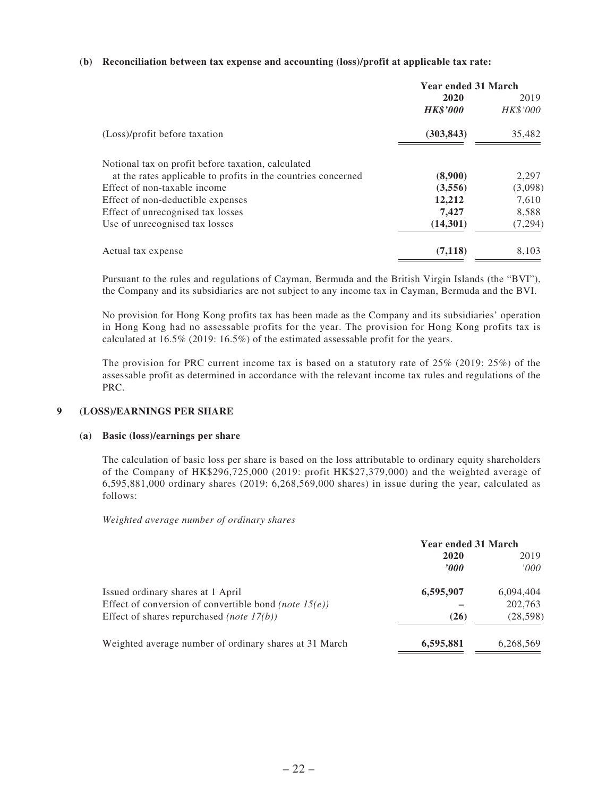#### **(b) Reconciliation between tax expense and accounting (loss)/profit at applicable tax rate:**

|                                                               | <b>Year ended 31 March</b> |          |
|---------------------------------------------------------------|----------------------------|----------|
|                                                               | 2020                       | 2019     |
|                                                               | <b>HK\$'000</b>            | HK\$'000 |
| (Loss)/profit before taxation                                 | (303, 843)                 | 35,482   |
| Notional tax on profit before taxation, calculated            |                            |          |
| at the rates applicable to profits in the countries concerned | (8,900)                    | 2,297    |
| Effect of non-taxable income                                  | (3,556)                    | (3,098)  |
| Effect of non-deductible expenses                             | 12,212                     | 7,610    |
| Effect of unrecognised tax losses                             | 7,427                      | 8,588    |
| Use of unrecognised tax losses                                | (14,301)                   | (7, 294) |
| Actual tax expense                                            | (7,118)                    | 8,103    |

Pursuant to the rules and regulations of Cayman, Bermuda and the British Virgin Islands (the "BVI"), the Company and its subsidiaries are not subject to any income tax in Cayman, Bermuda and the BVI.

No provision for Hong Kong profits tax has been made as the Company and its subsidiaries' operation in Hong Kong had no assessable profits for the year. The provision for Hong Kong profits tax is calculated at 16.5% (2019: 16.5%) of the estimated assessable profit for the years.

The provision for PRC current income tax is based on a statutory rate of 25% (2019: 25%) of the assessable profit as determined in accordance with the relevant income tax rules and regulations of the PRC.

#### **9 (LOSS)/EARNINGS PER SHARE**

#### **(a) Basic (loss)/earnings per share**

The calculation of basic loss per share is based on the loss attributable to ordinary equity shareholders of the Company of HK\$296,725,000 (2019: profit HK\$27,379,000) and the weighted average of 6,595,881,000 ordinary shares (2019: 6,268,569,000 shares) in issue during the year, calculated as follows:

*Weighted average number of ordinary shares*

|                                                          | <b>Year ended 31 March</b> |           |  |
|----------------------------------------------------------|----------------------------|-----------|--|
|                                                          | 2020                       | 2019      |  |
|                                                          | 2000                       | 000'      |  |
| Issued ordinary shares at 1 April                        | 6,595,907                  | 6,094,404 |  |
| Effect of conversion of convertible bond (note $15(e)$ ) |                            | 202,763   |  |
| Effect of shares repurchased <i>(note 17(b))</i>         | (26)                       | (28, 598) |  |
| Weighted average number of ordinary shares at 31 March   | 6,595,881                  | 6,268,569 |  |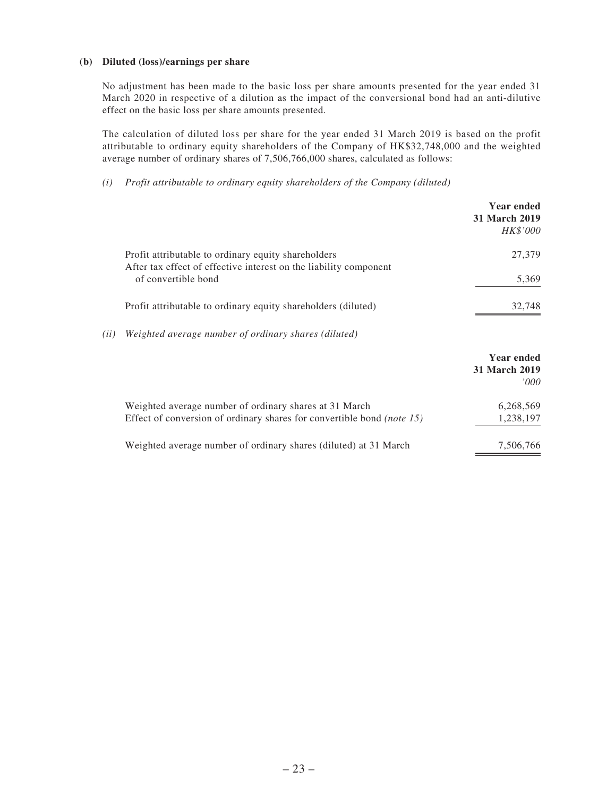#### **(b) Diluted (loss)/earnings per share**

No adjustment has been made to the basic loss per share amounts presented for the year ended 31 March 2020 in respective of a dilution as the impact of the conversional bond had an anti-dilutive effect on the basic loss per share amounts presented.

The calculation of diluted loss per share for the year ended 31 March 2019 is based on the profit attributable to ordinary equity shareholders of the Company of HK\$32,748,000 and the weighted average number of ordinary shares of 7,506,766,000 shares, calculated as follows:

*(i) Profit attributable to ordinary equity shareholders of the Company (diluted)*

|      |                                                                                                                          | Year ended<br><b>31 March 2019</b><br>HK\$'000 |
|------|--------------------------------------------------------------------------------------------------------------------------|------------------------------------------------|
|      | Profit attributable to ordinary equity shareholders<br>After tax effect of effective interest on the liability component | 27,379                                         |
|      | of convertible bond                                                                                                      | 5,369                                          |
|      | Profit attributable to ordinary equity shareholders (diluted)                                                            | 32,748                                         |
| (ii) | Weighted average number of ordinary shares (diluted)                                                                     |                                                |
|      |                                                                                                                          | Year ended<br><b>31 March 2019</b><br>000'     |
|      | Weighted average number of ordinary shares at 31 March                                                                   | 6,268,569                                      |
|      | Effect of conversion of ordinary shares for convertible bond <i>(note 15)</i>                                            | 1,238,197                                      |
|      | Weighted average number of ordinary shares (diluted) at 31 March                                                         | 7,506,766                                      |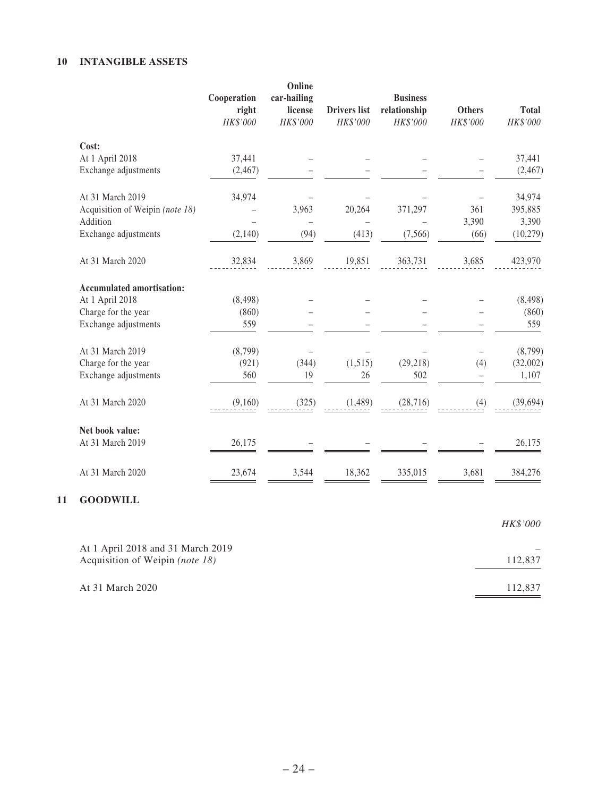#### **10 INTANGIBLE ASSETS**

| Cooperation<br>right<br>HK\$'000 | Online<br>car-hailing<br>license<br>HK\$'000 | <b>Drivers</b> list<br>HK\$'000 | <b>Business</b><br>relationship<br>HK\$'000 | <b>Others</b><br>HK\$'000 | <b>Total</b><br>HK\$'000 |
|----------------------------------|----------------------------------------------|---------------------------------|---------------------------------------------|---------------------------|--------------------------|
|                                  |                                              |                                 |                                             |                           |                          |
| 37,441                           |                                              |                                 |                                             |                           | 37,441                   |
| (2,467)                          |                                              |                                 |                                             |                           | (2, 467)                 |
| 34,974                           |                                              |                                 |                                             |                           | 34,974                   |
|                                  | 3,963                                        | 20,264                          | 371,297                                     | 361                       | 395,885                  |
|                                  |                                              |                                 |                                             | 3,390                     | 3,390                    |
| (2,140)                          | (94)                                         | (413)                           | (7, 566)                                    | (66)                      | (10, 279)                |
| 32,834                           | 3,869                                        | 19,851                          | 363,731                                     | 3,685                     | 423,970                  |
|                                  |                                              |                                 |                                             |                           |                          |
| (8, 498)                         |                                              |                                 |                                             |                           | (8, 498)                 |
| (860)                            |                                              |                                 |                                             |                           | (860)                    |
| 559                              |                                              |                                 |                                             |                           | 559                      |
| (8,799)                          |                                              |                                 |                                             |                           | (8,799)                  |
| (921)                            | (344)                                        | (1,515)                         | (29, 218)                                   | (4)                       | (32,002)                 |
| 560                              | 19                                           | 26                              | 502                                         | $\overline{\phantom{0}}$  | 1,107                    |
| (9,160)                          | (325)                                        | (1,489)                         | (28, 716)                                   | (4)                       | (39, 694)                |
|                                  |                                              |                                 |                                             |                           |                          |
| 26,175                           |                                              |                                 |                                             |                           | 26,175                   |
| 23,674                           | 3,544                                        | 18,362                          | 335,015                                     | 3,681                     | 384,276                  |
|                                  |                                              |                                 |                                             |                           |                          |

|                                                                      | HK\$'000 |
|----------------------------------------------------------------------|----------|
| At 1 April 2018 and 31 March 2019<br>Acquisition of Weipin (note 18) | 112,837  |
| At 31 March 2020                                                     | 112,837  |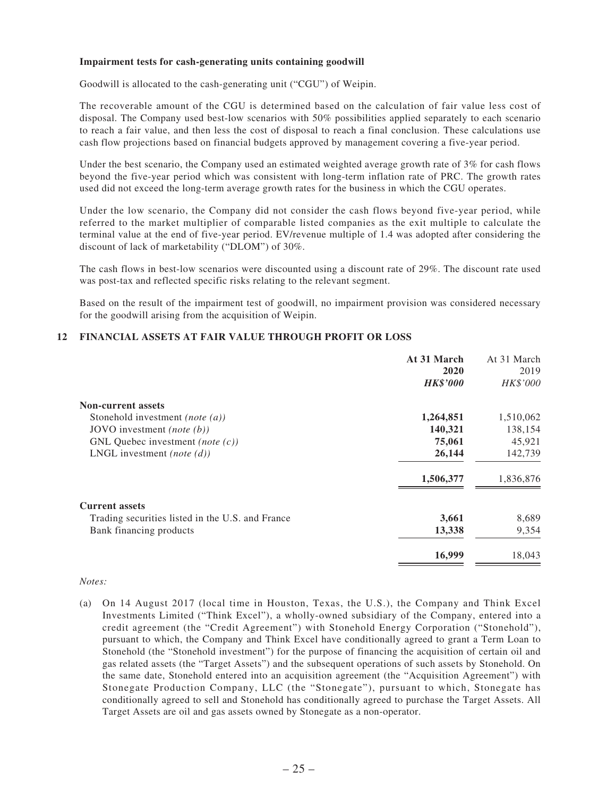#### **Impairment tests for cash-generating units containing goodwill**

Goodwill is allocated to the cash-generating unit ("CGU") of Weipin.

The recoverable amount of the CGU is determined based on the calculation of fair value less cost of disposal. The Company used best-low scenarios with 50% possibilities applied separately to each scenario to reach a fair value, and then less the cost of disposal to reach a final conclusion. These calculations use cash flow projections based on financial budgets approved by management covering a five-year period.

Under the best scenario, the Company used an estimated weighted average growth rate of 3% for cash flows beyond the five-year period which was consistent with long-term inflation rate of PRC. The growth rates used did not exceed the long-term average growth rates for the business in which the CGU operates.

Under the low scenario, the Company did not consider the cash flows beyond five-year period, while referred to the market multiplier of comparable listed companies as the exit multiple to calculate the terminal value at the end of five-year period. EV/revenue multiple of 1.4 was adopted after considering the discount of lack of marketability ("DLOM") of 30%.

The cash flows in best-low scenarios were discounted using a discount rate of 29%. The discount rate used was post-tax and reflected specific risks relating to the relevant segment.

Based on the result of the impairment test of goodwill, no impairment provision was considered necessary for the goodwill arising from the acquisition of Weipin.

#### **12 FINANCIAL ASSETS AT FAIR VALUE THROUGH PROFIT OR LOSS**

|                                                  | At 31 March     | At 31 March |
|--------------------------------------------------|-----------------|-------------|
|                                                  | 2020            | 2019        |
|                                                  | <b>HK\$'000</b> | HK\$'000    |
| <b>Non-current assets</b>                        |                 |             |
| Stonehold investment ( <i>note</i> $(a)$ )       | 1,264,851       | 1,510,062   |
| JOVO investment ( <i>note</i> $(b)$ )            | 140,321         | 138,154     |
| GNL Quebec investment ( <i>note</i> $(c)$ )      | 75,061          | 45,921      |
| LNGL investment ( <i>note</i> $(d)$ )            | 26,144          | 142,739     |
|                                                  | 1,506,377       | 1,836,876   |
| <b>Current assets</b>                            |                 |             |
| Trading securities listed in the U.S. and France | 3,661           | 8,689       |
| Bank financing products                          | 13,338          | 9,354       |
|                                                  | 16,999          | 18,043      |

#### *Notes:*

(a) On 14 August 2017 (local time in Houston, Texas, the U.S.), the Company and Think Excel Investments Limited ("Think Excel"), a wholly-owned subsidiary of the Company, entered into a credit agreement (the "Credit Agreement") with Stonehold Energy Corporation ("Stonehold"), pursuant to which, the Company and Think Excel have conditionally agreed to grant a Term Loan to Stonehold (the "Stonehold investment") for the purpose of financing the acquisition of certain oil and gas related assets (the "Target Assets") and the subsequent operations of such assets by Stonehold. On the same date, Stonehold entered into an acquisition agreement (the "Acquisition Agreement") with Stonegate Production Company, LLC (the "Stonegate"), pursuant to which, Stonegate has conditionally agreed to sell and Stonehold has conditionally agreed to purchase the Target Assets. All Target Assets are oil and gas assets owned by Stonegate as a non-operator.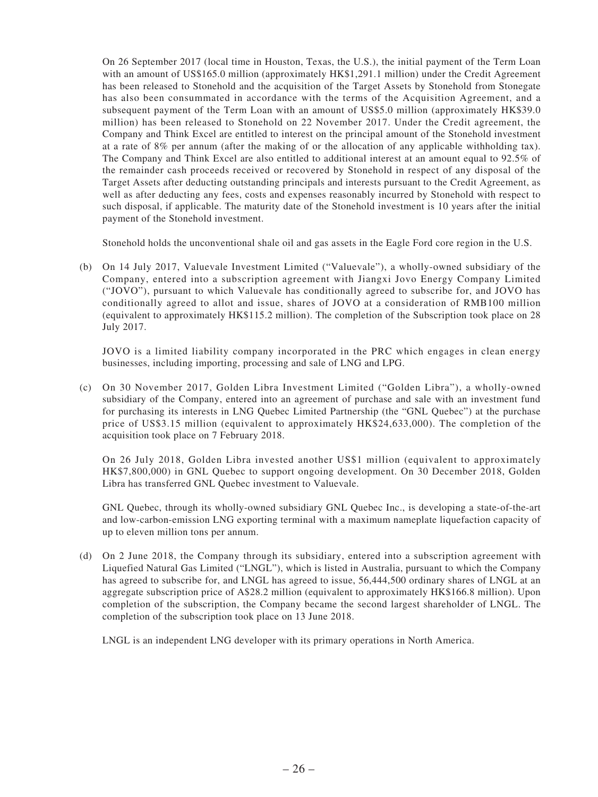On 26 September 2017 (local time in Houston, Texas, the U.S.), the initial payment of the Term Loan with an amount of US\$165.0 million (approximately HK\$1,291.1 million) under the Credit Agreement has been released to Stonehold and the acquisition of the Target Assets by Stonehold from Stonegate has also been consummated in accordance with the terms of the Acquisition Agreement, and a subsequent payment of the Term Loan with an amount of US\$5.0 million (approximately HK\$39.0 million) has been released to Stonehold on 22 November 2017. Under the Credit agreement, the Company and Think Excel are entitled to interest on the principal amount of the Stonehold investment at a rate of 8% per annum (after the making of or the allocation of any applicable withholding tax). The Company and Think Excel are also entitled to additional interest at an amount equal to 92.5% of the remainder cash proceeds received or recovered by Stonehold in respect of any disposal of the Target Assets after deducting outstanding principals and interests pursuant to the Credit Agreement, as well as after deducting any fees, costs and expenses reasonably incurred by Stonehold with respect to such disposal, if applicable. The maturity date of the Stonehold investment is 10 years after the initial payment of the Stonehold investment.

Stonehold holds the unconventional shale oil and gas assets in the Eagle Ford core region in the U.S.

(b) On 14 July 2017, Valuevale Investment Limited ("Valuevale"), a wholly-owned subsidiary of the Company, entered into a subscription agreement with Jiangxi Jovo Energy Company Limited ("JOVO"), pursuant to which Valuevale has conditionally agreed to subscribe for, and JOVO has conditionally agreed to allot and issue, shares of JOVO at a consideration of RMB100 million (equivalent to approximately HK\$115.2 million). The completion of the Subscription took place on 28 July 2017.

JOVO is a limited liability company incorporated in the PRC which engages in clean energy businesses, including importing, processing and sale of LNG and LPG.

(c) On 30 November 2017, Golden Libra Investment Limited ("Golden Libra"), a wholly-owned subsidiary of the Company, entered into an agreement of purchase and sale with an investment fund for purchasing its interests in LNG Quebec Limited Partnership (the "GNL Quebec") at the purchase price of US\$3.15 million (equivalent to approximately HK\$24,633,000). The completion of the acquisition took place on 7 February 2018.

On 26 July 2018, Golden Libra invested another US\$1 million (equivalent to approximately HK\$7,800,000) in GNL Quebec to support ongoing development. On 30 December 2018, Golden Libra has transferred GNL Quebec investment to Valuevale.

GNL Quebec, through its wholly-owned subsidiary GNL Quebec Inc., is developing a state-of-the-art and low-carbon-emission LNG exporting terminal with a maximum nameplate liquefaction capacity of up to eleven million tons per annum.

(d) On 2 June 2018, the Company through its subsidiary, entered into a subscription agreement with Liquefied Natural Gas Limited ("LNGL"), which is listed in Australia, pursuant to which the Company has agreed to subscribe for, and LNGL has agreed to issue, 56,444,500 ordinary shares of LNGL at an aggregate subscription price of A\$28.2 million (equivalent to approximately HK\$166.8 million). Upon completion of the subscription, the Company became the second largest shareholder of LNGL. The completion of the subscription took place on 13 June 2018.

LNGL is an independent LNG developer with its primary operations in North America.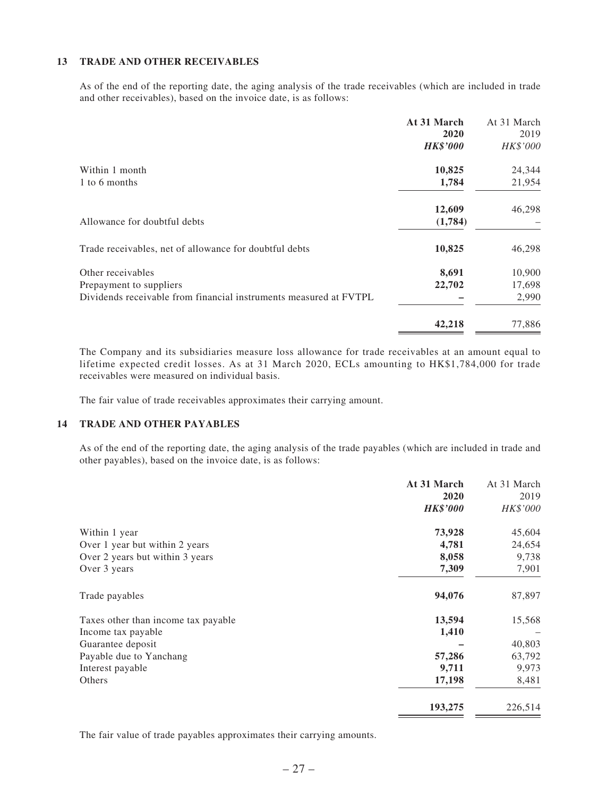#### **13 TRADE AND OTHER RECEIVABLES**

As of the end of the reporting date, the aging analysis of the trade receivables (which are included in trade and other receivables), based on the invoice date, is as follows:

|                                                                   | At 31 March<br>2020 | At 31 March<br>2019 |
|-------------------------------------------------------------------|---------------------|---------------------|
|                                                                   | <b>HK\$'000</b>     | HK\$'000            |
| Within 1 month                                                    | 10,825              | 24,344              |
| 1 to 6 months                                                     | 1,784               | 21,954              |
|                                                                   | 12,609              | 46,298              |
| Allowance for doubtful debts                                      | (1,784)             |                     |
| Trade receivables, net of allowance for doubtful debts            | 10,825              | 46,298              |
| Other receivables                                                 | 8,691               | 10,900              |
| Prepayment to suppliers                                           | 22,702              | 17,698              |
| Dividends receivable from financial instruments measured at FVTPL |                     | 2,990               |
|                                                                   | 42,218              | 77,886              |

The Company and its subsidiaries measure loss allowance for trade receivables at an amount equal to lifetime expected credit losses. As at 31 March 2020, ECLs amounting to HK\$1,784,000 for trade receivables were measured on individual basis.

The fair value of trade receivables approximates their carrying amount.

#### **14 TRADE AND OTHER PAYABLES**

As of the end of the reporting date, the aging analysis of the trade payables (which are included in trade and other payables), based on the invoice date, is as follows:

|                                     | At 31 March     | At 31 March |
|-------------------------------------|-----------------|-------------|
|                                     | 2020            | 2019        |
|                                     | <b>HK\$'000</b> | HK\$'000    |
| Within 1 year                       | 73,928          | 45,604      |
| Over 1 year but within 2 years      | 4,781           | 24,654      |
| Over 2 years but within 3 years     | 8,058           | 9,738       |
| Over 3 years                        | 7,309           | 7,901       |
| Trade payables                      | 94,076          | 87,897      |
| Taxes other than income tax payable | 13,594          | 15,568      |
| Income tax payable                  | 1,410           |             |
| Guarantee deposit                   |                 | 40,803      |
| Payable due to Yanchang             | 57,286          | 63,792      |
| Interest payable                    | 9,711           | 9,973       |
| Others                              | 17,198          | 8,481       |
|                                     | 193,275         | 226,514     |

The fair value of trade payables approximates their carrying amounts.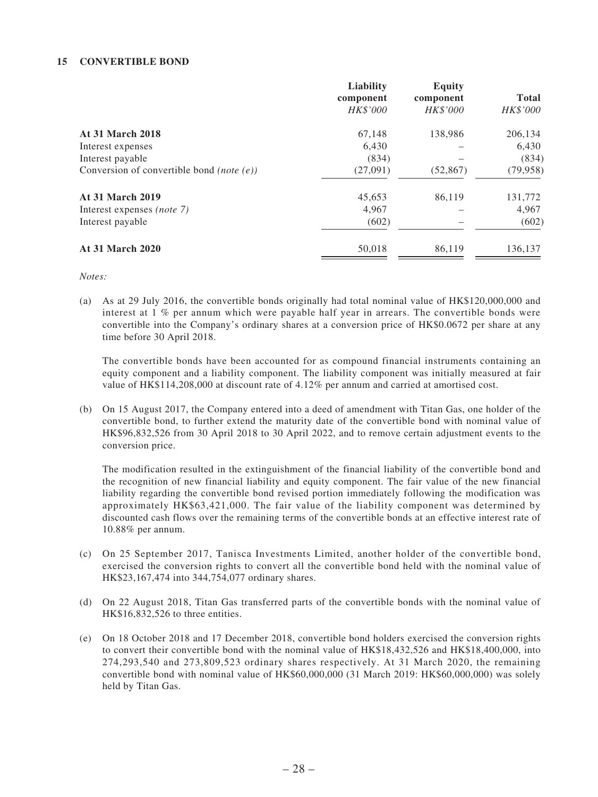#### **15 CONVERTIBLE BOND**

| Liability | <b>Equity</b>         |              |
|-----------|-----------------------|--------------|
|           |                       | <b>Total</b> |
|           | <b>HK\$'000</b>       | HK\$'000     |
| 67,148    | 138,986               | 206,134      |
| 6,430     |                       | 6,430        |
| (834)     |                       | (834)        |
| (27,091)  | (52, 867)             | (79, 958)    |
| 45,653    | 86,119                | 131,772      |
| 4,967     |                       | 4,967        |
| (602)     |                       | (602)        |
| 50,018    | 86,119                | 136,137      |
|           | component<br>HK\$'000 | component    |

*Notes:*

(a) As at 29 July 2016, the convertible bonds originally had total nominal value of HK\$120,000,000 and interest at 1 % per annum which were payable half year in arrears. The convertible bonds were convertible into the Company's ordinary shares at a conversion price of HK\$0.0672 per share at any time before 30 April 2018.

The convertible bonds have been accounted for as compound financial instruments containing an equity component and a liability component. The liability component was initially measured at fair value of HK\$114,208,000 at discount rate of 4.12% per annum and carried at amortised cost.

(b) On 15 August 2017, the Company entered into a deed of amendment with Titan Gas, one holder of the convertible bond, to further extend the maturity date of the convertible bond with nominal value of HK\$96,832,526 from 30 April 2018 to 30 April 2022, and to remove certain adjustment events to the conversion price.

The modification resulted in the extinguishment of the financial liability of the convertible bond and the recognition of new financial liability and equity component. The fair value of the new financial liability regarding the convertible bond revised portion immediately following the modification was approximately HK\$63,421,000. The fair value of the liability component was determined by discounted cash flows over the remaining terms of the convertible bonds at an effective interest rate of 10.88% per annum.

- (c) On 25 September 2017, Tanisca Investments Limited, another holder of the convertible bond, exercised the conversion rights to convert all the convertible bond held with the nominal value of HK\$23,167,474 into 344,754,077 ordinary shares.
- (d) On 22 August 2018, Titan Gas transferred parts of the convertible bonds with the nominal value of HK\$16,832,526 to three entities.
- (e) On 18 October 2018 and 17 December 2018, convertible bond holders exercised the conversion rights to convert their convertible bond with the nominal value of HK\$18,432,526 and HK\$18,400,000, into 274,293,540 and 273,809,523 ordinary shares respectively. At 31 March 2020, the remaining convertible bond with nominal value of HK\$60,000,000 (31 March 2019: HK\$60,000,000) was solely held by Titan Gas.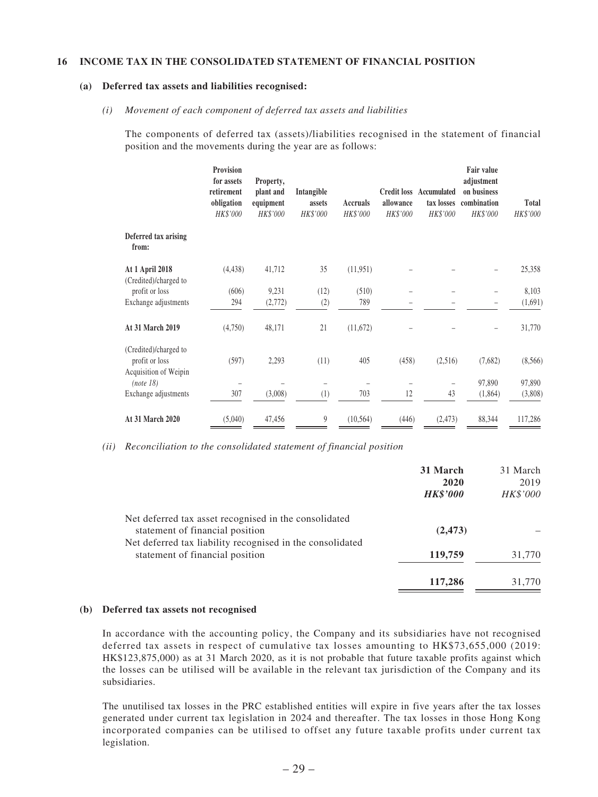#### **16 INCOME TAX IN THE CONSOLIDATED STATEMENT OF FINANCIAL POSITION**

#### **(a) Deferred tax assets and liabilities recognised:**

#### *(i) Movement of each component of deferred tax assets and liabilities*

The components of deferred tax (assets)/liabilities recognised in the statement of financial position and the movements during the year are as follows:

|                                                                  | Provision<br>for assets<br>retirement<br>obligation<br>HK\$'000 | Property,<br>plant and<br>equipment<br><b>HK\$'000</b> | Intangible<br>assets<br>HK\$'000 | Accruals<br>HK\$'000 | allowance<br>HK\$'000 | <b>Credit loss Accumulated</b><br>tax losses<br>HK\$'000 | Fair value<br>adjustment<br>on business<br>combination<br>HK\$'000 | <b>Total</b><br>HK\$'000 |
|------------------------------------------------------------------|-----------------------------------------------------------------|--------------------------------------------------------|----------------------------------|----------------------|-----------------------|----------------------------------------------------------|--------------------------------------------------------------------|--------------------------|
| Deferred tax arising<br>from:                                    |                                                                 |                                                        |                                  |                      |                       |                                                          |                                                                    |                          |
| At 1 April 2018<br>(Credited)/charged to                         | (4, 438)                                                        | 41,712                                                 | 35                               | (11,951)             |                       |                                                          |                                                                    | 25,358                   |
| profit or loss                                                   | (606)                                                           | 9,231                                                  | (12)                             | (510)                |                       |                                                          |                                                                    | 8,103                    |
| Exchange adjustments                                             | 294                                                             | (2, 772)                                               | (2)                              | 789                  |                       |                                                          |                                                                    | (1,691)                  |
| At 31 March 2019                                                 | (4,750)                                                         | 48,171                                                 | 21                               | (11, 672)            |                       |                                                          |                                                                    | 31,770                   |
| (Credited)/charged to<br>profit or loss<br>Acquisition of Weipin | (597)                                                           | 2,293                                                  | (11)                             | 405                  | (458)                 | (2,516)                                                  | (7,682)                                                            | (8, 566)                 |
| (note 18)                                                        |                                                                 |                                                        |                                  |                      |                       |                                                          | 97,890                                                             | 97,890                   |
| Exchange adjustments                                             | 307                                                             | (3,008)                                                | (1)                              | 703                  | 12                    | 43                                                       | (1,864)                                                            | (3,808)                  |
| At 31 March 2020                                                 | (5,040)                                                         | 47,456                                                 | 9                                | (10, 564)            | (446)                 | (2, 473)                                                 | 88,344                                                             | 117,286                  |

*(ii) Reconciliation to the consolidated statement of financial position*

|                                                                                              | 31 March<br>2020<br><b>HK\$'000</b> | 31 March<br>2019<br>HK\$'000 |
|----------------------------------------------------------------------------------------------|-------------------------------------|------------------------------|
| Net deferred tax asset recognised in the consolidated<br>statement of financial position     | (2, 473)                            |                              |
| Net deferred tax liability recognised in the consolidated<br>statement of financial position | 119,759                             | 31,770                       |
|                                                                                              | 117,286                             | 31,770                       |

#### **(b) Deferred tax assets not recognised**

In accordance with the accounting policy, the Company and its subsidiaries have not recognised deferred tax assets in respect of cumulative tax losses amounting to HK\$73,655,000 (2019: HK\$123,875,000) as at 31 March 2020, as it is not probable that future taxable profits against which the losses can be utilised will be available in the relevant tax jurisdiction of the Company and its subsidiaries.

The unutilised tax losses in the PRC established entities will expire in five years after the tax losses generated under current tax legislation in 2024 and thereafter. The tax losses in those Hong Kong incorporated companies can be utilised to offset any future taxable profits under current tax legislation.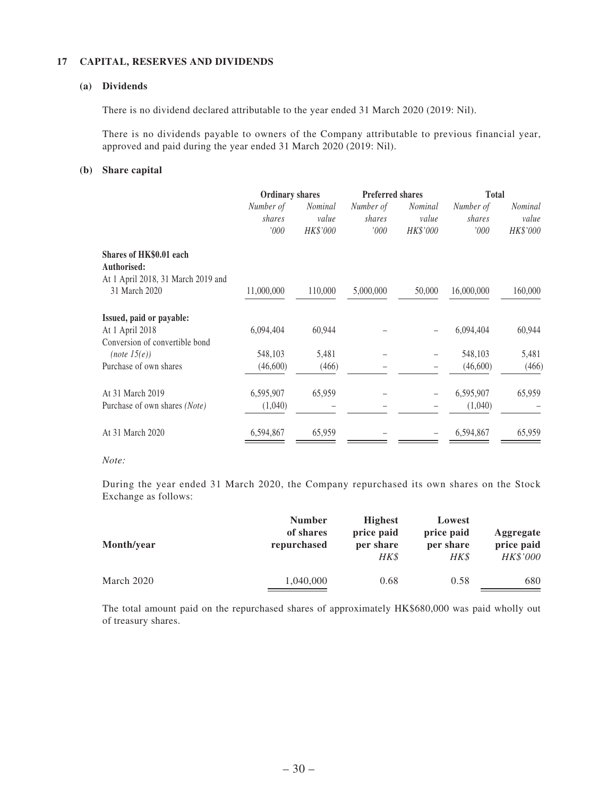#### **17 CAPITAL, RESERVES AND DIVIDENDS**

#### **(a) Dividends**

There is no dividend declared attributable to the year ended 31 March 2020 (2019: Nil).

There is no dividends payable to owners of the Company attributable to previous financial year, approved and paid during the year ended 31 March 2020 (2019: Nil).

#### **(b) Share capital**

|                                    | <b>Ordinary shares</b> |                | <b>Preferred shares</b> |                | <b>Total</b> |                |
|------------------------------------|------------------------|----------------|-------------------------|----------------|--------------|----------------|
|                                    | Number of              | <i>Nominal</i> | Number of               | <i>Nominal</i> | Number of    | <i>Nominal</i> |
|                                    | shares                 | value          | shares                  | value          | shares       | value          |
|                                    | 000'                   | HK\$'000       | '000'                   | HK\$'000       | '000         | HK\$'000       |
| Shares of HK\$0.01 each            |                        |                |                         |                |              |                |
| Authorised:                        |                        |                |                         |                |              |                |
| At 1 April 2018, 31 March 2019 and |                        |                |                         |                |              |                |
| 31 March 2020                      | 11,000,000             | 110,000        | 5,000,000               | 50,000         | 16,000,000   | 160,000        |
| Issued, paid or payable:           |                        |                |                         |                |              |                |
| At 1 April 2018                    | 6,094,404              | 60,944         |                         |                | 6,094,404    | 60,944         |
| Conversion of convertible bond     |                        |                |                         |                |              |                |
| (note 15(e))                       | 548,103                | 5,481          |                         |                | 548,103      | 5,481          |
| Purchase of own shares             | (46,600)               | (466)          |                         |                | (46,600)     | (466)          |
| At 31 March 2019                   | 6,595,907              | 65,959         |                         |                | 6,595,907    | 65,959         |
| Purchase of own shares (Note)      | (1,040)                |                |                         |                | (1,040)      |                |
| At 31 March 2020                   | 6,594,867              | 65,959         |                         |                | 6,594,867    | 65,959         |
|                                    |                        |                |                         |                |              |                |

#### *Note:*

During the year ended 31 March 2020, the Company repurchased its own shares on the Stock Exchange as follows:

| Month/year | <b>Number</b><br>of shares<br>repurchased | <b>Highest</b><br>price paid<br>per share<br>HK\$ | Lowest<br>price paid<br>per share<br>HK\$ | Aggregate<br>price paid<br><b>HK\$'000</b> |
|------------|-------------------------------------------|---------------------------------------------------|-------------------------------------------|--------------------------------------------|
| March 2020 | 1,040,000                                 | 0.68                                              | 0.58                                      | 680                                        |

The total amount paid on the repurchased shares of approximately HK\$680,000 was paid wholly out of treasury shares.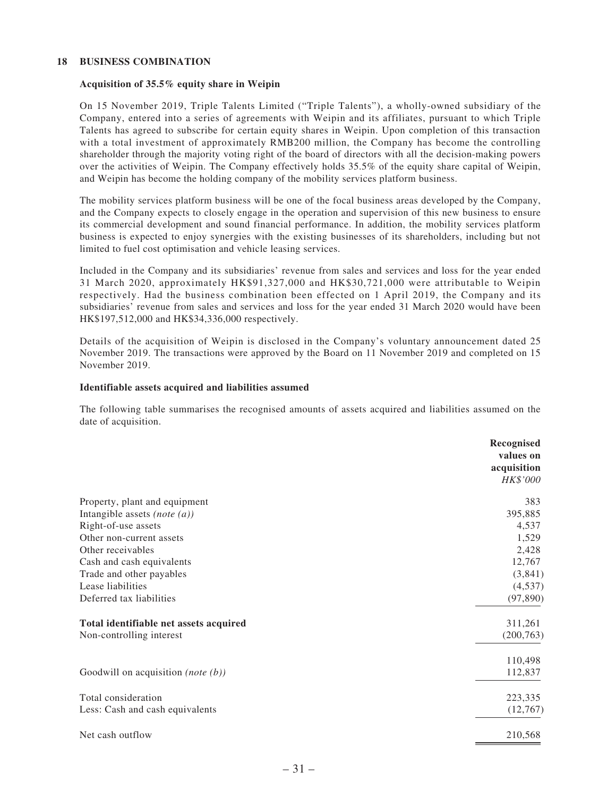#### **18 BUSINESS COMBINATION**

#### **Acquisition of 35.5% equity share in Weipin**

On 15 November 2019, Triple Talents Limited ("Triple Talents"), a wholly-owned subsidiary of the Company, entered into a series of agreements with Weipin and its affiliates, pursuant to which Triple Talents has agreed to subscribe for certain equity shares in Weipin. Upon completion of this transaction with a total investment of approximately RMB200 million, the Company has become the controlling shareholder through the majority voting right of the board of directors with all the decision-making powers over the activities of Weipin. The Company effectively holds 35.5% of the equity share capital of Weipin, and Weipin has become the holding company of the mobility services platform business.

The mobility services platform business will be one of the focal business areas developed by the Company, and the Company expects to closely engage in the operation and supervision of this new business to ensure its commercial development and sound financial performance. In addition, the mobility services platform business is expected to enjoy synergies with the existing businesses of its shareholders, including but not limited to fuel cost optimisation and vehicle leasing services.

Included in the Company and its subsidiaries' revenue from sales and services and loss for the year ended 31 March 2020, approximately HK\$91,327,000 and HK\$30,721,000 were attributable to Weipin respectively. Had the business combination been effected on 1 April 2019, the Company and its subsidiaries' revenue from sales and services and loss for the year ended 31 March 2020 would have been HK\$197,512,000 and HK\$34,336,000 respectively.

Details of the acquisition of Weipin is disclosed in the Company's voluntary announcement dated 25 November 2019. The transactions were approved by the Board on 11 November 2019 and completed on 15 November 2019.

#### **Identifiable assets acquired and liabilities assumed**

The following table summarises the recognised amounts of assets acquired and liabilities assumed on the date of acquisition.

|                                               | Recognised<br>values on<br>acquisition<br>HK\$'000 |
|-----------------------------------------------|----------------------------------------------------|
| Property, plant and equipment                 | 383                                                |
| Intangible assets (note $(a)$ )               | 395,885                                            |
| Right-of-use assets                           | 4,537                                              |
| Other non-current assets                      | 1,529                                              |
| Other receivables                             | 2,428                                              |
| Cash and cash equivalents                     | 12,767                                             |
| Trade and other payables                      | (3,841)                                            |
| Lease liabilities                             | (4,537)                                            |
| Deferred tax liabilities                      | (97, 890)                                          |
| Total identifiable net assets acquired        | 311,261                                            |
| Non-controlling interest                      | (200, 763)                                         |
|                                               | 110,498                                            |
| Goodwill on acquisition ( <i>note</i> $(b)$ ) | 112,837                                            |
| Total consideration                           | 223,335                                            |
| Less: Cash and cash equivalents               | (12,767)                                           |
| Net cash outflow                              | 210,568                                            |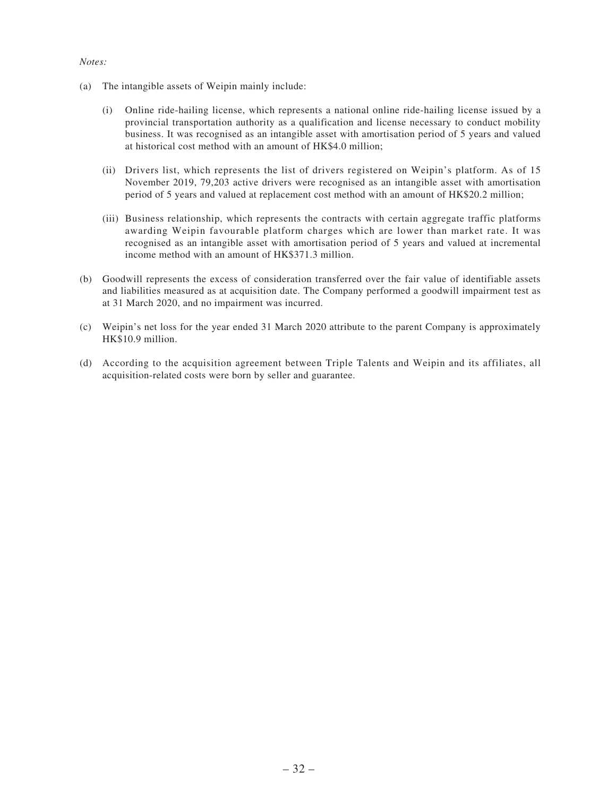#### *Notes:*

- (a) The intangible assets of Weipin mainly include:
	- (i) Online ride-hailing license, which represents a national online ride-hailing license issued by a provincial transportation authority as a qualification and license necessary to conduct mobility business. It was recognised as an intangible asset with amortisation period of 5 years and valued at historical cost method with an amount of HK\$4.0 million;
	- (ii) Drivers list, which represents the list of drivers registered on Weipin's platform. As of 15 November 2019, 79,203 active drivers were recognised as an intangible asset with amortisation period of 5 years and valued at replacement cost method with an amount of HK\$20.2 million;
	- (iii) Business relationship, which represents the contracts with certain aggregate traffic platforms awarding Weipin favourable platform charges which are lower than market rate. It was recognised as an intangible asset with amortisation period of 5 years and valued at incremental income method with an amount of HK\$371.3 million.
- (b) Goodwill represents the excess of consideration transferred over the fair value of identifiable assets and liabilities measured as at acquisition date. The Company performed a goodwill impairment test as at 31 March 2020, and no impairment was incurred.
- (c) Weipin's net loss for the year ended 31 March 2020 attribute to the parent Company is approximately HK\$10.9 million.
- (d) According to the acquisition agreement between Triple Talents and Weipin and its affiliates, all acquisition-related costs were born by seller and guarantee.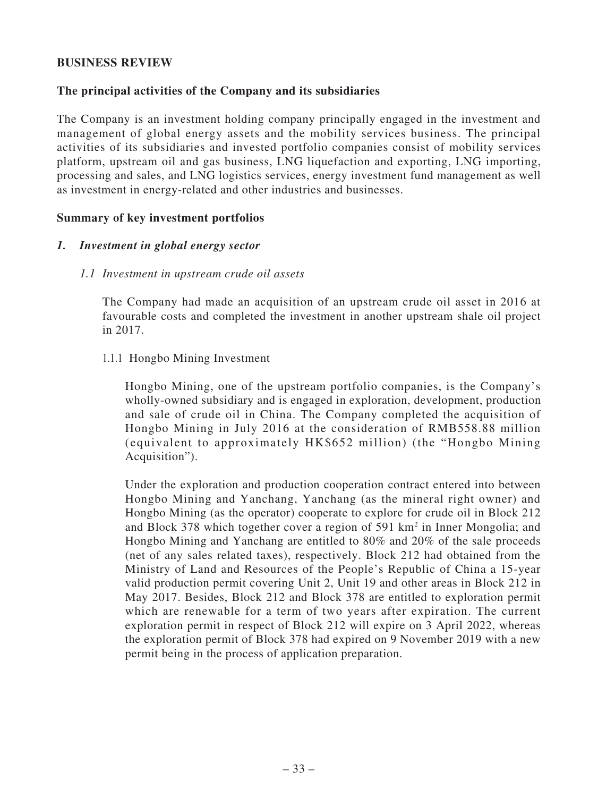### **BUSINESS REVIEW**

### **The principal activities of the Company and its subsidiaries**

The Company is an investment holding company principally engaged in the investment and management of global energy assets and the mobility services business. The principal activities of its subsidiaries and invested portfolio companies consist of mobility services platform, upstream oil and gas business, LNG liquefaction and exporting, LNG importing, processing and sales, and LNG logistics services, energy investment fund management as well as investment in energy-related and other industries and businesses.

#### **Summary of key investment portfolios**

#### *1. Investment in global energy sector*

#### *1.1 Investment in upstream crude oil assets*

The Company had made an acquisition of an upstream crude oil asset in 2016 at favourable costs and completed the investment in another upstream shale oil project in 2017.

### 1.1.1 Hongbo Mining Investment

Hongbo Mining, one of the upstream portfolio companies, is the Company's wholly-owned subsidiary and is engaged in exploration, development, production and sale of crude oil in China. The Company completed the acquisition of Hongbo Mining in July 2016 at the consideration of RMB558.88 million (equivalent to approximately HK\$652 million) (the "Hongbo Mining Acquisition").

Under the exploration and production cooperation contract entered into between Hongbo Mining and Yanchang, Yanchang (as the mineral right owner) and Hongbo Mining (as the operator) cooperate to explore for crude oil in Block 212 and Block 378 which together cover a region of 591 km<sup>2</sup> in Inner Mongolia; and Hongbo Mining and Yanchang are entitled to 80% and 20% of the sale proceeds (net of any sales related taxes), respectively. Block 212 had obtained from the Ministry of Land and Resources of the People's Republic of China a 15-year valid production permit covering Unit 2, Unit 19 and other areas in Block 212 in May 2017. Besides, Block 212 and Block 378 are entitled to exploration permit which are renewable for a term of two years after expiration. The current exploration permit in respect of Block 212 will expire on 3 April 2022, whereas the exploration permit of Block 378 had expired on 9 November 2019 with a new permit being in the process of application preparation.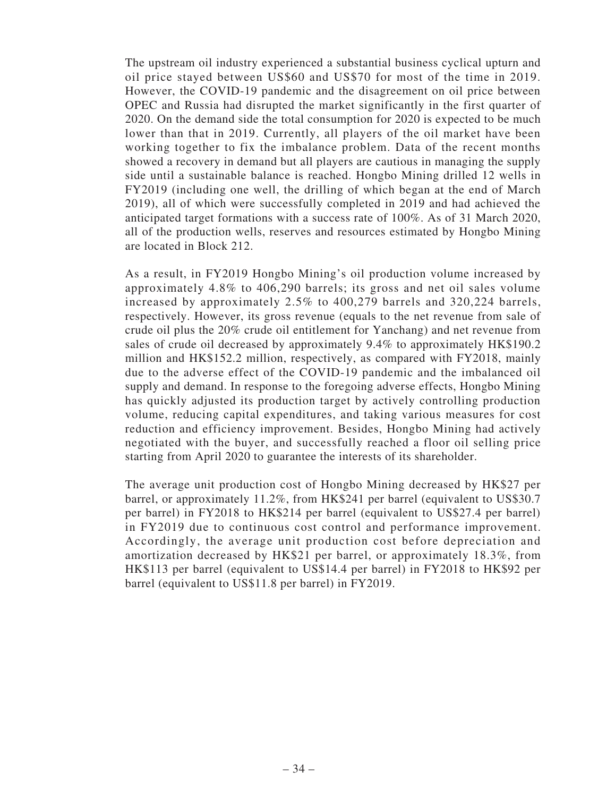The upstream oil industry experienced a substantial business cyclical upturn and oil price stayed between US\$60 and US\$70 for most of the time in 2019. However, the COVID-19 pandemic and the disagreement on oil price between OPEC and Russia had disrupted the market significantly in the first quarter of 2020. On the demand side the total consumption for 2020 is expected to be much lower than that in 2019. Currently, all players of the oil market have been working together to fix the imbalance problem. Data of the recent months showed a recovery in demand but all players are cautious in managing the supply side until a sustainable balance is reached. Hongbo Mining drilled 12 wells in FY2019 (including one well, the drilling of which began at the end of March 2019), all of which were successfully completed in 2019 and had achieved the anticipated target formations with a success rate of 100%. As of 31 March 2020, all of the production wells, reserves and resources estimated by Hongbo Mining are located in Block 212.

As a result, in FY2019 Hongbo Mining's oil production volume increased by approximately 4.8% to 406,290 barrels; its gross and net oil sales volume increased by approximately 2.5% to 400,279 barrels and 320,224 barrels, respectively. However, its gross revenue (equals to the net revenue from sale of crude oil plus the 20% crude oil entitlement for Yanchang) and net revenue from sales of crude oil decreased by approximately 9.4% to approximately HK\$190.2 million and HK\$152.2 million, respectively, as compared with FY2018, mainly due to the adverse effect of the COVID-19 pandemic and the imbalanced oil supply and demand. In response to the foregoing adverse effects, Hongbo Mining has quickly adjusted its production target by actively controlling production volume, reducing capital expenditures, and taking various measures for cost reduction and efficiency improvement. Besides, Hongbo Mining had actively negotiated with the buyer, and successfully reached a floor oil selling price starting from April 2020 to guarantee the interests of its shareholder.

The average unit production cost of Hongbo Mining decreased by HK\$27 per barrel, or approximately 11.2%, from HK\$241 per barrel (equivalent to US\$30.7 per barrel) in FY2018 to HK\$214 per barrel (equivalent to US\$27.4 per barrel) in FY2019 due to continuous cost control and performance improvement. Accordingly, the average unit production cost before depreciation and amortization decreased by HK\$21 per barrel, or approximately 18.3%, from HK\$113 per barrel (equivalent to US\$14.4 per barrel) in FY2018 to HK\$92 per barrel (equivalent to US\$11.8 per barrel) in FY2019.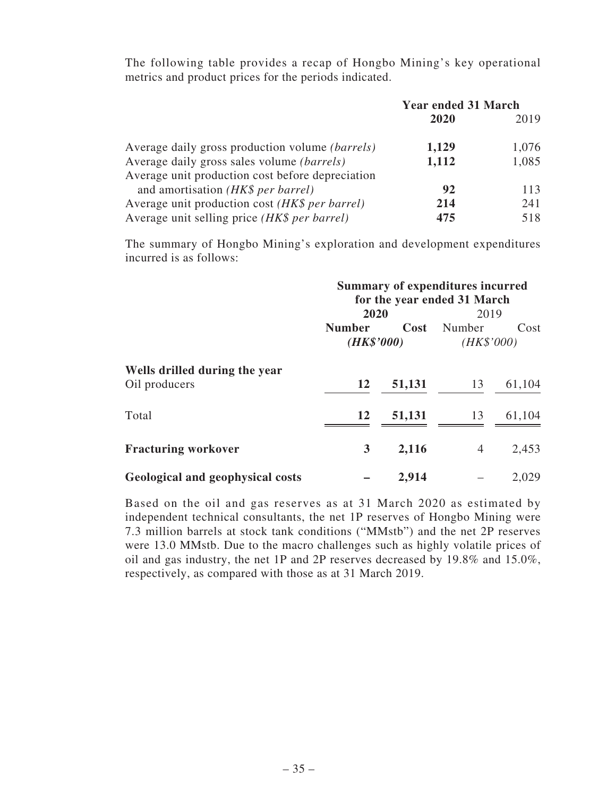The following table provides a recap of Hongbo Mining's key operational metrics and product prices for the periods indicated.

|                                                        | <b>Year ended 31 March</b> |       |  |
|--------------------------------------------------------|----------------------------|-------|--|
|                                                        | 2020                       | 2019  |  |
| Average daily gross production volume <i>(barrels)</i> | 1,129                      | 1,076 |  |
| Average daily gross sales volume <i>(barrels)</i>      | 1,112                      | 1,085 |  |
| Average unit production cost before depreciation       |                            |       |  |
| and amortisation (HK\$ per barrel)                     | 92                         | 113   |  |
| Average unit production cost (HK\$ per barrel)         | 214                        | 241   |  |
| Average unit selling price (HK\$ per barrel)           | 475                        | 518   |  |

The summary of Hongbo Mining's exploration and development expenditures incurred is as follows:

|                                                | <b>Summary of expenditures incurred</b><br>for the year ended 31 March |        |            |        |  |
|------------------------------------------------|------------------------------------------------------------------------|--------|------------|--------|--|
|                                                | 2020                                                                   |        | 2019       |        |  |
|                                                | <b>Number</b>                                                          | Cost   | Number     | Cost   |  |
|                                                | (HK\$'000)                                                             |        | (HK\$'000) |        |  |
| Wells drilled during the year<br>Oil producers | 12                                                                     | 51,131 | 13         | 61,104 |  |
| Total                                          | <b>12</b>                                                              | 51,131 | 13         | 61,104 |  |
| <b>Fracturing workover</b>                     | 3                                                                      | 2,116  | 4          | 2,453  |  |
| Geological and geophysical costs               |                                                                        | 2,914  |            | 2,029  |  |

Based on the oil and gas reserves as at 31 March 2020 as estimated by independent technical consultants, the net 1P reserves of Hongbo Mining were 7.3 million barrels at stock tank conditions ("MMstb") and the net 2P reserves were 13.0 MMstb. Due to the macro challenges such as highly volatile prices of oil and gas industry, the net 1P and 2P reserves decreased by 19.8% and 15.0%, respectively, as compared with those as at 31 March 2019.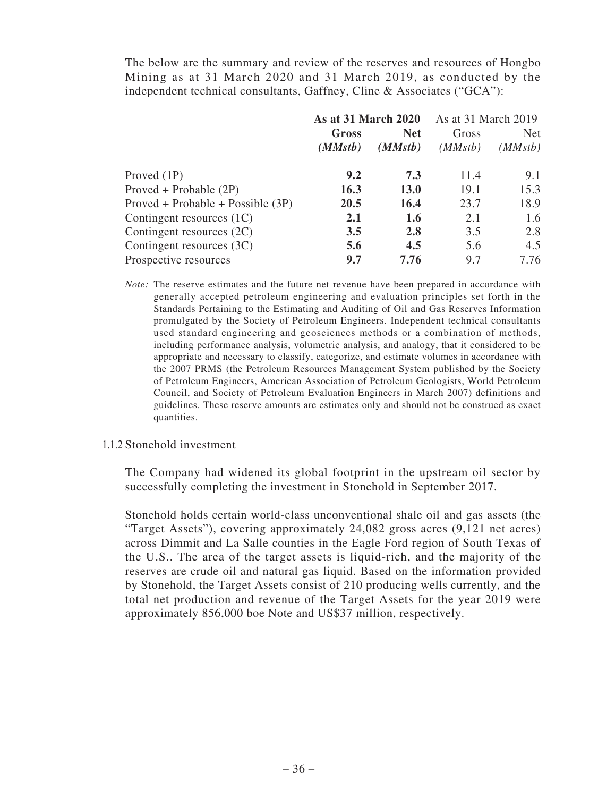The below are the summary and review of the reserves and resources of Hongbo Mining as at 31 March 2020 and 31 March 2019, as conducted by the independent technical consultants, Gaffney, Cline & Associates ("GCA"):

|                                     | <b>As at 31 March 2020</b> |             | As at 31 March 2019 |            |
|-------------------------------------|----------------------------|-------------|---------------------|------------|
|                                     | Gross                      | <b>Net</b>  | Gross               | <b>Net</b> |
|                                     | (MMstb)                    | (MMstb)     | (MMstb)             | (MMstb)    |
| Proved $(1P)$                       | 9.2                        | 7.3         | 11.4                | 9.1        |
| $Proved + Probable (2P)$            | 16.3                       | <b>13.0</b> | 19.1                | 15.3       |
| $Proved + Probable + Possible (3P)$ | 20.5                       | 16.4        | 23.7                | 18.9       |
| Contingent resources (1C)           | 2.1                        | 1.6         | 2.1                 | 1.6        |
| Contingent resources (2C)           | 3.5                        | 2.8         | 3.5                 | 2.8        |
| Contingent resources $(3C)$         | 5.6                        | 4.5         | 5.6                 | 4.5        |
| Prospective resources               | 9.7                        | 7.76        | 9.7                 | 7.76       |

*Note:* The reserve estimates and the future net revenue have been prepared in accordance with generally accepted petroleum engineering and evaluation principles set forth in the Standards Pertaining to the Estimating and Auditing of Oil and Gas Reserves Information promulgated by the Society of Petroleum Engineers. Independent technical consultants used standard engineering and geosciences methods or a combination of methods, including performance analysis, volumetric analysis, and analogy, that it considered to be appropriate and necessary to classify, categorize, and estimate volumes in accordance with the 2007 PRMS (the Petroleum Resources Management System published by the Society of Petroleum Engineers, American Association of Petroleum Geologists, World Petroleum Council, and Society of Petroleum Evaluation Engineers in March 2007) definitions and guidelines. These reserve amounts are estimates only and should not be construed as exact quantities.

#### 1.1.2 Stonehold investment

The Company had widened its global footprint in the upstream oil sector by successfully completing the investment in Stonehold in September 2017.

Stonehold holds certain world-class unconventional shale oil and gas assets (the "Target Assets"), covering approximately 24,082 gross acres (9,121 net acres) across Dimmit and La Salle counties in the Eagle Ford region of South Texas of the U.S.. The area of the target assets is liquid-rich, and the majority of the reserves are crude oil and natural gas liquid. Based on the information provided by Stonehold, the Target Assets consist of 210 producing wells currently, and the total net production and revenue of the Target Assets for the year 2019 were approximately 856,000 boe Note and US\$37 million, respectively.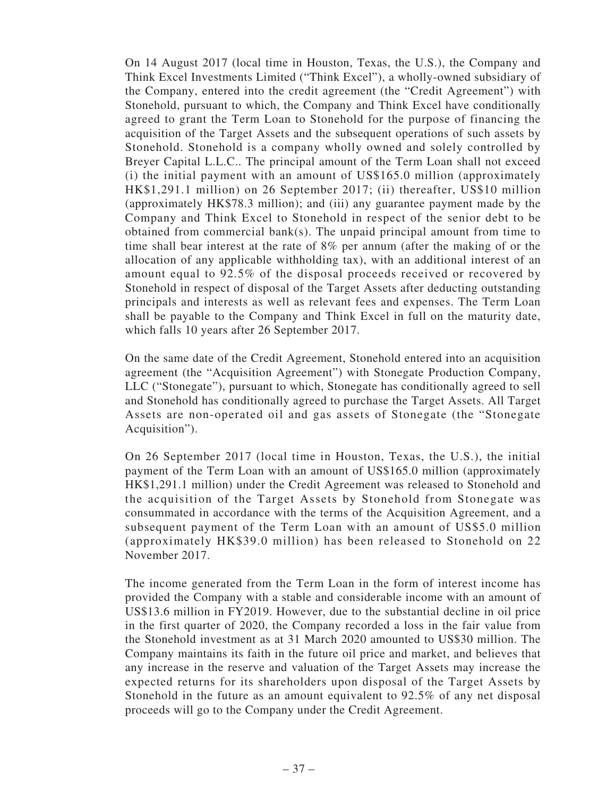On 14 August 2017 (local time in Houston, Texas, the U.S.), the Company and Think Excel Investments Limited ("Think Excel"), a wholly-owned subsidiary of the Company, entered into the credit agreement (the "Credit Agreement") with Stonehold, pursuant to which, the Company and Think Excel have conditionally agreed to grant the Term Loan to Stonehold for the purpose of financing the acquisition of the Target Assets and the subsequent operations of such assets by Stonehold. Stonehold is a company wholly owned and solely controlled by Breyer Capital L.L.C.. The principal amount of the Term Loan shall not exceed (i) the initial payment with an amount of US\$165.0 million (approximately HK\$1,291.1 million) on 26 September 2017; (ii) thereafter, US\$10 million (approximately HK\$78.3 million); and (iii) any guarantee payment made by the Company and Think Excel to Stonehold in respect of the senior debt to be obtained from commercial bank(s). The unpaid principal amount from time to time shall bear interest at the rate of 8% per annum (after the making of or the allocation of any applicable withholding tax), with an additional interest of an amount equal to 92.5% of the disposal proceeds received or recovered by Stonehold in respect of disposal of the Target Assets after deducting outstanding principals and interests as well as relevant fees and expenses. The Term Loan shall be payable to the Company and Think Excel in full on the maturity date, which falls 10 years after 26 September 2017.

On the same date of the Credit Agreement, Stonehold entered into an acquisition agreement (the "Acquisition Agreement") with Stonegate Production Company, LLC ("Stonegate"), pursuant to which, Stonegate has conditionally agreed to sell and Stonehold has conditionally agreed to purchase the Target Assets. All Target Assets are non-operated oil and gas assets of Stonegate (the "Stonegate Acquisition").

On 26 September 2017 (local time in Houston, Texas, the U.S.), the initial payment of the Term Loan with an amount of US\$165.0 million (approximately HK\$1,291.1 million) under the Credit Agreement was released to Stonehold and the acquisition of the Target Assets by Stonehold from Stonegate was consummated in accordance with the terms of the Acquisition Agreement, and a subsequent payment of the Term Loan with an amount of US\$5.0 million (approximately HK\$39.0 million) has been released to Stonehold on 22 November 2017.

The income generated from the Term Loan in the form of interest income has provided the Company with a stable and considerable income with an amount of US\$13.6 million in FY2019. However, due to the substantial decline in oil price in the first quarter of 2020, the Company recorded a loss in the fair value from the Stonehold investment as at 31 March 2020 amounted to US\$30 million. The Company maintains its faith in the future oil price and market, and believes that any increase in the reserve and valuation of the Target Assets may increase the expected returns for its shareholders upon disposal of the Target Assets by Stonehold in the future as an amount equivalent to 92.5% of any net disposal proceeds will go to the Company under the Credit Agreement.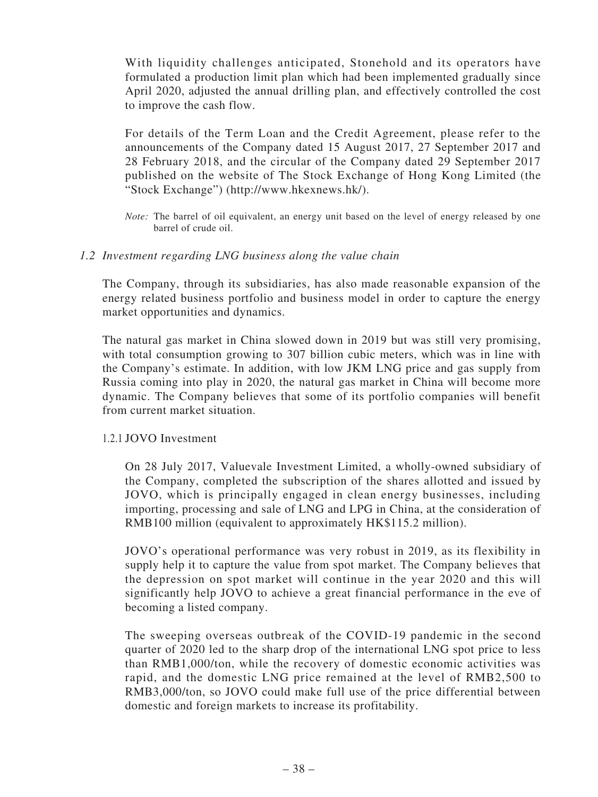With liquidity challenges anticipated, Stonehold and its operators have formulated a production limit plan which had been implemented gradually since April 2020, adjusted the annual drilling plan, and effectively controlled the cost to improve the cash flow.

For details of the Term Loan and the Credit Agreement, please refer to the announcements of the Company dated 15 August 2017, 27 September 2017 and 28 February 2018, and the circular of the Company dated 29 September 2017 published on the website of The Stock Exchange of Hong Kong Limited (the "Stock Exchange") (http://www.hkexnews.hk/).

*Note:* The barrel of oil equivalent, an energy unit based on the level of energy released by one barrel of crude oil.

### *1.2 Investment regarding LNG business along the value chain*

The Company, through its subsidiaries, has also made reasonable expansion of the energy related business portfolio and business model in order to capture the energy market opportunities and dynamics.

The natural gas market in China slowed down in 2019 but was still very promising, with total consumption growing to 307 billion cubic meters, which was in line with the Company's estimate. In addition, with low JKM LNG price and gas supply from Russia coming into play in 2020, the natural gas market in China will become more dynamic. The Company believes that some of its portfolio companies will benefit from current market situation.

#### 1.2.1 JOVO Investment

On 28 July 2017, Valuevale Investment Limited, a wholly-owned subsidiary of the Company, completed the subscription of the shares allotted and issued by JOVO, which is principally engaged in clean energy businesses, including importing, processing and sale of LNG and LPG in China, at the consideration of RMB100 million (equivalent to approximately HK\$115.2 million).

JOVO's operational performance was very robust in 2019, as its flexibility in supply help it to capture the value from spot market. The Company believes that the depression on spot market will continue in the year 2020 and this will significantly help JOVO to achieve a great financial performance in the eve of becoming a listed company.

The sweeping overseas outbreak of the COVID-19 pandemic in the second quarter of 2020 led to the sharp drop of the international LNG spot price to less than RMB1,000/ton, while the recovery of domestic economic activities was rapid, and the domestic LNG price remained at the level of RMB2,500 to RMB3,000/ton, so JOVO could make full use of the price differential between domestic and foreign markets to increase its profitability.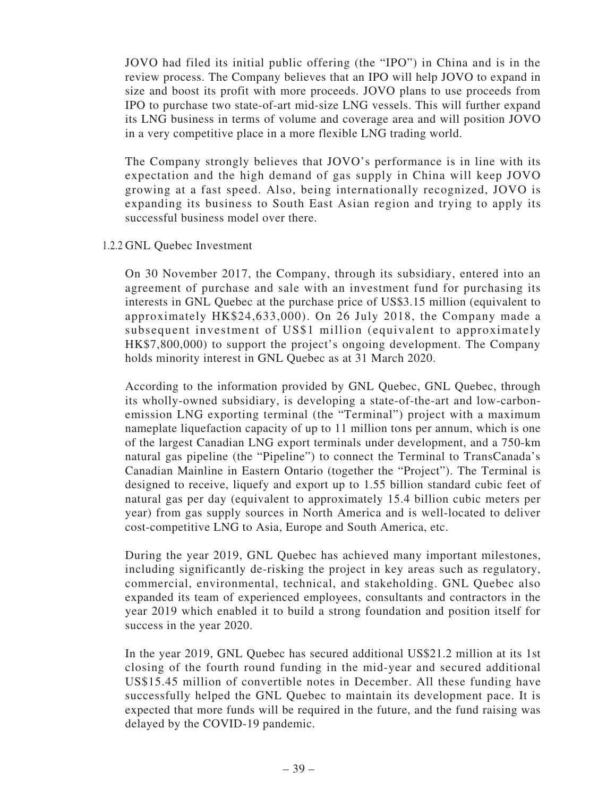JOVO had filed its initial public offering (the "IPO") in China and is in the review process. The Company believes that an IPO will help JOVO to expand in size and boost its profit with more proceeds. JOVO plans to use proceeds from IPO to purchase two state-of-art mid-size LNG vessels. This will further expand its LNG business in terms of volume and coverage area and will position JOVO in a very competitive place in a more flexible LNG trading world.

The Company strongly believes that JOVO's performance is in line with its expectation and the high demand of gas supply in China will keep JOVO growing at a fast speed. Also, being internationally recognized, JOVO is expanding its business to South East Asian region and trying to apply its successful business model over there.

#### 1.2.2 GNL Quebec Investment

On 30 November 2017, the Company, through its subsidiary, entered into an agreement of purchase and sale with an investment fund for purchasing its interests in GNL Quebec at the purchase price of US\$3.15 million (equivalent to approximately HK\$24,633,000). On 26 July 2018, the Company made a subsequent investment of US\$1 million (equivalent to approximately HK\$7,800,000) to support the project's ongoing development. The Company holds minority interest in GNL Quebec as at 31 March 2020.

According to the information provided by GNL Quebec, GNL Quebec, through its wholly-owned subsidiary, is developing a state-of-the-art and low-carbonemission LNG exporting terminal (the "Terminal") project with a maximum nameplate liquefaction capacity of up to 11 million tons per annum, which is one of the largest Canadian LNG export terminals under development, and a 750-km natural gas pipeline (the "Pipeline") to connect the Terminal to TransCanada's Canadian Mainline in Eastern Ontario (together the "Project"). The Terminal is designed to receive, liquefy and export up to 1.55 billion standard cubic feet of natural gas per day (equivalent to approximately 15.4 billion cubic meters per year) from gas supply sources in North America and is well-located to deliver cost-competitive LNG to Asia, Europe and South America, etc.

During the year 2019, GNL Quebec has achieved many important milestones, including significantly de-risking the project in key areas such as regulatory, commercial, environmental, technical, and stakeholding. GNL Quebec also expanded its team of experienced employees, consultants and contractors in the year 2019 which enabled it to build a strong foundation and position itself for success in the year 2020.

In the year 2019, GNL Quebec has secured additional US\$21.2 million at its 1st closing of the fourth round funding in the mid-year and secured additional US\$15.45 million of convertible notes in December. All these funding have successfully helped the GNL Quebec to maintain its development pace. It is expected that more funds will be required in the future, and the fund raising was delayed by the COVID-19 pandemic.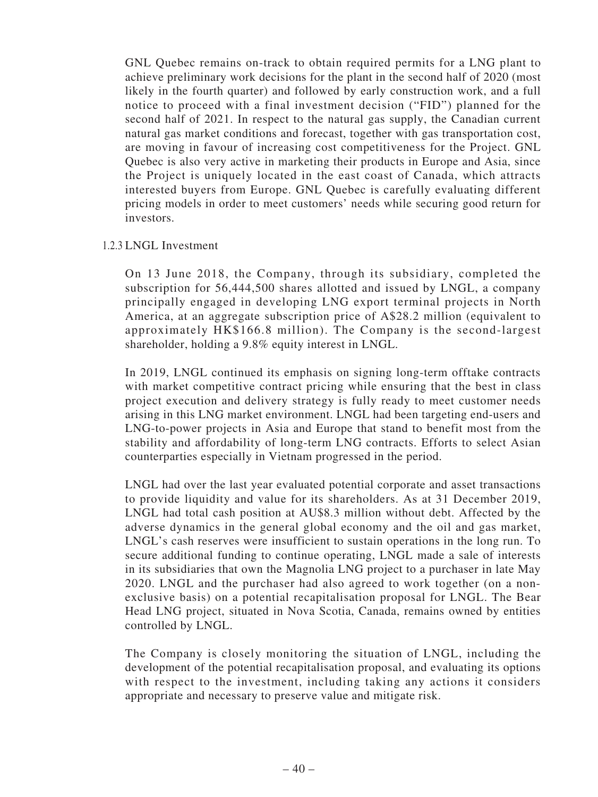GNL Quebec remains on-track to obtain required permits for a LNG plant to achieve preliminary work decisions for the plant in the second half of 2020 (most likely in the fourth quarter) and followed by early construction work, and a full notice to proceed with a final investment decision ("FID") planned for the second half of 2021. In respect to the natural gas supply, the Canadian current natural gas market conditions and forecast, together with gas transportation cost, are moving in favour of increasing cost competitiveness for the Project. GNL Quebec is also very active in marketing their products in Europe and Asia, since the Project is uniquely located in the east coast of Canada, which attracts interested buyers from Europe. GNL Quebec is carefully evaluating different pricing models in order to meet customers' needs while securing good return for investors.

#### 1.2.3 LNGL Investment

On 13 June 2018, the Company, through its subsidiary, completed the subscription for 56,444,500 shares allotted and issued by LNGL, a company principally engaged in developing LNG export terminal projects in North America, at an aggregate subscription price of A\$28.2 million (equivalent to approximately HK\$166.8 million). The Company is the second-largest shareholder, holding a 9.8% equity interest in LNGL.

In 2019, LNGL continued its emphasis on signing long-term offtake contracts with market competitive contract pricing while ensuring that the best in class project execution and delivery strategy is fully ready to meet customer needs arising in this LNG market environment. LNGL had been targeting end-users and LNG-to-power projects in Asia and Europe that stand to benefit most from the stability and affordability of long-term LNG contracts. Efforts to select Asian counterparties especially in Vietnam progressed in the period.

LNGL had over the last year evaluated potential corporate and asset transactions to provide liquidity and value for its shareholders. As at 31 December 2019, LNGL had total cash position at AU\$8.3 million without debt. Affected by the adverse dynamics in the general global economy and the oil and gas market, LNGL's cash reserves were insufficient to sustain operations in the long run. To secure additional funding to continue operating, LNGL made a sale of interests in its subsidiaries that own the Magnolia LNG project to a purchaser in late May 2020. LNGL and the purchaser had also agreed to work together (on a nonexclusive basis) on a potential recapitalisation proposal for LNGL. The Bear Head LNG project, situated in Nova Scotia, Canada, remains owned by entities controlled by LNGL.

The Company is closely monitoring the situation of LNGL, including the development of the potential recapitalisation proposal, and evaluating its options with respect to the investment, including taking any actions it considers appropriate and necessary to preserve value and mitigate risk.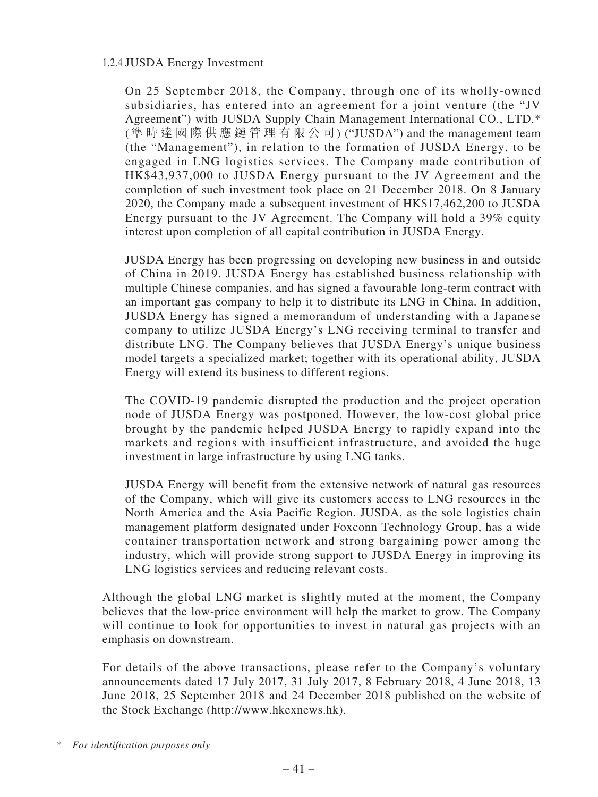### 1.2.4 JUSDA Energy Investment

On 25 September 2018, the Company, through one of its wholly-owned subsidiaries, has entered into an agreement for a joint venture (the "JV Agreement") with JUSDA Supply Chain Management International CO., LTD.\* (準 時 達 國 際 供 應 鏈 管 理 有 限 公 司) ("JUSDA") and the management team (the "Management"), in relation to the formation of JUSDA Energy, to be engaged in LNG logistics services. The Company made contribution of HK\$43,937,000 to JUSDA Energy pursuant to the JV Agreement and the completion of such investment took place on 21 December 2018. On 8 January 2020, the Company made a subsequent investment of HK\$17,462,200 to JUSDA Energy pursuant to the JV Agreement. The Company will hold a 39% equity interest upon completion of all capital contribution in JUSDA Energy.

JUSDA Energy has been progressing on developing new business in and outside of China in 2019. JUSDA Energy has established business relationship with multiple Chinese companies, and has signed a favourable long-term contract with an important gas company to help it to distribute its LNG in China. In addition, JUSDA Energy has signed a memorandum of understanding with a Japanese company to utilize JUSDA Energy's LNG receiving terminal to transfer and distribute LNG. The Company believes that JUSDA Energy's unique business model targets a specialized market; together with its operational ability, JUSDA Energy will extend its business to different regions.

The COVID-19 pandemic disrupted the production and the project operation node of JUSDA Energy was postponed. However, the low-cost global price brought by the pandemic helped JUSDA Energy to rapidly expand into the markets and regions with insufficient infrastructure, and avoided the huge investment in large infrastructure by using LNG tanks.

JUSDA Energy will benefit from the extensive network of natural gas resources of the Company, which will give its customers access to LNG resources in the North America and the Asia Pacific Region. JUSDA, as the sole logistics chain management platform designated under Foxconn Technology Group, has a wide container transportation network and strong bargaining power among the industry, which will provide strong support to JUSDA Energy in improving its LNG logistics services and reducing relevant costs.

Although the global LNG market is slightly muted at the moment, the Company believes that the low-price environment will help the market to grow. The Company will continue to look for opportunities to invest in natural gas projects with an emphasis on downstream.

For details of the above transactions, please refer to the Company's voluntary announcements dated 17 July 2017, 31 July 2017, 8 February 2018, 4 June 2018, 13 June 2018, 25 September 2018 and 24 December 2018 published on the website of the Stock Exchange (http://www.hkexnews.hk).

<sup>\*</sup> *For identification purposes only*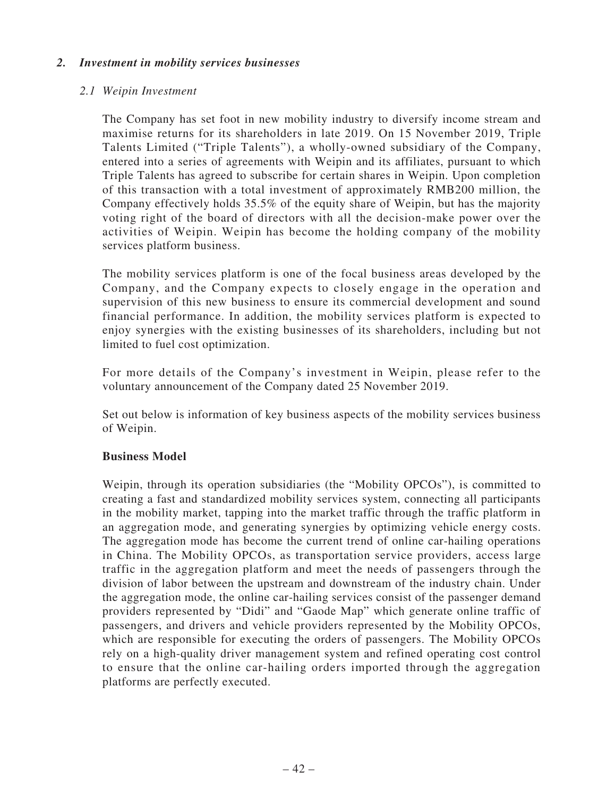### *2. Investment in mobility services businesses*

#### *2.1 Weipin Investment*

The Company has set foot in new mobility industry to diversify income stream and maximise returns for its shareholders in late 2019. On 15 November 2019, Triple Talents Limited ("Triple Talents"), a wholly-owned subsidiary of the Company, entered into a series of agreements with Weipin and its affiliates, pursuant to which Triple Talents has agreed to subscribe for certain shares in Weipin. Upon completion of this transaction with a total investment of approximately RMB200 million, the Company effectively holds 35.5% of the equity share of Weipin, but has the majority voting right of the board of directors with all the decision-make power over the activities of Weipin. Weipin has become the holding company of the mobility services platform business.

The mobility services platform is one of the focal business areas developed by the Company, and the Company expects to closely engage in the operation and supervision of this new business to ensure its commercial development and sound financial performance. In addition, the mobility services platform is expected to enjoy synergies with the existing businesses of its shareholders, including but not limited to fuel cost optimization.

For more details of the Company's investment in Weipin, please refer to the voluntary announcement of the Company dated 25 November 2019.

Set out below is information of key business aspects of the mobility services business of Weipin.

#### **Business Model**

Weipin, through its operation subsidiaries (the "Mobility OPCOs"), is committed to creating a fast and standardized mobility services system, connecting all participants in the mobility market, tapping into the market traffic through the traffic platform in an aggregation mode, and generating synergies by optimizing vehicle energy costs. The aggregation mode has become the current trend of online car-hailing operations in China. The Mobility OPCOs, as transportation service providers, access large traffic in the aggregation platform and meet the needs of passengers through the division of labor between the upstream and downstream of the industry chain. Under the aggregation mode, the online car-hailing services consist of the passenger demand providers represented by "Didi" and "Gaode Map" which generate online traffic of passengers, and drivers and vehicle providers represented by the Mobility OPCOs, which are responsible for executing the orders of passengers. The Mobility OPCOs rely on a high-quality driver management system and refined operating cost control to ensure that the online car-hailing orders imported through the aggregation platforms are perfectly executed.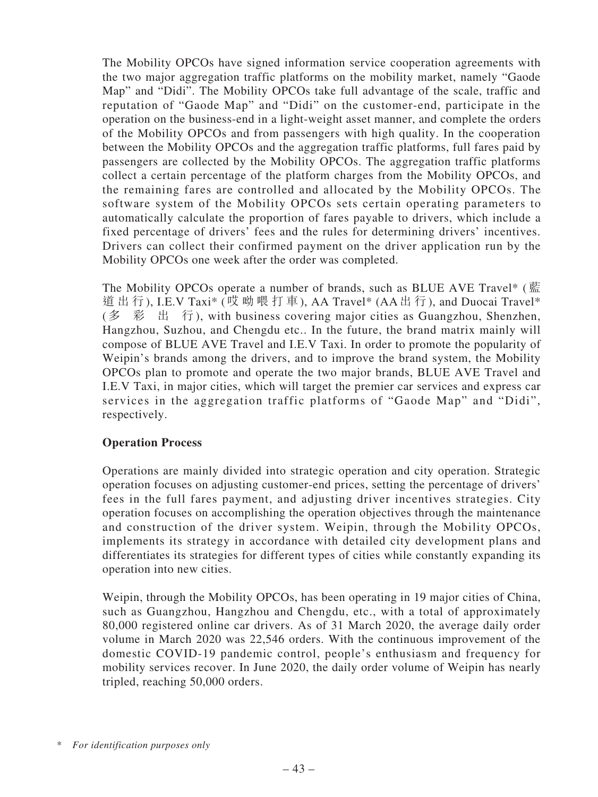The Mobility OPCOs have signed information service cooperation agreements with the two major aggregation traffic platforms on the mobility market, namely "Gaode Map" and "Didi". The Mobility OPCOs take full advantage of the scale, traffic and reputation of "Gaode Map" and "Didi" on the customer-end, participate in the operation on the business-end in a light-weight asset manner, and complete the orders of the Mobility OPCOs and from passengers with high quality. In the cooperation between the Mobility OPCOs and the aggregation traffic platforms, full fares paid by passengers are collected by the Mobility OPCOs. The aggregation traffic platforms collect a certain percentage of the platform charges from the Mobility OPCOs, and the remaining fares are controlled and allocated by the Mobility OPCOs. The software system of the Mobility OPCOs sets certain operating parameters to automatically calculate the proportion of fares payable to drivers, which include a fixed percentage of drivers' fees and the rules for determining drivers' incentives. Drivers can collect their confirmed payment on the driver application run by the Mobility OPCOs one week after the order was completed.

The Mobility OPCOs operate a number of brands, such as BLUE AVE Travel\* (藍 道出行), I.E.V Taxi\* (哎呦喂打車), AA Travel\* (AA出行), and Duocai Travel\* (多 彩 出 行), with business covering major cities as Guangzhou, Shenzhen, Hangzhou, Suzhou, and Chengdu etc.. In the future, the brand matrix mainly will compose of BLUE AVE Travel and I.E.V Taxi. In order to promote the popularity of Weipin's brands among the drivers, and to improve the brand system, the Mobility OPCOs plan to promote and operate the two major brands, BLUE AVE Travel and I.E.V Taxi, in major cities, which will target the premier car services and express car services in the aggregation traffic platforms of "Gaode Map" and "Didi", respectively.

# **Operation Process**

Operations are mainly divided into strategic operation and city operation. Strategic operation focuses on adjusting customer-end prices, setting the percentage of drivers' fees in the full fares payment, and adjusting driver incentives strategies. City operation focuses on accomplishing the operation objectives through the maintenance and construction of the driver system. Weipin, through the Mobility OPCOs, implements its strategy in accordance with detailed city development plans and differentiates its strategies for different types of cities while constantly expanding its operation into new cities.

Weipin, through the Mobility OPCOs, has been operating in 19 major cities of China, such as Guangzhou, Hangzhou and Chengdu, etc., with a total of approximately 80,000 registered online car drivers. As of 31 March 2020, the average daily order volume in March 2020 was 22,546 orders. With the continuous improvement of the domestic COVID-19 pandemic control, people's enthusiasm and frequency for mobility services recover. In June 2020, the daily order volume of Weipin has nearly tripled, reaching 50,000 orders.

<sup>\*</sup> *For identification purposes only*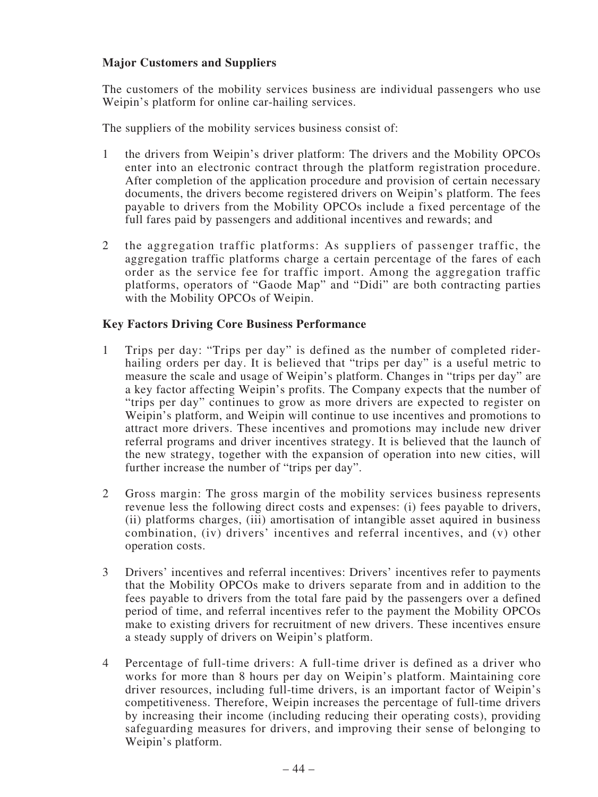### **Major Customers and Suppliers**

The customers of the mobility services business are individual passengers who use Weipin's platform for online car-hailing services.

The suppliers of the mobility services business consist of:

- 1 the drivers from Weipin's driver platform: The drivers and the Mobility OPCOs enter into an electronic contract through the platform registration procedure. After completion of the application procedure and provision of certain necessary documents, the drivers become registered drivers on Weipin's platform. The fees payable to drivers from the Mobility OPCOs include a fixed percentage of the full fares paid by passengers and additional incentives and rewards; and
- 2 the aggregation traffic platforms: As suppliers of passenger traffic, the aggregation traffic platforms charge a certain percentage of the fares of each order as the service fee for traffic import. Among the aggregation traffic platforms, operators of "Gaode Map" and "Didi" are both contracting parties with the Mobility OPCOs of Weipin.

### **Key Factors Driving Core Business Performance**

- 1 Trips per day: "Trips per day" is defined as the number of completed riderhailing orders per day. It is believed that "trips per day" is a useful metric to measure the scale and usage of Weipin's platform. Changes in "trips per day" are a key factor affecting Weipin's profits. The Company expects that the number of "trips per day" continues to grow as more drivers are expected to register on Weipin's platform, and Weipin will continue to use incentives and promotions to attract more drivers. These incentives and promotions may include new driver referral programs and driver incentives strategy. It is believed that the launch of the new strategy, together with the expansion of operation into new cities, will further increase the number of "trips per day".
- 2 Gross margin: The gross margin of the mobility services business represents revenue less the following direct costs and expenses: (i) fees payable to drivers, (ii) platforms charges, (iii) amortisation of intangible asset aquired in business combination, (iv) drivers' incentives and referral incentives, and (v) other operation costs.
- 3 Drivers' incentives and referral incentives: Drivers' incentives refer to payments that the Mobility OPCOs make to drivers separate from and in addition to the fees payable to drivers from the total fare paid by the passengers over a defined period of time, and referral incentives refer to the payment the Mobility OPCOs make to existing drivers for recruitment of new drivers. These incentives ensure a steady supply of drivers on Weipin's platform.
- 4 Percentage of full-time drivers: A full-time driver is defined as a driver who works for more than 8 hours per day on Weipin's platform. Maintaining core driver resources, including full-time drivers, is an important factor of Weipin's competitiveness. Therefore, Weipin increases the percentage of full-time drivers by increasing their income (including reducing their operating costs), providing safeguarding measures for drivers, and improving their sense of belonging to Weipin's platform.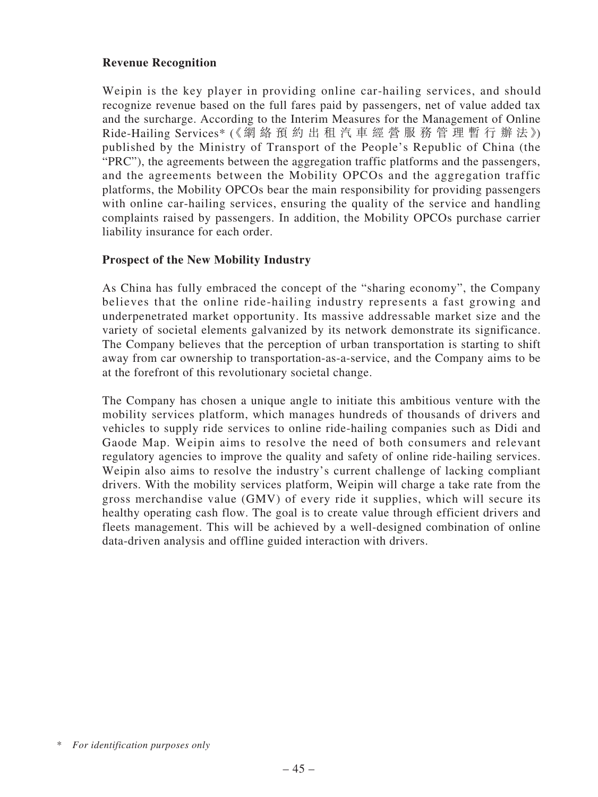# **Revenue Recognition**

Weipin is the key player in providing online car-hailing services, and should recognize revenue based on the full fares paid by passengers, net of value added tax and the surcharge. According to the Interim Measures for the Management of Online Ride-Hailing Services\* (《網絡 預 約 出 租 汽 車 經 營 服 務 管 理 暫 行 辦 法》) published by the Ministry of Transport of the People's Republic of China (the "PRC"), the agreements between the aggregation traffic platforms and the passengers, and the agreements between the Mobility OPCOs and the aggregation traffic platforms, the Mobility OPCOs bear the main responsibility for providing passengers with online car-hailing services, ensuring the quality of the service and handling complaints raised by passengers. In addition, the Mobility OPCOs purchase carrier liability insurance for each order.

### **Prospect of the New Mobility Industry**

As China has fully embraced the concept of the "sharing economy", the Company believes that the online ride-hailing industry represents a fast growing and underpenetrated market opportunity. Its massive addressable market size and the variety of societal elements galvanized by its network demonstrate its significance. The Company believes that the perception of urban transportation is starting to shift away from car ownership to transportation-as-a-service, and the Company aims to be at the forefront of this revolutionary societal change.

The Company has chosen a unique angle to initiate this ambitious venture with the mobility services platform, which manages hundreds of thousands of drivers and vehicles to supply ride services to online ride-hailing companies such as Didi and Gaode Map. Weipin aims to resolve the need of both consumers and relevant regulatory agencies to improve the quality and safety of online ride-hailing services. Weipin also aims to resolve the industry's current challenge of lacking compliant drivers. With the mobility services platform, Weipin will charge a take rate from the gross merchandise value (GMV) of every ride it supplies, which will secure its healthy operating cash flow. The goal is to create value through efficient drivers and fleets management. This will be achieved by a well-designed combination of online data-driven analysis and offline guided interaction with drivers.

<sup>\*</sup> *For identification purposes only*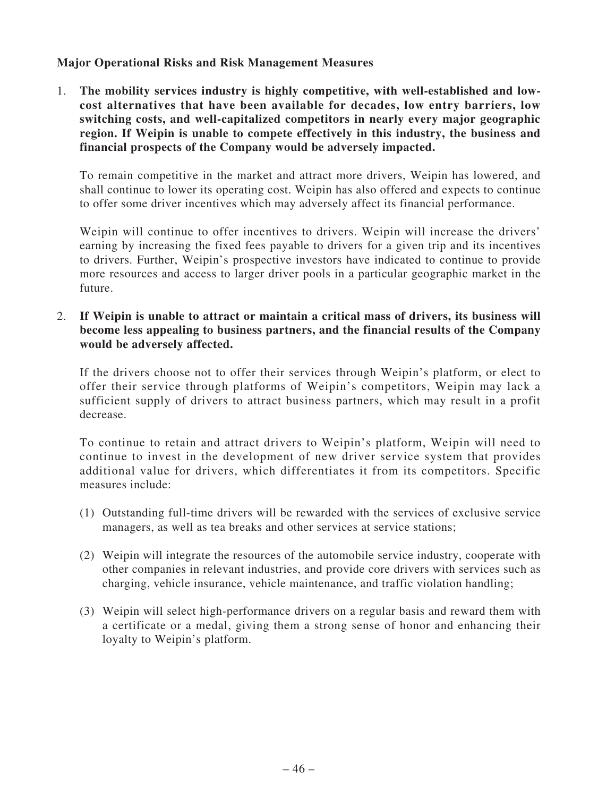# **Major Operational Risks and Risk Management Measures**

1. **The mobility services industry is highly competitive, with well-established and lowcost alternatives that have been available for decades, low entry barriers, low switching costs, and well-capitalized competitors in nearly every major geographic region. If Weipin is unable to compete effectively in this industry, the business and financial prospects of the Company would be adversely impacted.**

To remain competitive in the market and attract more drivers, Weipin has lowered, and shall continue to lower its operating cost. Weipin has also offered and expects to continue to offer some driver incentives which may adversely affect its financial performance.

Weipin will continue to offer incentives to drivers. Weipin will increase the drivers' earning by increasing the fixed fees payable to drivers for a given trip and its incentives to drivers. Further, Weipin's prospective investors have indicated to continue to provide more resources and access to larger driver pools in a particular geographic market in the future.

2. **If Weipin is unable to attract or maintain a critical mass of drivers, its business will become less appealing to business partners, and the financial results of the Company would be adversely affected.**

If the drivers choose not to offer their services through Weipin's platform, or elect to offer their service through platforms of Weipin's competitors, Weipin may lack a sufficient supply of drivers to attract business partners, which may result in a profit decrease.

To continue to retain and attract drivers to Weipin's platform, Weipin will need to continue to invest in the development of new driver service system that provides additional value for drivers, which differentiates it from its competitors. Specific measures include:

- (1) Outstanding full-time drivers will be rewarded with the services of exclusive service managers, as well as tea breaks and other services at service stations;
- (2) Weipin will integrate the resources of the automobile service industry, cooperate with other companies in relevant industries, and provide core drivers with services such as charging, vehicle insurance, vehicle maintenance, and traffic violation handling;
- (3) Weipin will select high-performance drivers on a regular basis and reward them with a certificate or a medal, giving them a strong sense of honor and enhancing their loyalty to Weipin's platform.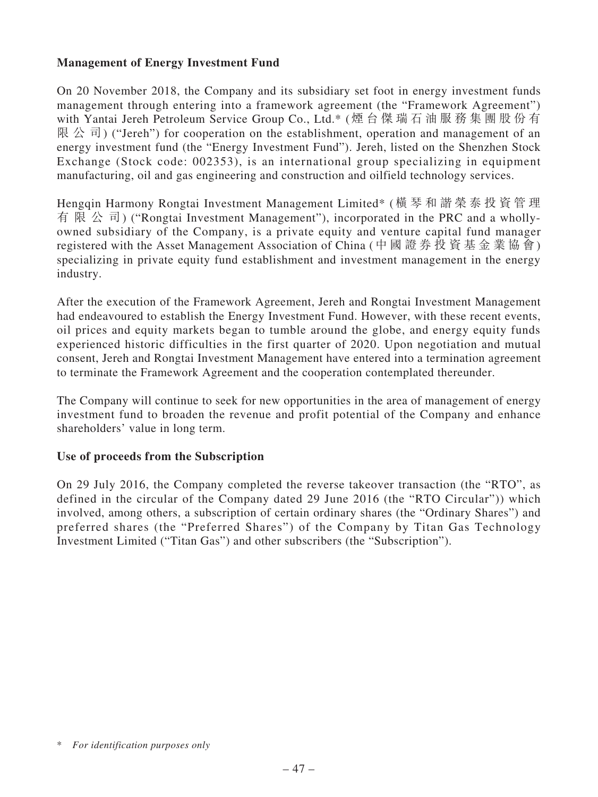# **Management of Energy Investment Fund**

On 20 November 2018, the Company and its subsidiary set foot in energy investment funds management through entering into a framework agreement (the "Framework Agreement") with Yantai Jereh Petroleum Service Group Co., Ltd.\* (煙 台 傑 瑞 石 油 服 務 集 團 股 份 有 限 公 司) ("Jereh") for cooperation on the establishment, operation and management of an energy investment fund (the "Energy Investment Fund"). Jereh, listed on the Shenzhen Stock Exchange (Stock code: 002353), is an international group specializing in equipment manufacturing, oil and gas engineering and construction and oilfield technology services.

Hengqin Harmony Rongtai Investment Management Limited\* (橫 琴 和 諧 榮 泰 投 資 管 理 有 限 公 司) ("Rongtai Investment Management"), incorporated in the PRC and a whollyowned subsidiary of the Company, is a private equity and venture capital fund manager registered with the Asset Management Association of China (中 國 證 券 投 資 基 金 業 協 會) specializing in private equity fund establishment and investment management in the energy industry.

After the execution of the Framework Agreement, Jereh and Rongtai Investment Management had endeavoured to establish the Energy Investment Fund. However, with these recent events, oil prices and equity markets began to tumble around the globe, and energy equity funds experienced historic difficulties in the first quarter of 2020. Upon negotiation and mutual consent, Jereh and Rongtai Investment Management have entered into a termination agreement to terminate the Framework Agreement and the cooperation contemplated thereunder.

The Company will continue to seek for new opportunities in the area of management of energy investment fund to broaden the revenue and profit potential of the Company and enhance shareholders' value in long term.

# **Use of proceeds from the Subscription**

On 29 July 2016, the Company completed the reverse takeover transaction (the "RTO", as defined in the circular of the Company dated 29 June 2016 (the "RTO Circular")) which involved, among others, a subscription of certain ordinary shares (the "Ordinary Shares") and preferred shares (the "Preferred Shares") of the Company by Titan Gas Technology Investment Limited ("Titan Gas") and other subscribers (the "Subscription").

<sup>\*</sup> *For identification purposes only*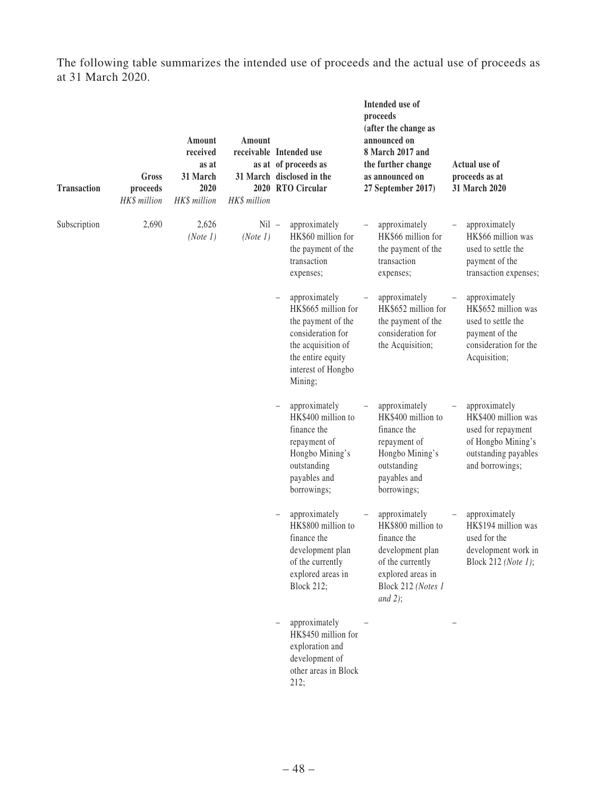The following table summarizes the intended use of proceeds and the actual use of proceeds as at 31 March 2020.

| <b>Transaction</b> | Gross<br>proceeds<br>HK\$ million | Amount<br>received<br>as at<br>31 March<br>2020<br>HK\$ million | Amount<br>receivable Intended use<br>HK\$ million | as at of proceeds as<br>31 March disclosed in the<br>2020 RTO Circular                                                                                      | Intended use of<br>proceeds<br>(after the change as<br>announced on<br>8 March 2017 and<br>the further change<br>as announced on<br>27 September 2017) | Actual use of<br>proceeds as at<br>31 March 2020                                                                            |
|--------------------|-----------------------------------|-----------------------------------------------------------------|---------------------------------------------------|-------------------------------------------------------------------------------------------------------------------------------------------------------------|--------------------------------------------------------------------------------------------------------------------------------------------------------|-----------------------------------------------------------------------------------------------------------------------------|
| Subscription       | 2,690                             | 2,626<br>(Note 1)                                               | $Nil -$<br>(Note 1)                               | approximately<br>HK\$60 million for<br>the payment of the<br>transaction<br>expenses;                                                                       | approximately<br>HK\$66 million for<br>the payment of the<br>transaction<br>expenses;                                                                  | approximately<br>HK\$66 million was<br>used to settle the<br>payment of the<br>transaction expenses;                        |
|                    |                                   |                                                                 |                                                   | approximately<br>HK\$665 million for<br>the payment of the<br>consideration for<br>the acquisition of<br>the entire equity<br>interest of Hongbo<br>Mining; | approximately<br>HK\$652 million for<br>the payment of the<br>consideration for<br>the Acquisition;                                                    | approximately<br>HK\$652 million was<br>used to settle the<br>payment of the<br>consideration for the<br>Acquisition;       |
|                    |                                   |                                                                 |                                                   | approximately<br>HK\$400 million to<br>finance the<br>repayment of<br>Hongbo Mining's<br>outstanding<br>payables and<br>borrowings;                         | approximately<br>HK\$400 million to<br>finance the<br>repayment of<br>Hongbo Mining's<br>outstanding<br>payables and<br>borrowings;                    | approximately<br>HK\$400 million was<br>used for repayment<br>of Hongbo Mining's<br>outstanding payables<br>and borrowings; |
|                    |                                   |                                                                 |                                                   | approximately<br>HK\$800 million to<br>finance the<br>development plan<br>of the currently<br>explored areas in<br><b>Block 212;</b>                        | approximately<br>HK\$800 million to<br>finance the<br>development plan<br>of the currently<br>explored areas in<br>Block 212 (Notes 1<br>and $2$ );    | approximately<br>HK\$194 million was<br>used for the<br>development work in<br>Block 212 (Note 1);                          |
|                    |                                   |                                                                 |                                                   | approximately<br>HK\$450 million for<br>exploration and<br>development of<br>other areas in Block<br>212;                                                   |                                                                                                                                                        |                                                                                                                             |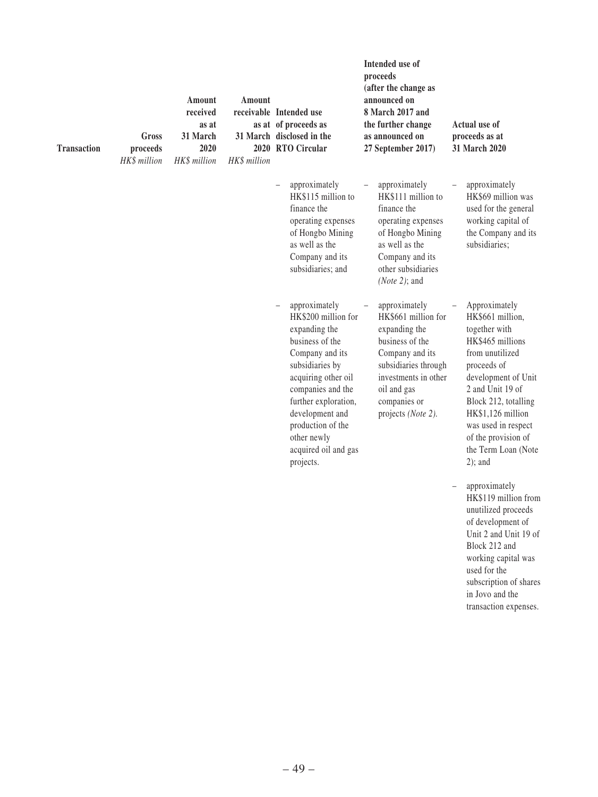| <b>Transaction</b> | Gross<br>proceeds<br>HK\$ million | Amount<br>received<br>as at<br>31 March<br>2020<br>HK\$ million | Amount<br>HK\$ million | receivable Intended use<br>as at of proceeds as<br>31 March disclosed in the<br>2020 RTO Circular                                                                                                                                                                              | Intended use of<br>proceeds<br>(after the change as<br>announced on<br>8 March 2017 and<br>the further change<br>as announced on<br>27 September 2017)                                           | Actual use of<br>proceeds as at<br>31 March 2020                                                                                                                                                                                                                                                         |
|--------------------|-----------------------------------|-----------------------------------------------------------------|------------------------|--------------------------------------------------------------------------------------------------------------------------------------------------------------------------------------------------------------------------------------------------------------------------------|--------------------------------------------------------------------------------------------------------------------------------------------------------------------------------------------------|----------------------------------------------------------------------------------------------------------------------------------------------------------------------------------------------------------------------------------------------------------------------------------------------------------|
|                    |                                   |                                                                 |                        | approximately<br>$\qquad \qquad -$<br>HK\$115 million to<br>finance the<br>operating expenses<br>of Hongbo Mining<br>as well as the<br>Company and its<br>subsidiaries; and                                                                                                    | approximately<br>HK\$111 million to<br>finance the<br>operating expenses<br>of Hongbo Mining<br>as well as the<br>Company and its<br>other subsidiaries<br>( <i>Note 2</i> ); and                | approximately<br>$\qquad \qquad -$<br>HK\$69 million was<br>used for the general<br>working capital of<br>the Company and its<br>subsidiaries;                                                                                                                                                           |
|                    |                                   |                                                                 |                        | approximately<br>HK\$200 million for<br>expanding the<br>business of the<br>Company and its<br>subsidiaries by<br>acquiring other oil<br>companies and the<br>further exploration,<br>development and<br>production of the<br>other newly<br>acquired oil and gas<br>projects. | approximately<br>HK\$661 million for<br>expanding the<br>business of the<br>Company and its<br>subsidiaries through<br>investments in other<br>oil and gas<br>companies or<br>projects (Note 2). | Approximately<br>$\qquad \qquad -$<br>HK\$661 million,<br>together with<br>HK\$465 millions<br>from unutilized<br>proceeds of<br>development of Unit<br>2 and Unit 19 of<br>Block 212, totalling<br>HK\$1,126 million<br>was used in respect<br>of the provision of<br>the Term Loan (Note<br>$2)$ ; and |
|                    |                                   |                                                                 |                        |                                                                                                                                                                                                                                                                                |                                                                                                                                                                                                  | approximately<br>HK\$119 million from<br>unutilized proceeds<br>of development of<br>Unit 2 and Unit 19 of<br>Block 212 and<br>working capital was<br>used for the<br>subscription of shares<br>in Jovo and the<br>transaction expenses.                                                                 |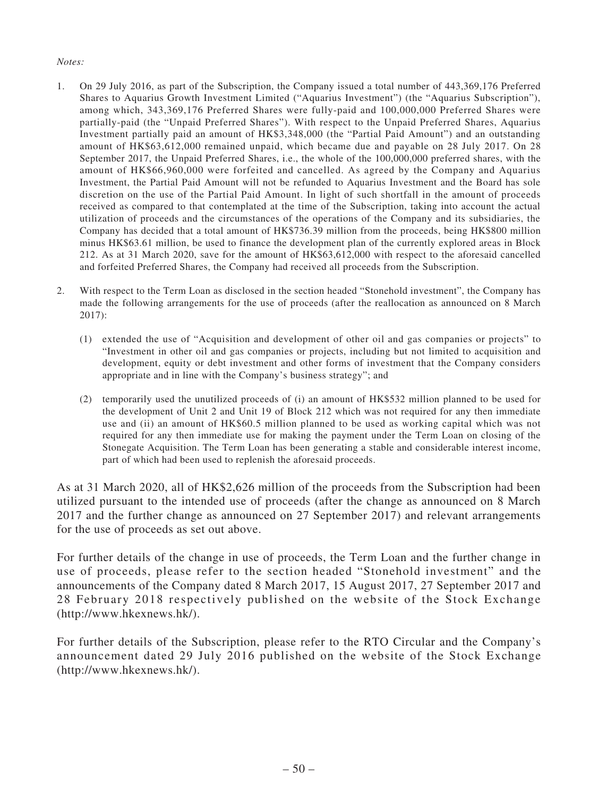#### *Notes:*

- 1. On 29 July 2016, as part of the Subscription, the Company issued a total number of 443,369,176 Preferred Shares to Aquarius Growth Investment Limited ("Aquarius Investment") (the "Aquarius Subscription"), among which, 343,369,176 Preferred Shares were fully-paid and 100,000,000 Preferred Shares were partially-paid (the "Unpaid Preferred Shares"). With respect to the Unpaid Preferred Shares, Aquarius Investment partially paid an amount of HK\$3,348,000 (the "Partial Paid Amount") and an outstanding amount of HK\$63,612,000 remained unpaid, which became due and payable on 28 July 2017. On 28 September 2017, the Unpaid Preferred Shares, i.e., the whole of the 100,000,000 preferred shares, with the amount of HK\$66,960,000 were forfeited and cancelled. As agreed by the Company and Aquarius Investment, the Partial Paid Amount will not be refunded to Aquarius Investment and the Board has sole discretion on the use of the Partial Paid Amount. In light of such shortfall in the amount of proceeds received as compared to that contemplated at the time of the Subscription, taking into account the actual utilization of proceeds and the circumstances of the operations of the Company and its subsidiaries, the Company has decided that a total amount of HK\$736.39 million from the proceeds, being HK\$800 million minus HK\$63.61 million, be used to finance the development plan of the currently explored areas in Block 212. As at 31 March 2020, save for the amount of HK\$63,612,000 with respect to the aforesaid cancelled and forfeited Preferred Shares, the Company had received all proceeds from the Subscription.
- 2. With respect to the Term Loan as disclosed in the section headed "Stonehold investment", the Company has made the following arrangements for the use of proceeds (after the reallocation as announced on 8 March 2017):
	- (1) extended the use of "Acquisition and development of other oil and gas companies or projects" to "Investment in other oil and gas companies or projects, including but not limited to acquisition and development, equity or debt investment and other forms of investment that the Company considers appropriate and in line with the Company's business strategy"; and
	- (2) temporarily used the unutilized proceeds of (i) an amount of HK\$532 million planned to be used for the development of Unit 2 and Unit 19 of Block 212 which was not required for any then immediate use and (ii) an amount of HK\$60.5 million planned to be used as working capital which was not required for any then immediate use for making the payment under the Term Loan on closing of the Stonegate Acquisition. The Term Loan has been generating a stable and considerable interest income, part of which had been used to replenish the aforesaid proceeds.

As at 31 March 2020, all of HK\$2,626 million of the proceeds from the Subscription had been utilized pursuant to the intended use of proceeds (after the change as announced on 8 March 2017 and the further change as announced on 27 September 2017) and relevant arrangements for the use of proceeds as set out above.

For further details of the change in use of proceeds, the Term Loan and the further change in use of proceeds, please refer to the section headed "Stonehold investment" and the announcements of the Company dated 8 March 2017, 15 August 2017, 27 September 2017 and 28 February 2018 respectively published on the website of the Stock Exchange (http://www.hkexnews.hk/).

For further details of the Subscription, please refer to the RTO Circular and the Company's announcement dated 29 July 2016 published on the website of the Stock Exchange (http://www.hkexnews.hk/).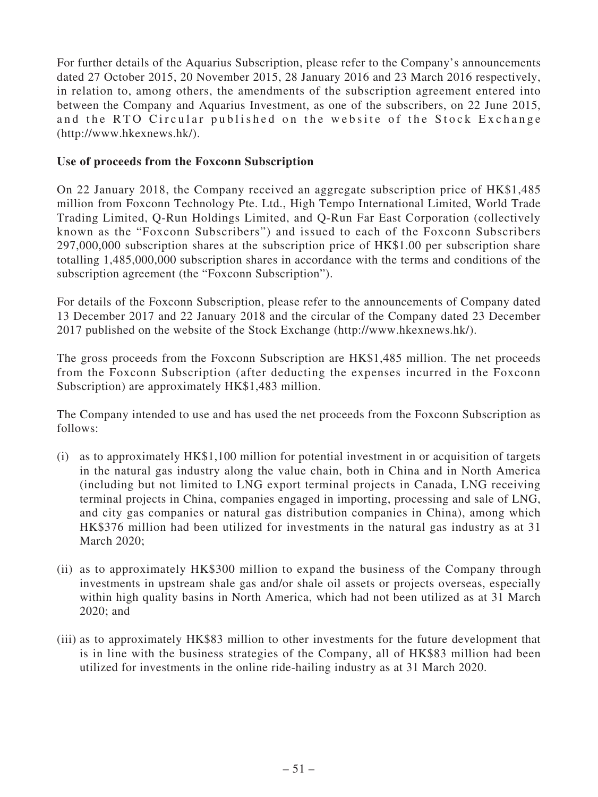For further details of the Aquarius Subscription, please refer to the Company's announcements dated 27 October 2015, 20 November 2015, 28 January 2016 and 23 March 2016 respectively, in relation to, among others, the amendments of the subscription agreement entered into between the Company and Aquarius Investment, as one of the subscribers, on 22 June 2015, and the RTO Circular published on the website of the Stock Exchange (http://www.hkexnews.hk/).

### **Use of proceeds from the Foxconn Subscription**

On 22 January 2018, the Company received an aggregate subscription price of HK\$1,485 million from Foxconn Technology Pte. Ltd., High Tempo International Limited, World Trade Trading Limited, Q-Run Holdings Limited, and Q-Run Far East Corporation (collectively known as the "Foxconn Subscribers") and issued to each of the Foxconn Subscribers 297,000,000 subscription shares at the subscription price of HK\$1.00 per subscription share totalling 1,485,000,000 subscription shares in accordance with the terms and conditions of the subscription agreement (the "Foxconn Subscription").

For details of the Foxconn Subscription, please refer to the announcements of Company dated 13 December 2017 and 22 January 2018 and the circular of the Company dated 23 December 2017 published on the website of the Stock Exchange (http://www.hkexnews.hk/).

The gross proceeds from the Foxconn Subscription are HK\$1,485 million. The net proceeds from the Foxconn Subscription (after deducting the expenses incurred in the Foxconn Subscription) are approximately HK\$1,483 million.

The Company intended to use and has used the net proceeds from the Foxconn Subscription as follows:

- (i) as to approximately HK\$1,100 million for potential investment in or acquisition of targets in the natural gas industry along the value chain, both in China and in North America (including but not limited to LNG export terminal projects in Canada, LNG receiving terminal projects in China, companies engaged in importing, processing and sale of LNG, and city gas companies or natural gas distribution companies in China), among which HK\$376 million had been utilized for investments in the natural gas industry as at 31 March 2020;
- (ii) as to approximately HK\$300 million to expand the business of the Company through investments in upstream shale gas and/or shale oil assets or projects overseas, especially within high quality basins in North America, which had not been utilized as at 31 March 2020; and
- (iii) as to approximately HK\$83 million to other investments for the future development that is in line with the business strategies of the Company, all of HK\$83 million had been utilized for investments in the online ride-hailing industry as at 31 March 2020.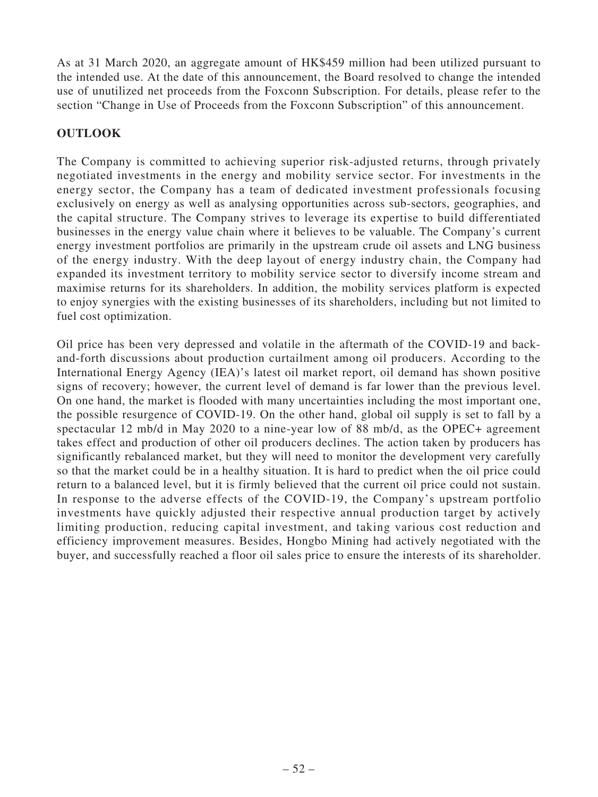As at 31 March 2020, an aggregate amount of HK\$459 million had been utilized pursuant to the intended use. At the date of this announcement, the Board resolved to change the intended use of unutilized net proceeds from the Foxconn Subscription. For details, please refer to the section "Change in Use of Proceeds from the Foxconn Subscription" of this announcement.

# **OUTLOOK**

The Company is committed to achieving superior risk-adjusted returns, through privately negotiated investments in the energy and mobility service sector. For investments in the energy sector, the Company has a team of dedicated investment professionals focusing exclusively on energy as well as analysing opportunities across sub-sectors, geographies, and the capital structure. The Company strives to leverage its expertise to build differentiated businesses in the energy value chain where it believes to be valuable. The Company's current energy investment portfolios are primarily in the upstream crude oil assets and LNG business of the energy industry. With the deep layout of energy industry chain, the Company had expanded its investment territory to mobility service sector to diversify income stream and maximise returns for its shareholders. In addition, the mobility services platform is expected to enjoy synergies with the existing businesses of its shareholders, including but not limited to fuel cost optimization.

Oil price has been very depressed and volatile in the aftermath of the COVID-19 and backand-forth discussions about production curtailment among oil producers. According to the International Energy Agency (IEA)'s latest oil market report, oil demand has shown positive signs of recovery; however, the current level of demand is far lower than the previous level. On one hand, the market is flooded with many uncertainties including the most important one, the possible resurgence of COVID-19. On the other hand, global oil supply is set to fall by a spectacular 12 mb/d in May 2020 to a nine-year low of 88 mb/d, as the OPEC+ agreement takes effect and production of other oil producers declines. The action taken by producers has significantly rebalanced market, but they will need to monitor the development very carefully so that the market could be in a healthy situation. It is hard to predict when the oil price could return to a balanced level, but it is firmly believed that the current oil price could not sustain. In response to the adverse effects of the COVID-19, the Company's upstream portfolio investments have quickly adjusted their respective annual production target by actively limiting production, reducing capital investment, and taking various cost reduction and efficiency improvement measures. Besides, Hongbo Mining had actively negotiated with the buyer, and successfully reached a floor oil sales price to ensure the interests of its shareholder.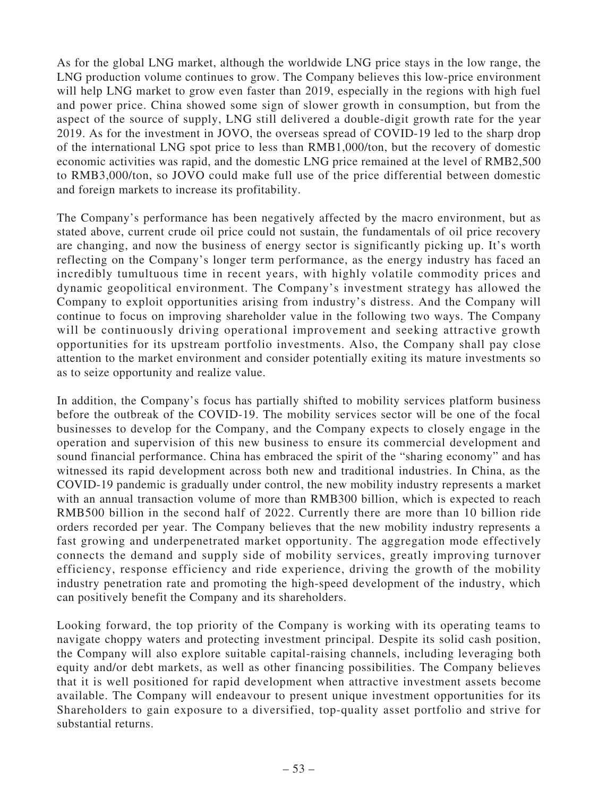As for the global LNG market, although the worldwide LNG price stays in the low range, the LNG production volume continues to grow. The Company believes this low-price environment will help LNG market to grow even faster than 2019, especially in the regions with high fuel and power price. China showed some sign of slower growth in consumption, but from the aspect of the source of supply, LNG still delivered a double-digit growth rate for the year 2019. As for the investment in JOVO, the overseas spread of COVID-19 led to the sharp drop of the international LNG spot price to less than RMB1,000/ton, but the recovery of domestic economic activities was rapid, and the domestic LNG price remained at the level of RMB2,500 to RMB3,000/ton, so JOVO could make full use of the price differential between domestic and foreign markets to increase its profitability.

The Company's performance has been negatively affected by the macro environment, but as stated above, current crude oil price could not sustain, the fundamentals of oil price recovery are changing, and now the business of energy sector is significantly picking up. It's worth reflecting on the Company's longer term performance, as the energy industry has faced an incredibly tumultuous time in recent years, with highly volatile commodity prices and dynamic geopolitical environment. The Company's investment strategy has allowed the Company to exploit opportunities arising from industry's distress. And the Company will continue to focus on improving shareholder value in the following two ways. The Company will be continuously driving operational improvement and seeking attractive growth opportunities for its upstream portfolio investments. Also, the Company shall pay close attention to the market environment and consider potentially exiting its mature investments so as to seize opportunity and realize value.

In addition, the Company's focus has partially shifted to mobility services platform business before the outbreak of the COVID-19. The mobility services sector will be one of the focal businesses to develop for the Company, and the Company expects to closely engage in the operation and supervision of this new business to ensure its commercial development and sound financial performance. China has embraced the spirit of the "sharing economy" and has witnessed its rapid development across both new and traditional industries. In China, as the COVID-19 pandemic is gradually under control, the new mobility industry represents a market with an annual transaction volume of more than RMB300 billion, which is expected to reach RMB500 billion in the second half of 2022. Currently there are more than 10 billion ride orders recorded per year. The Company believes that the new mobility industry represents a fast growing and underpenetrated market opportunity. The aggregation mode effectively connects the demand and supply side of mobility services, greatly improving turnover efficiency, response efficiency and ride experience, driving the growth of the mobility industry penetration rate and promoting the high-speed development of the industry, which can positively benefit the Company and its shareholders.

Looking forward, the top priority of the Company is working with its operating teams to navigate choppy waters and protecting investment principal. Despite its solid cash position, the Company will also explore suitable capital-raising channels, including leveraging both equity and/or debt markets, as well as other financing possibilities. The Company believes that it is well positioned for rapid development when attractive investment assets become available. The Company will endeavour to present unique investment opportunities for its Shareholders to gain exposure to a diversified, top-quality asset portfolio and strive for substantial returns.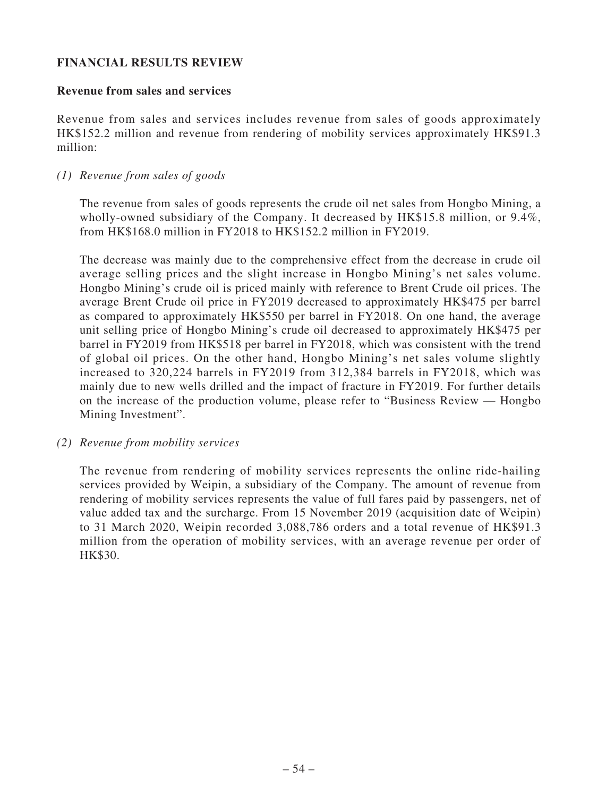# **FINANCIAL RESULTS REVIEW**

#### **Revenue from sales and services**

Revenue from sales and services includes revenue from sales of goods approximately HK\$152.2 million and revenue from rendering of mobility services approximately HK\$91.3 million:

### *(1) Revenue from sales of goods*

The revenue from sales of goods represents the crude oil net sales from Hongbo Mining, a wholly-owned subsidiary of the Company. It decreased by HK\$15.8 million, or 9.4%, from HK\$168.0 million in FY2018 to HK\$152.2 million in FY2019.

The decrease was mainly due to the comprehensive effect from the decrease in crude oil average selling prices and the slight increase in Hongbo Mining's net sales volume. Hongbo Mining's crude oil is priced mainly with reference to Brent Crude oil prices. The average Brent Crude oil price in FY2019 decreased to approximately HK\$475 per barrel as compared to approximately HK\$550 per barrel in FY2018. On one hand, the average unit selling price of Hongbo Mining's crude oil decreased to approximately HK\$475 per barrel in FY2019 from HK\$518 per barrel in FY2018, which was consistent with the trend of global oil prices. On the other hand, Hongbo Mining's net sales volume slightly increased to 320,224 barrels in FY2019 from 312,384 barrels in FY2018, which was mainly due to new wells drilled and the impact of fracture in FY2019. For further details on the increase of the production volume, please refer to "Business Review — Hongbo Mining Investment".

#### *(2) Revenue from mobility services*

The revenue from rendering of mobility services represents the online ride-hailing services provided by Weipin, a subsidiary of the Company. The amount of revenue from rendering of mobility services represents the value of full fares paid by passengers, net of value added tax and the surcharge. From 15 November 2019 (acquisition date of Weipin) to 31 March 2020, Weipin recorded 3,088,786 orders and a total revenue of HK\$91.3 million from the operation of mobility services, with an average revenue per order of HK\$30.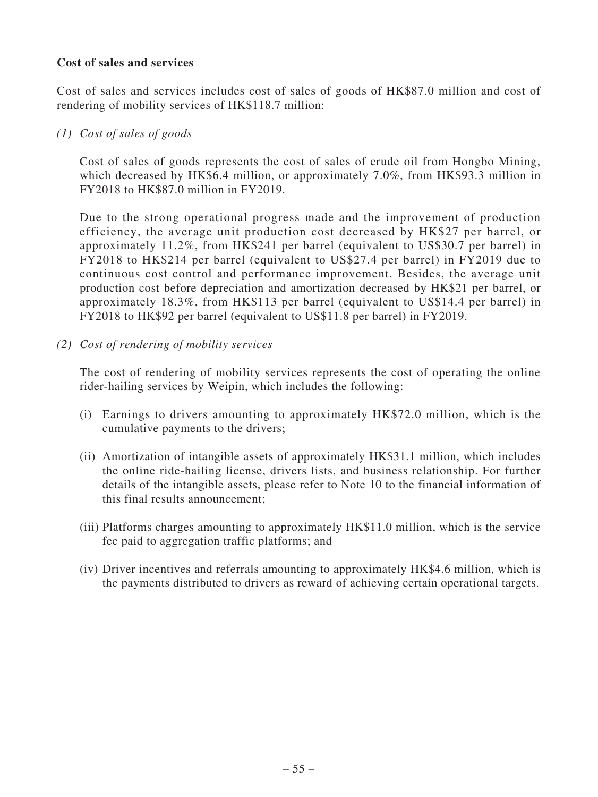# **Cost of sales and services**

Cost of sales and services includes cost of sales of goods of HK\$87.0 million and cost of rendering of mobility services of HK\$118.7 million:

### *(1) Cost of sales of goods*

Cost of sales of goods represents the cost of sales of crude oil from Hongbo Mining, which decreased by HK\$6.4 million, or approximately 7.0%, from HK\$93.3 million in FY2018 to HK\$87.0 million in FY2019.

Due to the strong operational progress made and the improvement of production efficiency, the average unit production cost decreased by HK\$27 per barrel, or approximately 11.2%, from HK\$241 per barrel (equivalent to US\$30.7 per barrel) in FY2018 to HK\$214 per barrel (equivalent to US\$27.4 per barrel) in FY2019 due to continuous cost control and performance improvement. Besides, the average unit production cost before depreciation and amortization decreased by HK\$21 per barrel, or approximately 18.3%, from HK\$113 per barrel (equivalent to US\$14.4 per barrel) in FY2018 to HK\$92 per barrel (equivalent to US\$11.8 per barrel) in FY2019.

*(2) Cost of rendering of mobility services*

The cost of rendering of mobility services represents the cost of operating the online rider-hailing services by Weipin, which includes the following:

- (i) Earnings to drivers amounting to approximately HK\$72.0 million, which is the cumulative payments to the drivers;
- (ii) Amortization of intangible assets of approximately HK\$31.1 million, which includes the online ride-hailing license, drivers lists, and business relationship. For further details of the intangible assets, please refer to Note 10 to the financial information of this final results announcement;
- (iii) Platforms charges amounting to approximately HK\$11.0 million, which is the service fee paid to aggregation traffic platforms; and
- (iv) Driver incentives and referrals amounting to approximately HK\$4.6 million, which is the payments distributed to drivers as reward of achieving certain operational targets.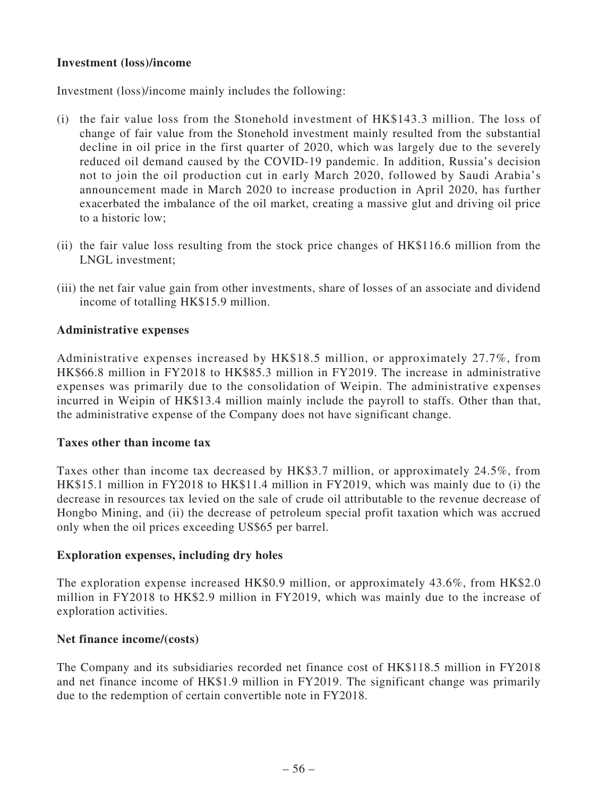# **Investment (loss)/income**

Investment (loss)/income mainly includes the following:

- (i) the fair value loss from the Stonehold investment of HK\$143.3 million. The loss of change of fair value from the Stonehold investment mainly resulted from the substantial decline in oil price in the first quarter of 2020, which was largely due to the severely reduced oil demand caused by the COVID-19 pandemic. In addition, Russia's decision not to join the oil production cut in early March 2020, followed by Saudi Arabia's announcement made in March 2020 to increase production in April 2020, has further exacerbated the imbalance of the oil market, creating a massive glut and driving oil price to a historic low;
- (ii) the fair value loss resulting from the stock price changes of HK\$116.6 million from the LNGL investment;
- (iii) the net fair value gain from other investments, share of losses of an associate and dividend income of totalling HK\$15.9 million.

### **Administrative expenses**

Administrative expenses increased by HK\$18.5 million, or approximately 27.7%, from HK\$66.8 million in FY2018 to HK\$85.3 million in FY2019. The increase in administrative expenses was primarily due to the consolidation of Weipin. The administrative expenses incurred in Weipin of HK\$13.4 million mainly include the payroll to staffs. Other than that, the administrative expense of the Company does not have significant change.

#### **Taxes other than income tax**

Taxes other than income tax decreased by HK\$3.7 million, or approximately 24.5%, from HK\$15.1 million in FY2018 to HK\$11.4 million in FY2019, which was mainly due to (i) the decrease in resources tax levied on the sale of crude oil attributable to the revenue decrease of Hongbo Mining, and (ii) the decrease of petroleum special profit taxation which was accrued only when the oil prices exceeding US\$65 per barrel.

#### **Exploration expenses, including dry holes**

The exploration expense increased HK\$0.9 million, or approximately 43.6%, from HK\$2.0 million in FY2018 to HK\$2.9 million in FY2019, which was mainly due to the increase of exploration activities.

#### **Net finance income/(costs)**

The Company and its subsidiaries recorded net finance cost of HK\$118.5 million in FY2018 and net finance income of HK\$1.9 million in FY2019. The significant change was primarily due to the redemption of certain convertible note in FY2018.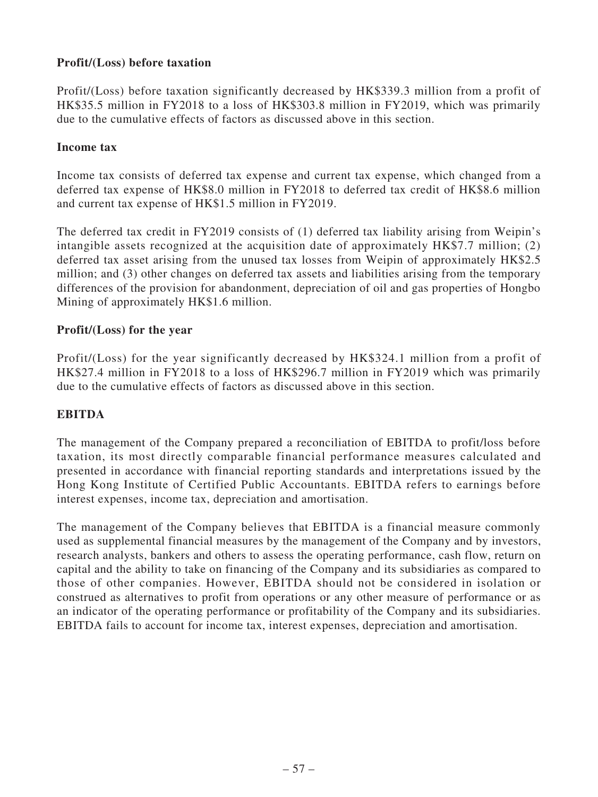# **Profit/(Loss) before taxation**

Profit/(Loss) before taxation significantly decreased by HK\$339.3 million from a profit of HK\$35.5 million in FY2018 to a loss of HK\$303.8 million in FY2019, which was primarily due to the cumulative effects of factors as discussed above in this section.

### **Income tax**

Income tax consists of deferred tax expense and current tax expense, which changed from a deferred tax expense of HK\$8.0 million in FY2018 to deferred tax credit of HK\$8.6 million and current tax expense of HK\$1.5 million in FY2019.

The deferred tax credit in FY2019 consists of (1) deferred tax liability arising from Weipin's intangible assets recognized at the acquisition date of approximately HK\$7.7 million; (2) deferred tax asset arising from the unused tax losses from Weipin of approximately HK\$2.5 million; and (3) other changes on deferred tax assets and liabilities arising from the temporary differences of the provision for abandonment, depreciation of oil and gas properties of Hongbo Mining of approximately HK\$1.6 million.

# **Profit/(Loss) for the year**

Profit/(Loss) for the year significantly decreased by HK\$324.1 million from a profit of HK\$27.4 million in FY2018 to a loss of HK\$296.7 million in FY2019 which was primarily due to the cumulative effects of factors as discussed above in this section.

# **EBITDA**

The management of the Company prepared a reconciliation of EBITDA to profit/loss before taxation, its most directly comparable financial performance measures calculated and presented in accordance with financial reporting standards and interpretations issued by the Hong Kong Institute of Certified Public Accountants. EBITDA refers to earnings before interest expenses, income tax, depreciation and amortisation.

The management of the Company believes that EBITDA is a financial measure commonly used as supplemental financial measures by the management of the Company and by investors, research analysts, bankers and others to assess the operating performance, cash flow, return on capital and the ability to take on financing of the Company and its subsidiaries as compared to those of other companies. However, EBITDA should not be considered in isolation or construed as alternatives to profit from operations or any other measure of performance or as an indicator of the operating performance or profitability of the Company and its subsidiaries. EBITDA fails to account for income tax, interest expenses, depreciation and amortisation.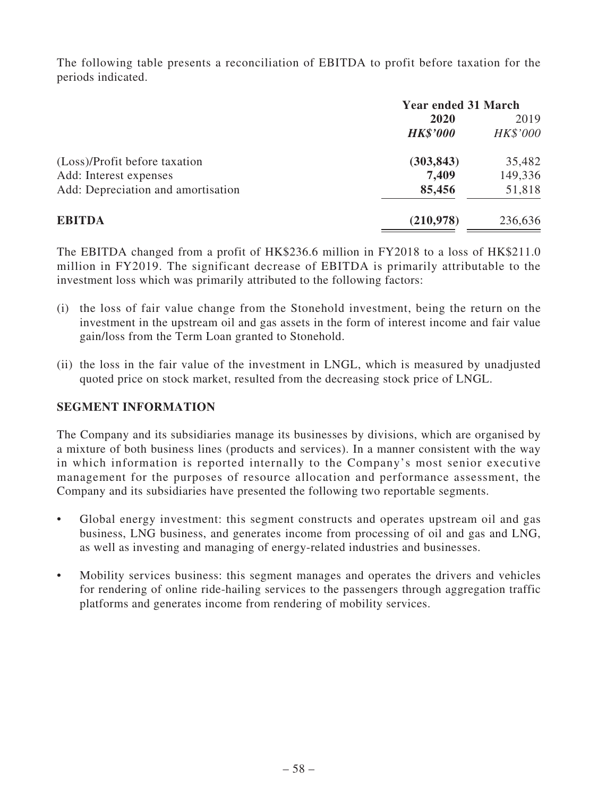The following table presents a reconciliation of EBITDA to profit before taxation for the periods indicated.

|                                    | <b>Year ended 31 March</b> |          |  |
|------------------------------------|----------------------------|----------|--|
|                                    | 2020                       | 2019     |  |
|                                    | <b>HK\$'000</b>            | HK\$'000 |  |
| (Loss)/Profit before taxation      | (303, 843)                 | 35,482   |  |
| Add: Interest expenses             | 7,409                      | 149,336  |  |
| Add: Depreciation and amortisation | 85,456                     | 51,818   |  |
| <b>EBITDA</b>                      | (210,978)                  | 236,636  |  |

The EBITDA changed from a profit of HK\$236.6 million in FY2018 to a loss of HK\$211.0 million in FY2019. The significant decrease of EBITDA is primarily attributable to the investment loss which was primarily attributed to the following factors:

- (i) the loss of fair value change from the Stonehold investment, being the return on the investment in the upstream oil and gas assets in the form of interest income and fair value gain/loss from the Term Loan granted to Stonehold.
- (ii) the loss in the fair value of the investment in LNGL, which is measured by unadjusted quoted price on stock market, resulted from the decreasing stock price of LNGL.

# **SEGMENT INFORMATION**

The Company and its subsidiaries manage its businesses by divisions, which are organised by a mixture of both business lines (products and services). In a manner consistent with the way in which information is reported internally to the Company's most senior executive management for the purposes of resource allocation and performance assessment, the Company and its subsidiaries have presented the following two reportable segments.

- Global energy investment: this segment constructs and operates upstream oil and gas business, LNG business, and generates income from processing of oil and gas and LNG, as well as investing and managing of energy-related industries and businesses.
- Mobility services business: this segment manages and operates the drivers and vehicles for rendering of online ride-hailing services to the passengers through aggregation traffic platforms and generates income from rendering of mobility services.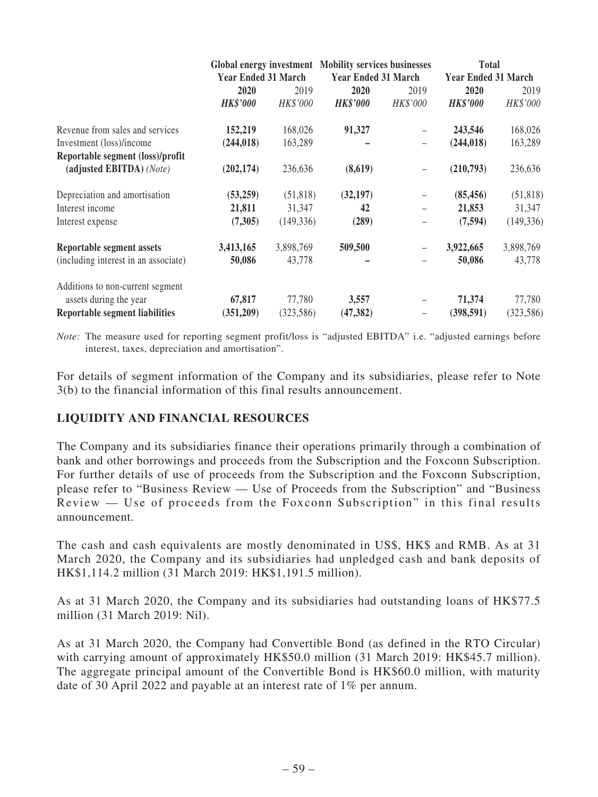|                                      | Global energy investment Mobility services businesses<br><b>Year Ended 31 March</b> |            |                            |                          | <b>Total</b>               |            |  |
|--------------------------------------|-------------------------------------------------------------------------------------|------------|----------------------------|--------------------------|----------------------------|------------|--|
|                                      |                                                                                     |            | <b>Year Ended 31 March</b> |                          | <b>Year Ended 31 March</b> |            |  |
|                                      | 2020                                                                                | 2019       | 2020                       | 2019                     | 2020                       | 2019       |  |
|                                      | <b>HK\$'000</b>                                                                     | HK\$'000   | <b>HK\$'000</b>            | HK\$'000                 | <b>HK\$'000</b>            | HK\$'000   |  |
| Revenue from sales and services      | 152,219                                                                             | 168,026    | 91,327                     |                          | 243,546                    | 168,026    |  |
| Investment (loss)/income             | (244, 018)                                                                          | 163,289    |                            | $\overline{\phantom{0}}$ | (244, 018)                 | 163,289    |  |
| Reportable segment (loss)/profit     |                                                                                     |            |                            |                          |                            |            |  |
| (adjusted EBITDA) (Note)             | (202, 174)                                                                          | 236,636    | (8,619)                    | $\qquad \qquad -$        | (210,793)                  | 236,636    |  |
| Depreciation and amortisation        | (53,259)                                                                            | (51, 818)  | (32, 197)                  | $\overline{\phantom{m}}$ | (85, 456)                  | (51, 818)  |  |
| Interest income                      | 21,811                                                                              | 31,347     | 42                         |                          | 21,853                     | 31,347     |  |
| Interest expense                     | (7,305)                                                                             | (149, 336) | (289)                      | $\overline{\phantom{m}}$ | (7,594)                    | (149, 336) |  |
| <b>Reportable segment assets</b>     | 3,413,165                                                                           | 3,898,769  | 509,500                    |                          | 3,922,665                  | 3,898,769  |  |
| (including interest in an associate) | 50,086                                                                              | 43,778     |                            |                          | 50,086                     | 43,778     |  |
| Additions to non-current segment     |                                                                                     |            |                            |                          |                            |            |  |
| assets during the year               | 67,817                                                                              | 77,780     | 3,557                      |                          | 71,374                     | 77,780     |  |
| Reportable segment liabilities       | (351,209)                                                                           | (323, 586) | (47, 382)                  | $\qquad \qquad -$        | (398, 591)                 | (323, 586) |  |

*Note:* The measure used for reporting segment profit/loss is "adjusted EBITDA" i.e. "adjusted earnings before interest, taxes, depreciation and amortisation".

For details of segment information of the Company and its subsidiaries, please refer to Note 3(b) to the financial information of this final results announcement.

# **LIQUIDITY AND FINANCIAL RESOURCES**

The Company and its subsidiaries finance their operations primarily through a combination of bank and other borrowings and proceeds from the Subscription and the Foxconn Subscription. For further details of use of proceeds from the Subscription and the Foxconn Subscription, please refer to "Business Review — Use of Proceeds from the Subscription" and "Business Review — Use of proceeds from the Foxconn Subscription" in this final results announcement.

The cash and cash equivalents are mostly denominated in US\$, HK\$ and RMB. As at 31 March 2020, the Company and its subsidiaries had unpledged cash and bank deposits of HK\$1,114.2 million (31 March 2019: HK\$1,191.5 million).

As at 31 March 2020, the Company and its subsidiaries had outstanding loans of HK\$77.5 million (31 March 2019: Nil).

As at 31 March 2020, the Company had Convertible Bond (as defined in the RTO Circular) with carrying amount of approximately HK\$50.0 million (31 March 2019: HK\$45.7 million). The aggregate principal amount of the Convertible Bond is HK\$60.0 million, with maturity date of 30 April 2022 and payable at an interest rate of 1% per annum.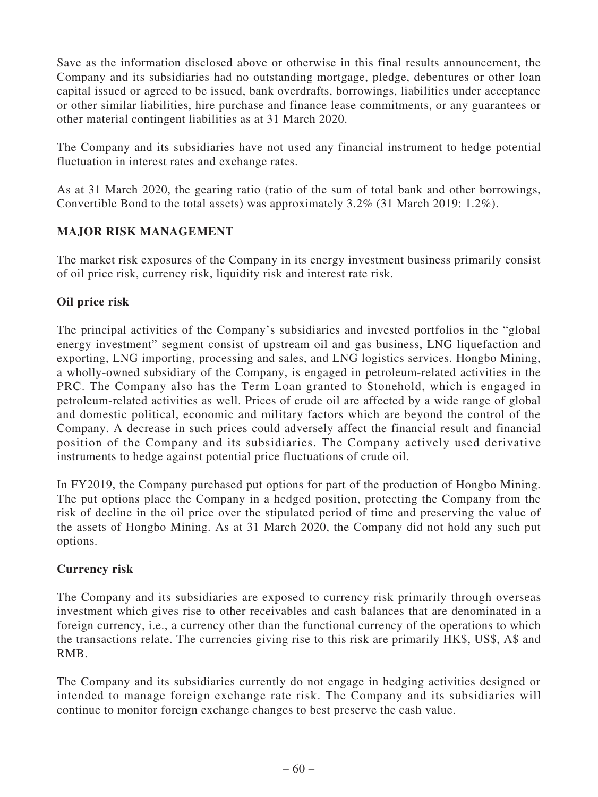Save as the information disclosed above or otherwise in this final results announcement, the Company and its subsidiaries had no outstanding mortgage, pledge, debentures or other loan capital issued or agreed to be issued, bank overdrafts, borrowings, liabilities under acceptance or other similar liabilities, hire purchase and finance lease commitments, or any guarantees or other material contingent liabilities as at 31 March 2020.

The Company and its subsidiaries have not used any financial instrument to hedge potential fluctuation in interest rates and exchange rates.

As at 31 March 2020, the gearing ratio (ratio of the sum of total bank and other borrowings, Convertible Bond to the total assets) was approximately 3.2% (31 March 2019: 1.2%).

# **MAJOR RISK MANAGEMENT**

The market risk exposures of the Company in its energy investment business primarily consist of oil price risk, currency risk, liquidity risk and interest rate risk.

# **Oil price risk**

The principal activities of the Company's subsidiaries and invested portfolios in the "global energy investment" segment consist of upstream oil and gas business, LNG liquefaction and exporting, LNG importing, processing and sales, and LNG logistics services. Hongbo Mining, a wholly-owned subsidiary of the Company, is engaged in petroleum-related activities in the PRC. The Company also has the Term Loan granted to Stonehold, which is engaged in petroleum-related activities as well. Prices of crude oil are affected by a wide range of global and domestic political, economic and military factors which are beyond the control of the Company. A decrease in such prices could adversely affect the financial result and financial position of the Company and its subsidiaries. The Company actively used derivative instruments to hedge against potential price fluctuations of crude oil.

In FY2019, the Company purchased put options for part of the production of Hongbo Mining. The put options place the Company in a hedged position, protecting the Company from the risk of decline in the oil price over the stipulated period of time and preserving the value of the assets of Hongbo Mining. As at 31 March 2020, the Company did not hold any such put options.

# **Currency risk**

The Company and its subsidiaries are exposed to currency risk primarily through overseas investment which gives rise to other receivables and cash balances that are denominated in a foreign currency, i.e., a currency other than the functional currency of the operations to which the transactions relate. The currencies giving rise to this risk are primarily HK\$, US\$, A\$ and RMB.

The Company and its subsidiaries currently do not engage in hedging activities designed or intended to manage foreign exchange rate risk. The Company and its subsidiaries will continue to monitor foreign exchange changes to best preserve the cash value.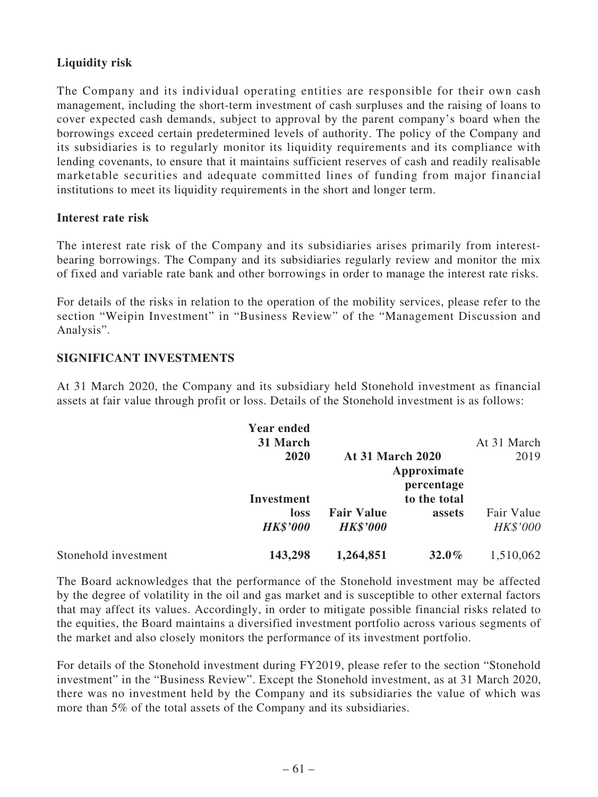# **Liquidity risk**

The Company and its individual operating entities are responsible for their own cash management, including the short-term investment of cash surpluses and the raising of loans to cover expected cash demands, subject to approval by the parent company's board when the borrowings exceed certain predetermined levels of authority. The policy of the Company and its subsidiaries is to regularly monitor its liquidity requirements and its compliance with lending covenants, to ensure that it maintains sufficient reserves of cash and readily realisable marketable securities and adequate committed lines of funding from major financial institutions to meet its liquidity requirements in the short and longer term.

#### **Interest rate risk**

The interest rate risk of the Company and its subsidiaries arises primarily from interestbearing borrowings. The Company and its subsidiaries regularly review and monitor the mix of fixed and variable rate bank and other borrowings in order to manage the interest rate risks.

For details of the risks in relation to the operation of the mobility services, please refer to the section "Weipin Investment" in "Business Review" of the "Management Discussion and Analysis".

# **SIGNIFICANT INVESTMENTS**

At 31 March 2020, the Company and its subsidiary held Stonehold investment as financial assets at fair value through profit or loss. Details of the Stonehold investment is as follows:

|                      | <b>Year ended</b><br>31 March |                                      |                           | At 31 March            |
|----------------------|-------------------------------|--------------------------------------|---------------------------|------------------------|
|                      | 2020                          | <b>At 31 March 2020</b>              |                           | 2019                   |
|                      |                               |                                      | Approximate<br>percentage |                        |
|                      | <b>Investment</b>             |                                      | to the total              |                        |
|                      | loss<br><b>HK\$'000</b>       | <b>Fair Value</b><br><b>HK\$'000</b> | assets                    | Fair Value<br>HK\$'000 |
| Stonehold investment | 143,298                       | 1,264,851                            | $32.0\%$                  | 1,510,062              |

The Board acknowledges that the performance of the Stonehold investment may be affected by the degree of volatility in the oil and gas market and is susceptible to other external factors that may affect its values. Accordingly, in order to mitigate possible financial risks related to the equities, the Board maintains a diversified investment portfolio across various segments of the market and also closely monitors the performance of its investment portfolio.

For details of the Stonehold investment during FY2019, please refer to the section "Stonehold investment" in the "Business Review". Except the Stonehold investment, as at 31 March 2020, there was no investment held by the Company and its subsidiaries the value of which was more than 5% of the total assets of the Company and its subsidiaries.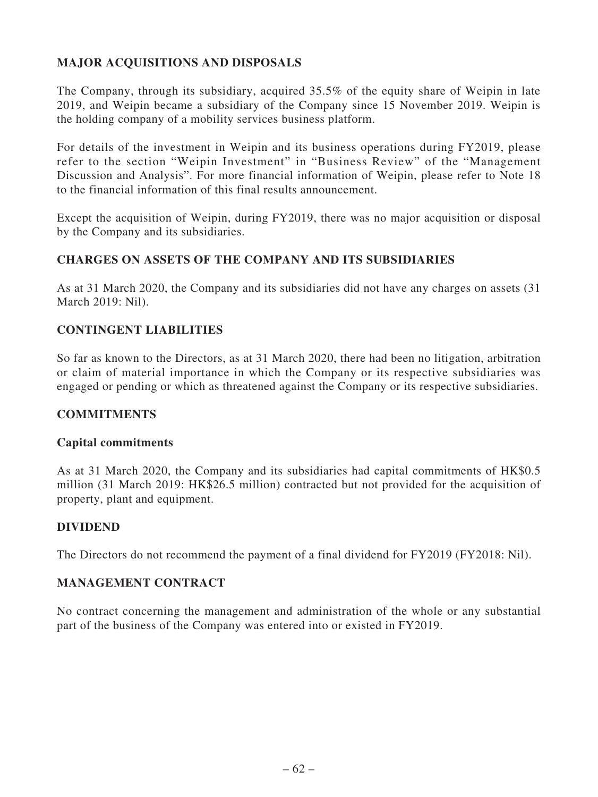# **MAJOR ACQUISITIONS AND DISPOSALS**

The Company, through its subsidiary, acquired 35.5% of the equity share of Weipin in late 2019, and Weipin became a subsidiary of the Company since 15 November 2019. Weipin is the holding company of a mobility services business platform.

For details of the investment in Weipin and its business operations during FY2019, please refer to the section "Weipin Investment" in "Business Review" of the "Management Discussion and Analysis". For more financial information of Weipin, please refer to Note 18 to the financial information of this final results announcement.

Except the acquisition of Weipin, during FY2019, there was no major acquisition or disposal by the Company and its subsidiaries.

# **CHARGES ON ASSETS OF THE COMPANY AND ITS SUBSIDIARIES**

As at 31 March 2020, the Company and its subsidiaries did not have any charges on assets (31 March 2019: Nil).

# **CONTINGENT LIABILITIES**

So far as known to the Directors, as at 31 March 2020, there had been no litigation, arbitration or claim of material importance in which the Company or its respective subsidiaries was engaged or pending or which as threatened against the Company or its respective subsidiaries.

# **COMMITMENTS**

#### **Capital commitments**

As at 31 March 2020, the Company and its subsidiaries had capital commitments of HK\$0.5 million (31 March 2019: HK\$26.5 million) contracted but not provided for the acquisition of property, plant and equipment.

# **DIVIDEND**

The Directors do not recommend the payment of a final dividend for FY2019 (FY2018: Nil).

# **MANAGEMENT CONTRACT**

No contract concerning the management and administration of the whole or any substantial part of the business of the Company was entered into or existed in FY2019.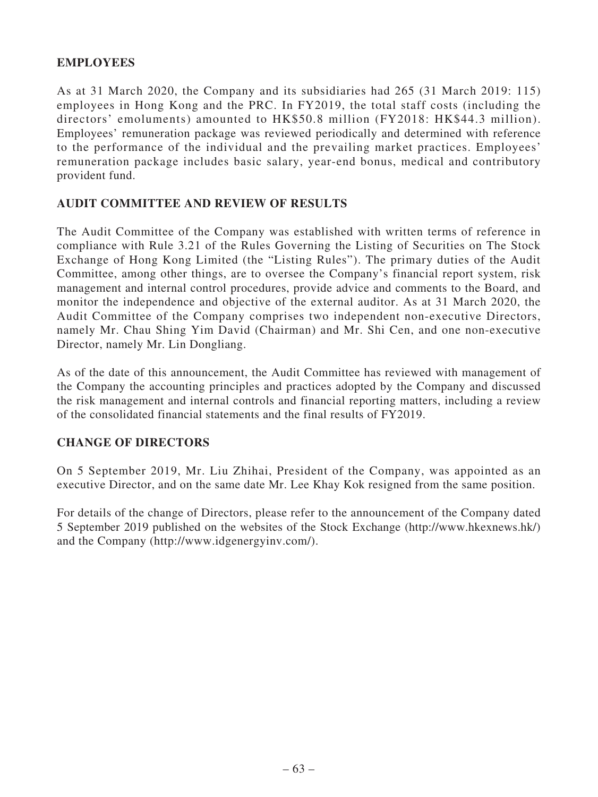# **EMPLOYEES**

As at 31 March 2020, the Company and its subsidiaries had 265 (31 March 2019: 115) employees in Hong Kong and the PRC. In FY2019, the total staff costs (including the directors' emoluments) amounted to HK\$50.8 million (FY2018: HK\$44.3 million). Employees' remuneration package was reviewed periodically and determined with reference to the performance of the individual and the prevailing market practices. Employees' remuneration package includes basic salary, year-end bonus, medical and contributory provident fund.

### **AUDIT COMMITTEE AND REVIEW OF RESULTS**

The Audit Committee of the Company was established with written terms of reference in compliance with Rule 3.21 of the Rules Governing the Listing of Securities on The Stock Exchange of Hong Kong Limited (the "Listing Rules"). The primary duties of the Audit Committee, among other things, are to oversee the Company's financial report system, risk management and internal control procedures, provide advice and comments to the Board, and monitor the independence and objective of the external auditor. As at 31 March 2020, the Audit Committee of the Company comprises two independent non-executive Directors, namely Mr. Chau Shing Yim David (Chairman) and Mr. Shi Cen, and one non-executive Director, namely Mr. Lin Dongliang.

As of the date of this announcement, the Audit Committee has reviewed with management of the Company the accounting principles and practices adopted by the Company and discussed the risk management and internal controls and financial reporting matters, including a review of the consolidated financial statements and the final results of FY2019.

# **CHANGE OF DIRECTORS**

On 5 September 2019, Mr. Liu Zhihai, President of the Company, was appointed as an executive Director, and on the same date Mr. Lee Khay Kok resigned from the same position.

For details of the change of Directors, please refer to the announcement of the Company dated 5 September 2019 published on the websites of the Stock Exchange (http://www.hkexnews.hk/) and the Company (http://www.idgenergyinv.com/).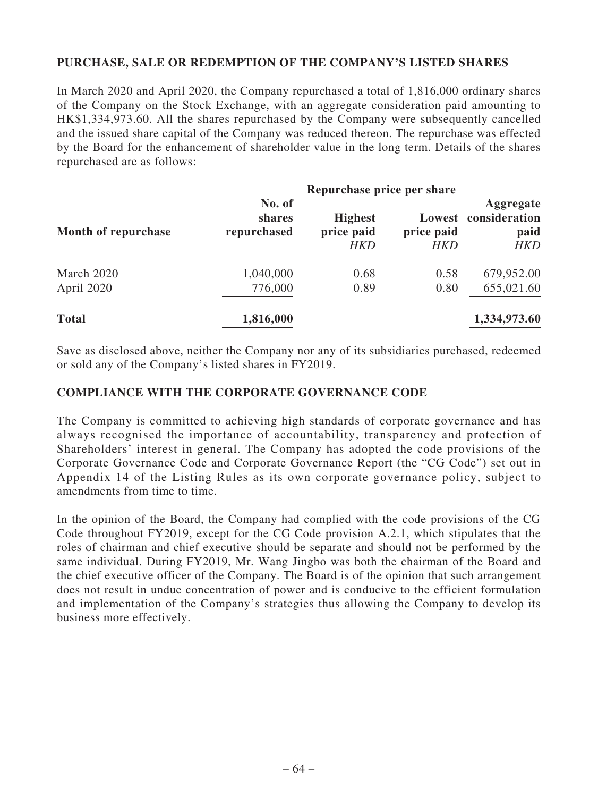# **PURCHASE, SALE OR REDEMPTION OF THE COMPANY'S LISTED SHARES**

In March 2020 and April 2020, the Company repurchased a total of 1,816,000 ordinary shares of the Company on the Stock Exchange, with an aggregate consideration paid amounting to HK\$1,334,973.60. All the shares repurchased by the Company were subsequently cancelled and the issued share capital of the Company was reduced thereon. The repurchase was effected by the Board for the enhancement of shareholder value in the long term. Details of the shares repurchased are as follows:

| Month of repurchase      | No. of<br>shares<br>repurchased | <b>Highest</b><br>price paid<br>HKD | price paid<br><b>HKD</b> | Aggregate<br>Lowest consideration<br>paid<br><b>HKD</b> |
|--------------------------|---------------------------------|-------------------------------------|--------------------------|---------------------------------------------------------|
| March 2020<br>April 2020 | 1,040,000<br>776,000            | 0.68<br>0.89                        | 0.58<br>0.80             | 679,952.00<br>655,021.60                                |
| <b>Total</b>             | 1,816,000                       |                                     |                          | 1,334,973.60                                            |

Save as disclosed above, neither the Company nor any of its subsidiaries purchased, redeemed or sold any of the Company's listed shares in FY2019.

#### **COMPLIANCE WITH THE CORPORATE GOVERNANCE CODE**

The Company is committed to achieving high standards of corporate governance and has always recognised the importance of accountability, transparency and protection of Shareholders' interest in general. The Company has adopted the code provisions of the Corporate Governance Code and Corporate Governance Report (the "CG Code") set out in Appendix 14 of the Listing Rules as its own corporate governance policy, subject to amendments from time to time.

In the opinion of the Board, the Company had complied with the code provisions of the CG Code throughout FY2019, except for the CG Code provision A.2.1, which stipulates that the roles of chairman and chief executive should be separate and should not be performed by the same individual. During FY2019, Mr. Wang Jingbo was both the chairman of the Board and the chief executive officer of the Company. The Board is of the opinion that such arrangement does not result in undue concentration of power and is conducive to the efficient formulation and implementation of the Company's strategies thus allowing the Company to develop its business more effectively.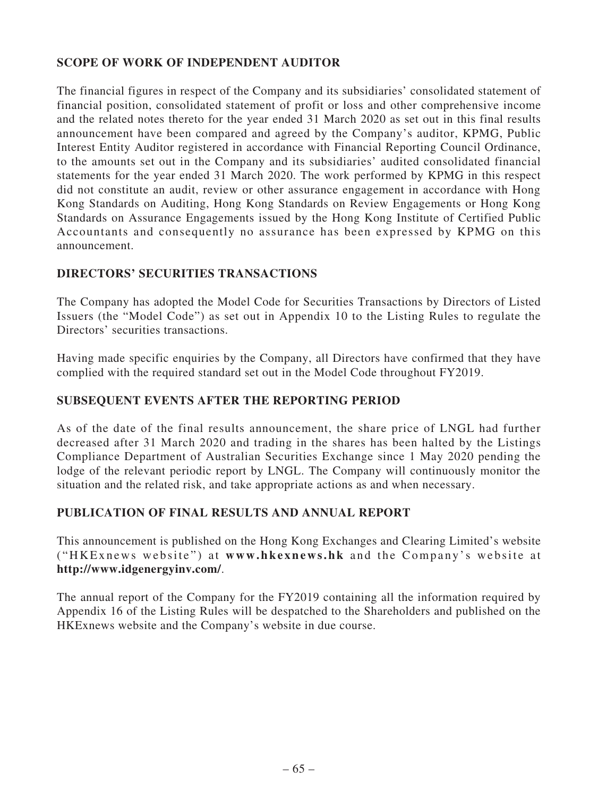# **SCOPE OF WORK OF INDEPENDENT AUDITOR**

The financial figures in respect of the Company and its subsidiaries' consolidated statement of financial position, consolidated statement of profit or loss and other comprehensive income and the related notes thereto for the year ended 31 March 2020 as set out in this final results announcement have been compared and agreed by the Company's auditor, KPMG, Public Interest Entity Auditor registered in accordance with Financial Reporting Council Ordinance, to the amounts set out in the Company and its subsidiaries' audited consolidated financial statements for the year ended 31 March 2020. The work performed by KPMG in this respect did not constitute an audit, review or other assurance engagement in accordance with Hong Kong Standards on Auditing, Hong Kong Standards on Review Engagements or Hong Kong Standards on Assurance Engagements issued by the Hong Kong Institute of Certified Public Accountants and consequently no assurance has been expressed by KPMG on this announcement.

# **DIRECTORS' SECURITIES TRANSACTIONS**

The Company has adopted the Model Code for Securities Transactions by Directors of Listed Issuers (the "Model Code") as set out in Appendix 10 to the Listing Rules to regulate the Directors' securities transactions.

Having made specific enquiries by the Company, all Directors have confirmed that they have complied with the required standard set out in the Model Code throughout FY2019.

# **Subsequent Events After the Reporting Period**

As of the date of the final results announcement, the share price of LNGL had further decreased after 31 March 2020 and trading in the shares has been halted by the Listings Compliance Department of Australian Securities Exchange since 1 May 2020 pending the lodge of the relevant periodic report by LNGL. The Company will continuously monitor the situation and the related risk, and take appropriate actions as and when necessary.

# **PUBLICATION OF FINAL RESULTS AND ANNUAL REPORT**

This announcement is published on the Hong Kong Exchanges and Clearing Limited's website ("HKExnews website") at **www.hkexnews.hk** and the Company's website at **http://www.idgenergyinv.com/**.

The annual report of the Company for the FY2019 containing all the information required by Appendix 16 of the Listing Rules will be despatched to the Shareholders and published on the HKExnews website and the Company's website in due course.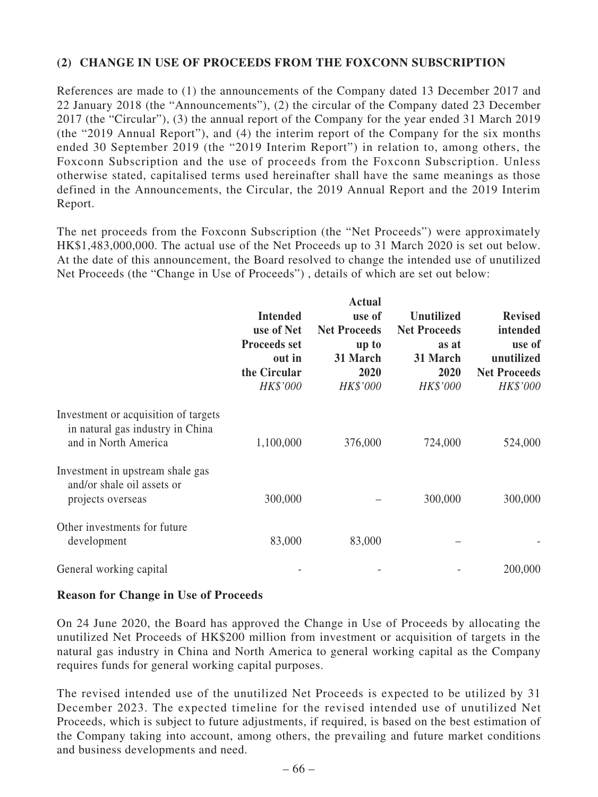# **(2) CHANGE IN USE OF PROCEEDS FROM THE FOXCONN SUBSCRIPTION**

References are made to (1) the announcements of the Company dated 13 December 2017 and 22 January 2018 (the "Announcements"), (2) the circular of the Company dated 23 December 2017 (the "Circular"), (3) the annual report of the Company for the year ended 31 March 2019 (the "2019 Annual Report"), and (4) the interim report of the Company for the six months ended 30 September 2019 (the "2019 Interim Report") in relation to, among others, the Foxconn Subscription and the use of proceeds from the Foxconn Subscription. Unless otherwise stated, capitalised terms used hereinafter shall have the same meanings as those defined in the Announcements, the Circular, the 2019 Annual Report and the 2019 Interim Report.

The net proceeds from the Foxconn Subscription (the "Net Proceeds") were approximately HK\$1,483,000,000. The actual use of the Net Proceeds up to 31 March 2020 is set out below. At the date of this announcement, the Board resolved to change the intended use of unutilized Net Proceeds (the "Change in Use of Proceeds") , details of which are set out below:

|                                                                                                  | <b>Intended</b><br>use of Net<br><b>Proceeds set</b><br>out in<br>the Circular<br>HK\$'000 | <b>Actual</b><br>use of<br><b>Net Proceeds</b><br>up to<br>31 March<br>2020<br>HK\$'000 | <b>Unutilized</b><br><b>Net Proceeds</b><br>as at<br>31 March<br>2020<br>HK\$'000 | <b>Revised</b><br>intended<br>use of<br>unutilized<br><b>Net Proceeds</b><br>HK\$'000 |
|--------------------------------------------------------------------------------------------------|--------------------------------------------------------------------------------------------|-----------------------------------------------------------------------------------------|-----------------------------------------------------------------------------------|---------------------------------------------------------------------------------------|
| Investment or acquisition of targets<br>in natural gas industry in China<br>and in North America | 1,100,000                                                                                  | 376,000                                                                                 | 724,000                                                                           | 524,000                                                                               |
| Investment in upstream shale gas<br>and/or shale oil assets or<br>projects overseas              | 300,000                                                                                    |                                                                                         | 300,000                                                                           | 300,000                                                                               |
| Other investments for future<br>development                                                      | 83,000                                                                                     | 83,000                                                                                  |                                                                                   |                                                                                       |
| General working capital                                                                          |                                                                                            |                                                                                         |                                                                                   | 200,000                                                                               |

#### **Reason for Change in Use of Proceeds**

On 24 June 2020, the Board has approved the Change in Use of Proceeds by allocating the unutilized Net Proceeds of HK\$200 million from investment or acquisition of targets in the natural gas industry in China and North America to general working capital as the Company requires funds for general working capital purposes.

The revised intended use of the unutilized Net Proceeds is expected to be utilized by 31 December 2023. The expected timeline for the revised intended use of unutilized Net Proceeds, which is subject to future adjustments, if required, is based on the best estimation of the Company taking into account, among others, the prevailing and future market conditions and business developments and need.